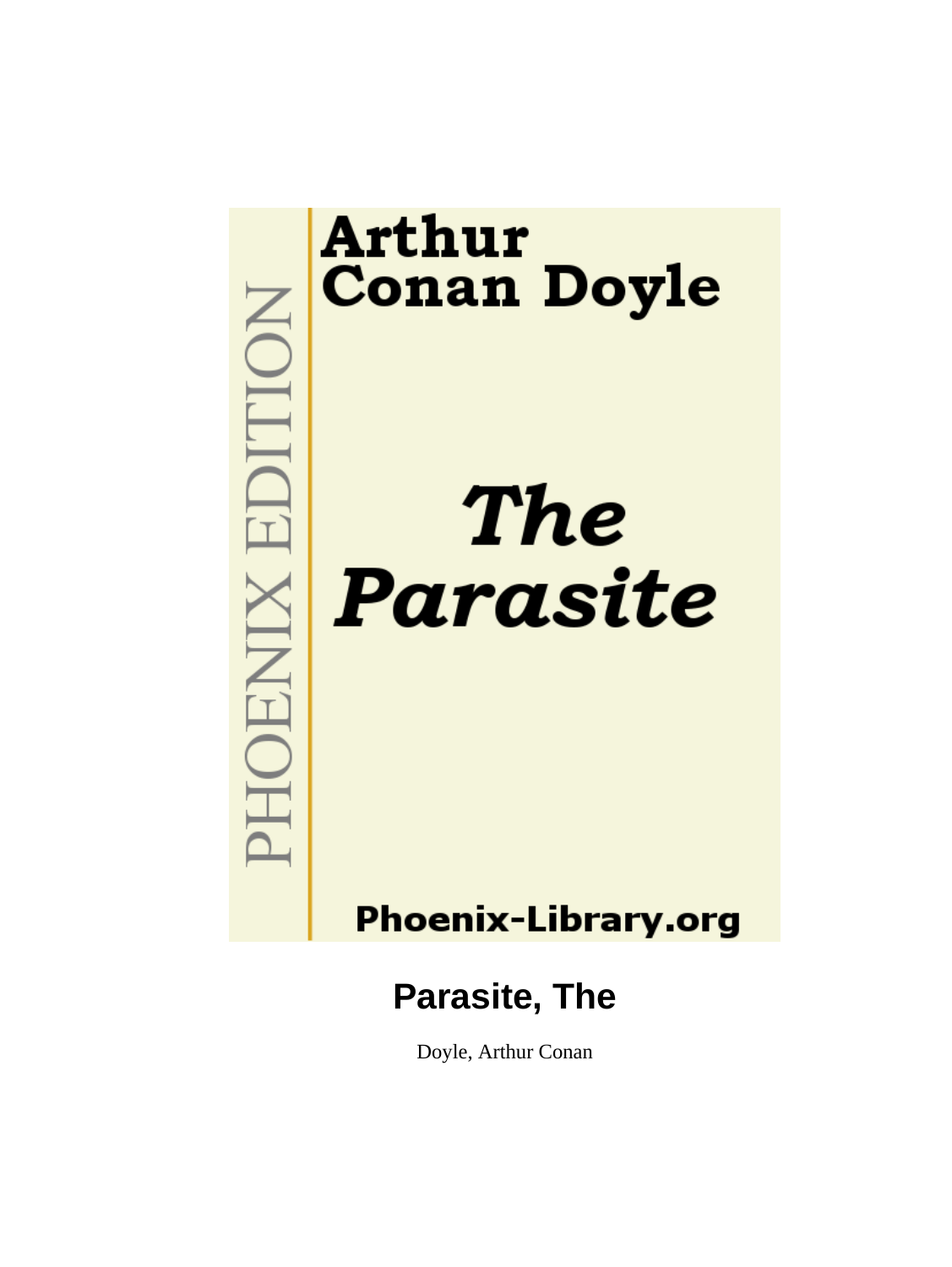

Doyle, Arthur Conan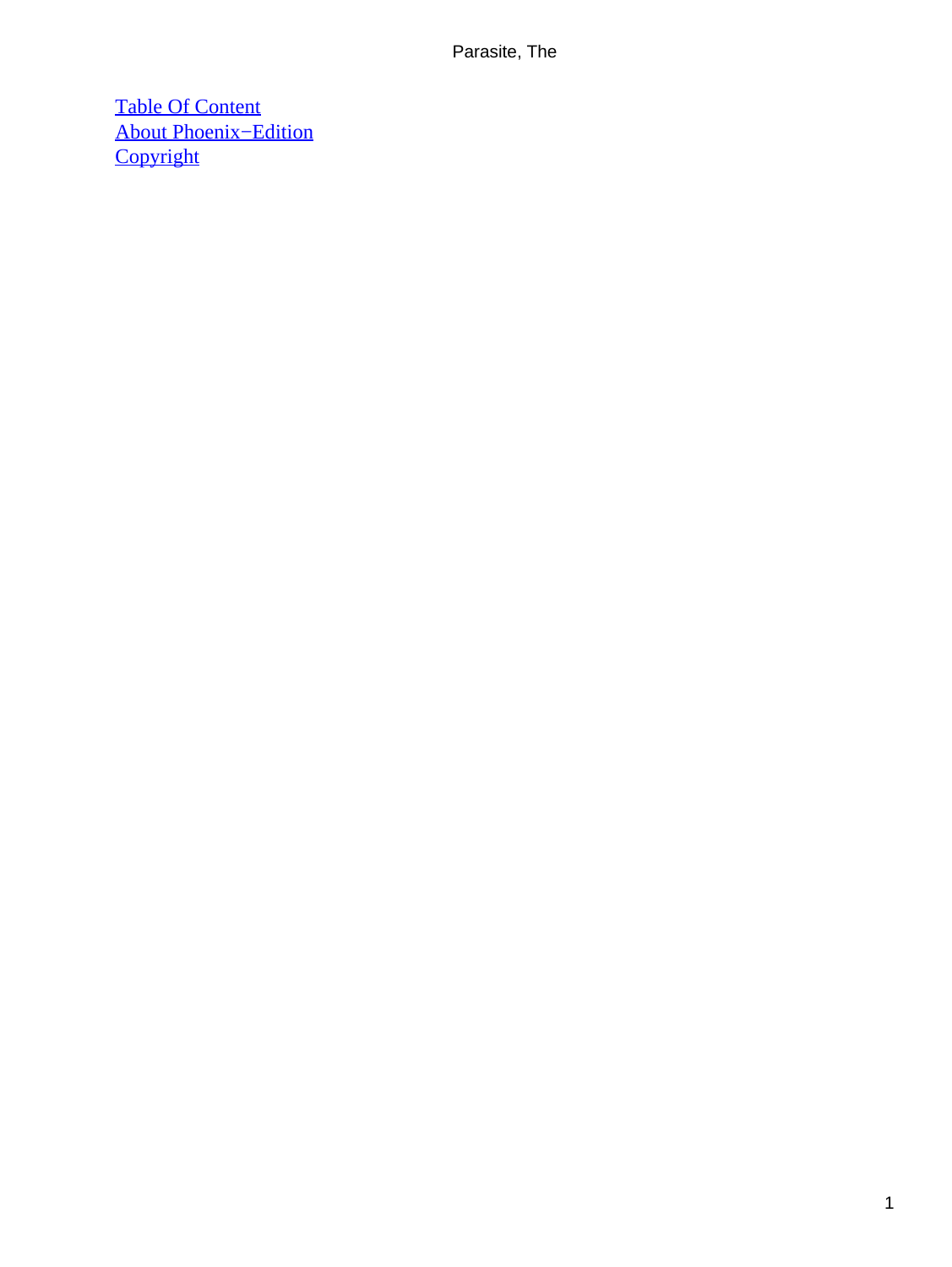[Table Of Content](#page-39-0) [About Phoenix−Edition](#page-40-0) **[Copyright](#page-41-0)**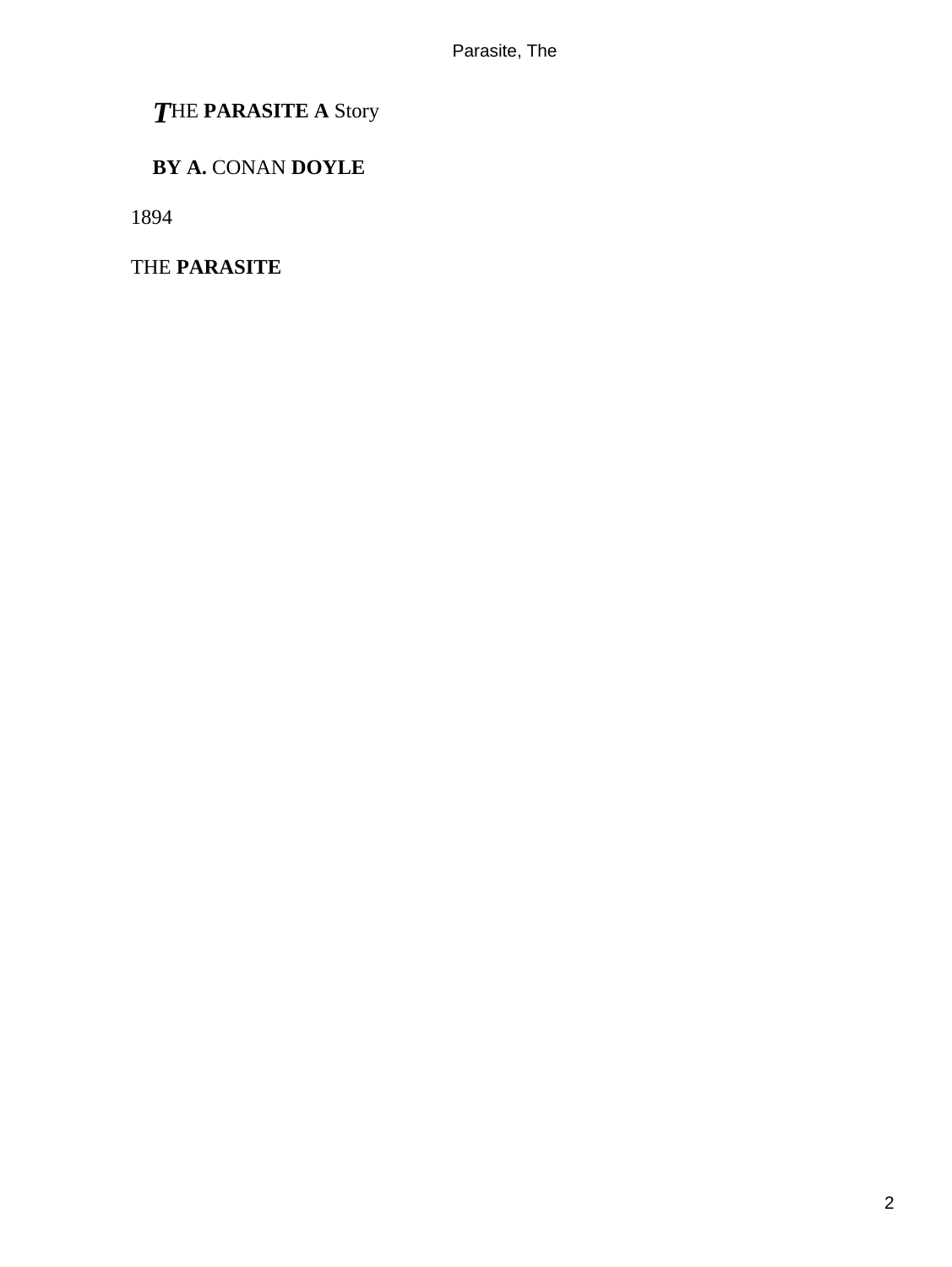# *T*HE **PARASITE A** Story

# **BY A.** CONAN **DOYLE**

1894

THE **PARASITE**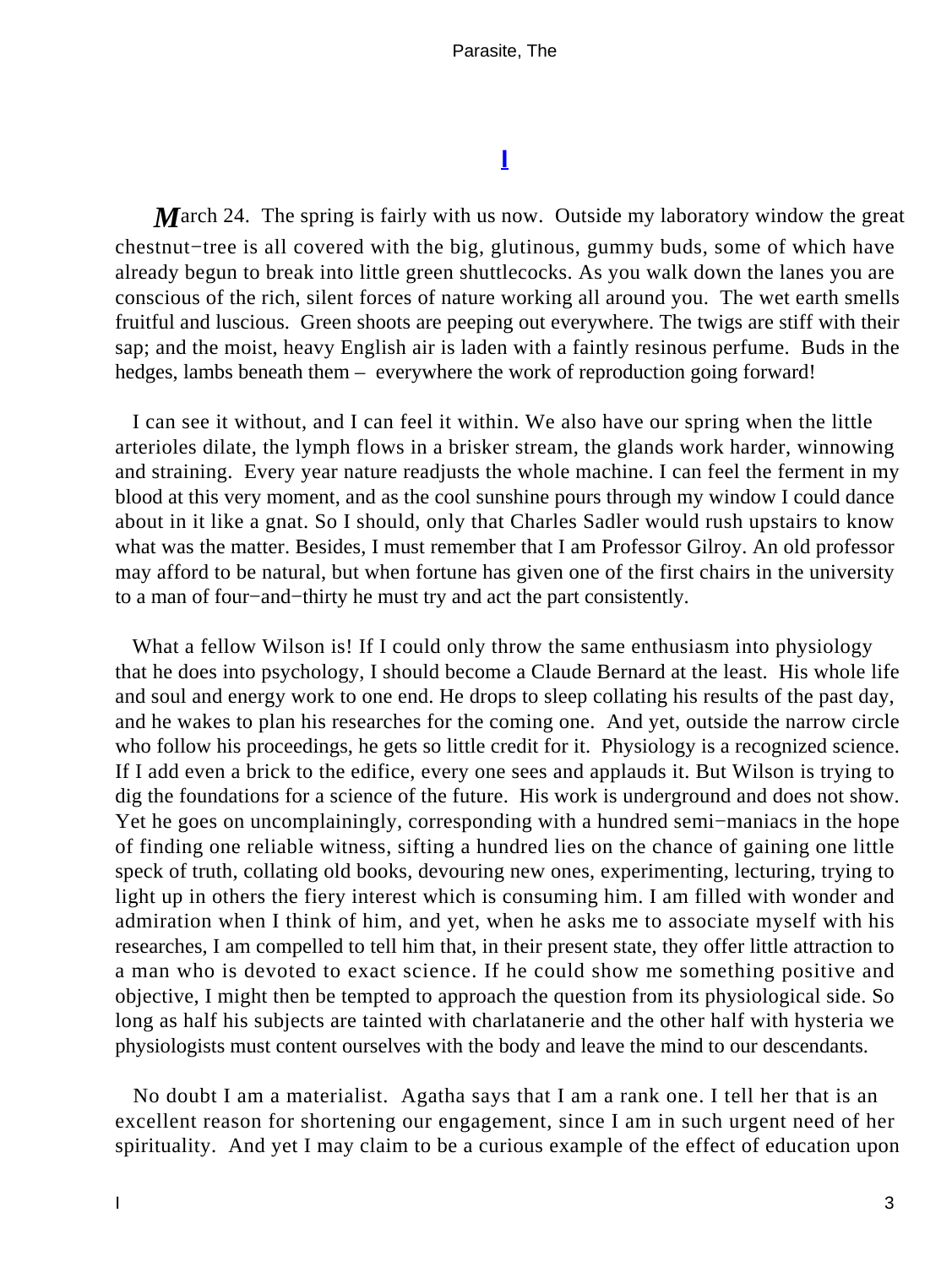# **[I](#page-39-0)**

<span id="page-3-0"></span>*March* 24. The spring is fairly with us now. Outside my laboratory window the great chestnut−tree is all covered with the big, glutinous, gummy buds, some of which have already begun to break into little green shuttlecocks. As you walk down the lanes you are conscious of the rich, silent forces of nature working all around you. The wet earth smells fruitful and luscious. Green shoots are peeping out everywhere. The twigs are stiff with their sap; and the moist, heavy English air is laden with a faintly resinous perfume. Buds in the hedges, lambs beneath them – everywhere the work of reproduction going forward!

 I can see it without, and I can feel it within. We also have our spring when the little arterioles dilate, the lymph flows in a brisker stream, the glands work harder, winnowing and straining. Every year nature readjusts the whole machine. I can feel the ferment in my blood at this very moment, and as the cool sunshine pours through my window I could dance about in it like a gnat. So I should, only that Charles Sadler would rush upstairs to know what was the matter. Besides, I must remember that I am Professor Gilroy. An old professor may afford to be natural, but when fortune has given one of the first chairs in the university to a man of four−and−thirty he must try and act the part consistently.

What a fellow Wilson is! If I could only throw the same enthusiasm into physiology that he does into psychology, I should become a Claude Bernard at the least. His whole life and soul and energy work to one end. He drops to sleep collating his results of the past day, and he wakes to plan his researches for the coming one. And yet, outside the narrow circle who follow his proceedings, he gets so little credit for it. Physiology is a recognized science. If I add even a brick to the edifice, every one sees and applauds it. But Wilson is trying to dig the foundations for a science of the future. His work is underground and does not show. Yet he goes on uncomplainingly, corresponding with a hundred semi−maniacs in the hope of finding one reliable witness, sifting a hundred lies on the chance of gaining one little speck of truth, collating old books, devouring new ones, experimenting, lecturing, trying to light up in others the fiery interest which is consuming him. I am filled with wonder and admiration when I think of him, and yet, when he asks me to associate myself with his researches, I am compelled to tell him that, in their present state, they offer little attraction to a man who is devoted to exact science. If he could show me something positive and objective, I might then be tempted to approach the question from its physiological side. So long as half his subjects are tainted with charlatanerie and the other half with hysteria we physiologists must content ourselves with the body and leave the mind to our descendants.

 No doubt I am a materialist. Agatha says that I am a rank one. I tell her that is an excellent reason for shortening our engagement, since I am in such urgent need of her spirituality. And yet I may claim to be a curious example of the effect of education upon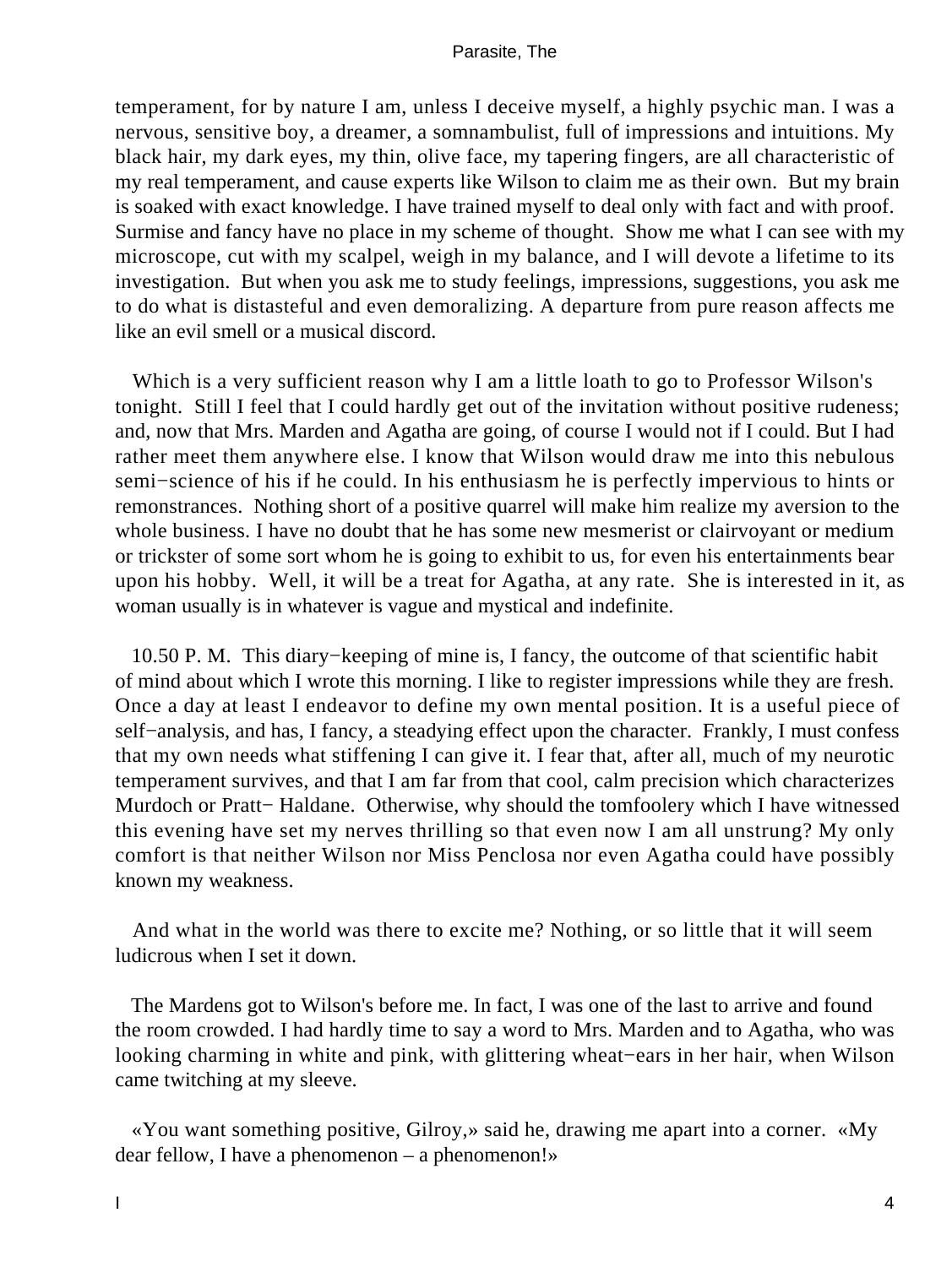temperament, for by nature I am, unless I deceive myself, a highly psychic man. I was a nervous, sensitive boy, a dreamer, a somnambulist, full of impressions and intuitions. My black hair, my dark eyes, my thin, olive face, my tapering fingers, are all characteristic of my real temperament, and cause experts like Wilson to claim me as their own. But my brain is soaked with exact knowledge. I have trained myself to deal only with fact and with proof. Surmise and fancy have no place in my scheme of thought. Show me what I can see with my microscope, cut with my scalpel, weigh in my balance, and I will devote a lifetime to its investigation. But when you ask me to study feelings, impressions, suggestions, you ask me to do what is distasteful and even demoralizing. A departure from pure reason affects me like an evil smell or a musical discord.

 Which is a very sufficient reason why I am a little loath to go to Professor Wilson's tonight. Still I feel that I could hardly get out of the invitation without positive rudeness; and, now that Mrs. Marden and Agatha are going, of course I would not if I could. But I had rather meet them anywhere else. I know that Wilson would draw me into this nebulous semi−science of his if he could. In his enthusiasm he is perfectly impervious to hints or remonstrances. Nothing short of a positive quarrel will make him realize my aversion to the whole business. I have no doubt that he has some new mesmerist or clairvoyant or medium or trickster of some sort whom he is going to exhibit to us, for even his entertainments bear upon his hobby. Well, it will be a treat for Agatha, at any rate. She is interested in it, as woman usually is in whatever is vague and mystical and indefinite.

 10.50 P. M. This diary−keeping of mine is, I fancy, the outcome of that scientific habit of mind about which I wrote this morning. I like to register impressions while they are fresh. Once a day at least I endeavor to define my own mental position. It is a useful piece of self−analysis, and has, I fancy, a steadying effect upon the character. Frankly, I must confess that my own needs what stiffening I can give it. I fear that, after all, much of my neurotic temperament survives, and that I am far from that cool, calm precision which characterizes Murdoch or Pratt− Haldane. Otherwise, why should the tomfoolery which I have witnessed this evening have set my nerves thrilling so that even now I am all unstrung? My only comfort is that neither Wilson nor Miss Penclosa nor even Agatha could have possibly known my weakness.

 And what in the world was there to excite me? Nothing, or so little that it will seem ludicrous when I set it down.

 The Mardens got to Wilson's before me. In fact, I was one of the last to arrive and found the room crowded. I had hardly time to say a word to Mrs. Marden and to Agatha, who was looking charming in white and pink, with glittering wheat−ears in her hair, when Wilson came twitching at my sleeve.

 «You want something positive, Gilroy,» said he, drawing me apart into a corner. «My dear fellow, I have a phenomenon – a phenomenon!»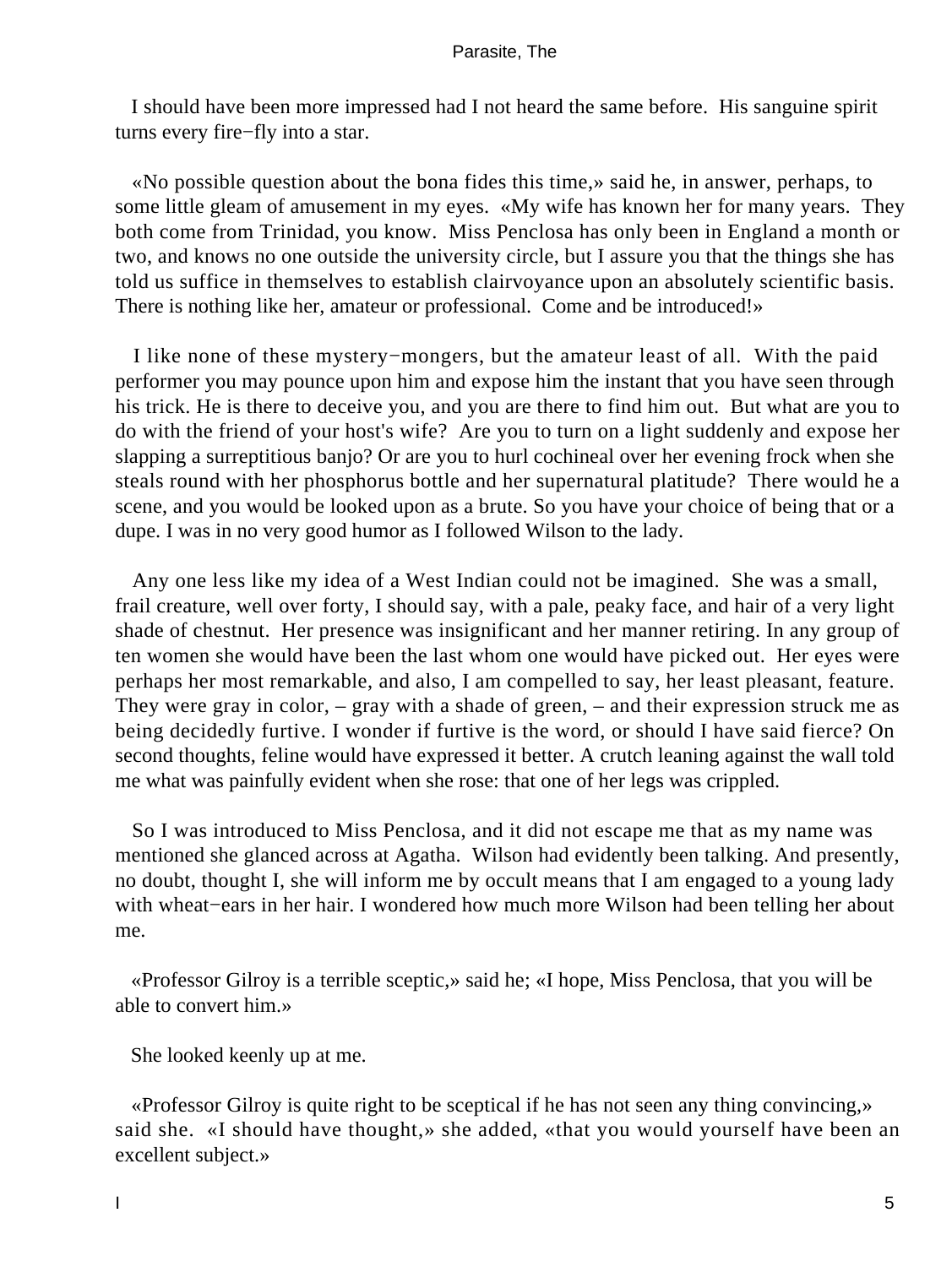I should have been more impressed had I not heard the same before. His sanguine spirit turns every fire−fly into a star.

 «No possible question about the bona fides this time,» said he, in answer, perhaps, to some little gleam of amusement in my eyes. «My wife has known her for many years. They both come from Trinidad, you know. Miss Penclosa has only been in England a month or two, and knows no one outside the university circle, but I assure you that the things she has told us suffice in themselves to establish clairvoyance upon an absolutely scientific basis. There is nothing like her, amateur or professional. Come and be introduced!»

 I like none of these mystery−mongers, but the amateur least of all. With the paid performer you may pounce upon him and expose him the instant that you have seen through his trick. He is there to deceive you, and you are there to find him out. But what are you to do with the friend of your host's wife? Are you to turn on a light suddenly and expose her slapping a surreptitious banjo? Or are you to hurl cochineal over her evening frock when she steals round with her phosphorus bottle and her supernatural platitude? There would he a scene, and you would be looked upon as a brute. So you have your choice of being that or a dupe. I was in no very good humor as I followed Wilson to the lady.

 Any one less like my idea of a West Indian could not be imagined. She was a small, frail creature, well over forty, I should say, with a pale, peaky face, and hair of a very light shade of chestnut. Her presence was insignificant and her manner retiring. In any group of ten women she would have been the last whom one would have picked out. Her eyes were perhaps her most remarkable, and also, I am compelled to say, her least pleasant, feature. They were gray in color, – gray with a shade of green, – and their expression struck me as being decidedly furtive. I wonder if furtive is the word, or should I have said fierce? On second thoughts, feline would have expressed it better. A crutch leaning against the wall told me what was painfully evident when she rose: that one of her legs was crippled.

 So I was introduced to Miss Penclosa, and it did not escape me that as my name was mentioned she glanced across at Agatha. Wilson had evidently been talking. And presently, no doubt, thought I, she will inform me by occult means that I am engaged to a young lady with wheat−ears in her hair. I wondered how much more Wilson had been telling her about me.

 «Professor Gilroy is a terrible sceptic,» said he; «I hope, Miss Penclosa, that you will be able to convert him.»

She looked keenly up at me.

 «Professor Gilroy is quite right to be sceptical if he has not seen any thing convincing,» said she. «I should have thought,» she added, «that you would yourself have been an excellent subject.»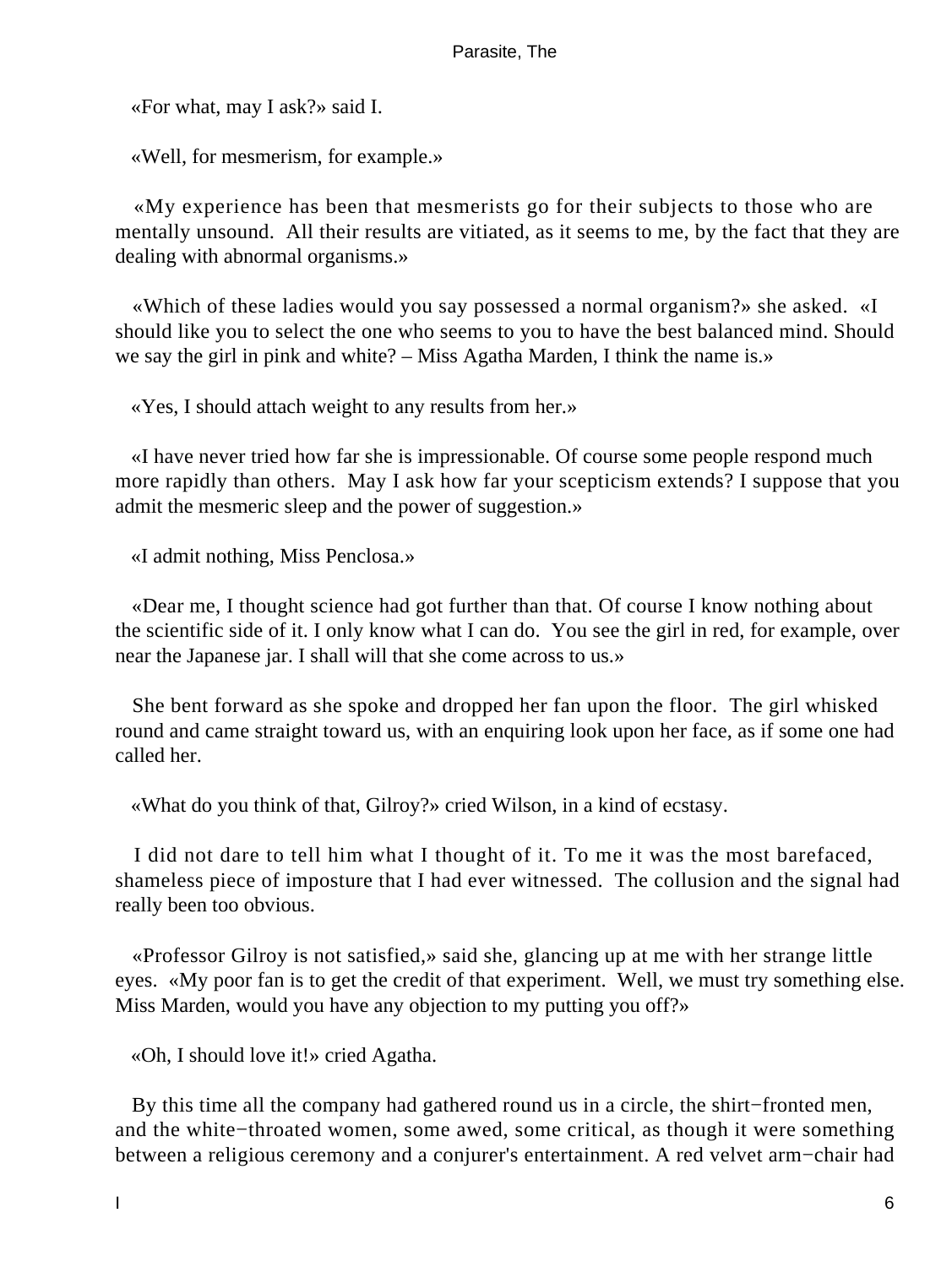«For what, may I ask?» said I.

«Well, for mesmerism, for example.»

 «My experience has been that mesmerists go for their subjects to those who are mentally unsound. All their results are vitiated, as it seems to me, by the fact that they are dealing with abnormal organisms.»

 «Which of these ladies would you say possessed a normal organism?» she asked. «I should like you to select the one who seems to you to have the best balanced mind. Should we say the girl in pink and white? – Miss Agatha Marden, I think the name is.»

«Yes, I should attach weight to any results from her.»

 «I have never tried how far she is impressionable. Of course some people respond much more rapidly than others. May I ask how far your scepticism extends? I suppose that you admit the mesmeric sleep and the power of suggestion.»

«I admit nothing, Miss Penclosa.»

 «Dear me, I thought science had got further than that. Of course I know nothing about the scientific side of it. I only know what I can do. You see the girl in red, for example, over near the Japanese jar. I shall will that she come across to us.»

 She bent forward as she spoke and dropped her fan upon the floor. The girl whisked round and came straight toward us, with an enquiring look upon her face, as if some one had called her.

«What do you think of that, Gilroy?» cried Wilson, in a kind of ecstasy.

 I did not dare to tell him what I thought of it. To me it was the most barefaced, shameless piece of imposture that I had ever witnessed. The collusion and the signal had really been too obvious.

 «Professor Gilroy is not satisfied,» said she, glancing up at me with her strange little eyes. «My poor fan is to get the credit of that experiment. Well, we must try something else. Miss Marden, would you have any objection to my putting you off?»

«Oh, I should love it!» cried Agatha.

 By this time all the company had gathered round us in a circle, the shirt−fronted men, and the white−throated women, some awed, some critical, as though it were something between a religious ceremony and a conjurer's entertainment. A red velvet arm−chair had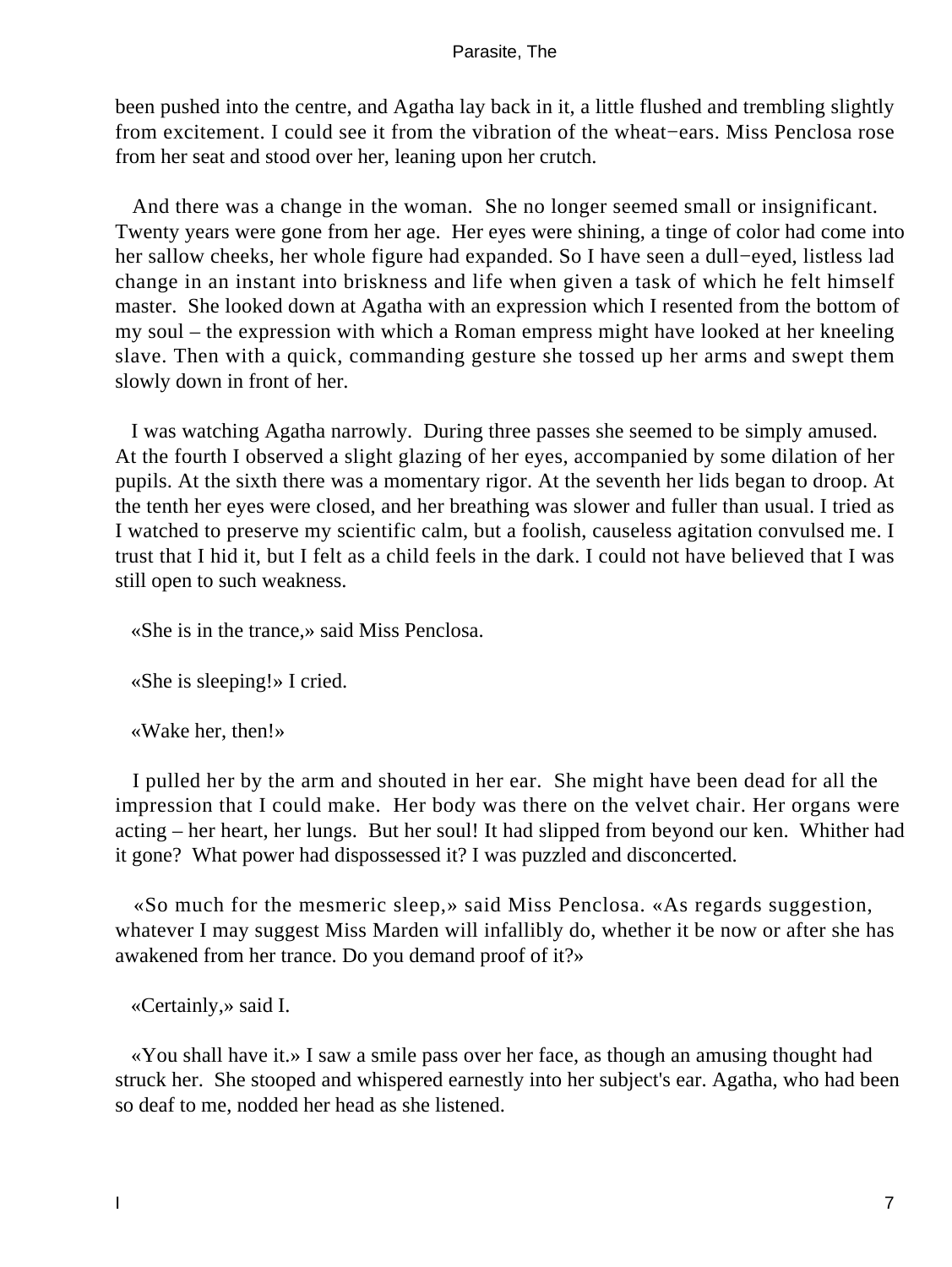been pushed into the centre, and Agatha lay back in it, a little flushed and trembling slightly from excitement. I could see it from the vibration of the wheat−ears. Miss Penclosa rose from her seat and stood over her, leaning upon her crutch.

 And there was a change in the woman. She no longer seemed small or insignificant. Twenty years were gone from her age. Her eyes were shining, a tinge of color had come into her sallow cheeks, her whole figure had expanded. So I have seen a dull−eyed, listless lad change in an instant into briskness and life when given a task of which he felt himself master. She looked down at Agatha with an expression which I resented from the bottom of my soul – the expression with which a Roman empress might have looked at her kneeling slave. Then with a quick, commanding gesture she tossed up her arms and swept them slowly down in front of her.

 I was watching Agatha narrowly. During three passes she seemed to be simply amused. At the fourth I observed a slight glazing of her eyes, accompanied by some dilation of her pupils. At the sixth there was a momentary rigor. At the seventh her lids began to droop. At the tenth her eyes were closed, and her breathing was slower and fuller than usual. I tried as I watched to preserve my scientific calm, but a foolish, causeless agitation convulsed me. I trust that I hid it, but I felt as a child feels in the dark. I could not have believed that I was still open to such weakness.

«She is in the trance,» said Miss Penclosa.

«She is sleeping!» I cried.

«Wake her, then!»

 I pulled her by the arm and shouted in her ear. She might have been dead for all the impression that I could make. Her body was there on the velvet chair. Her organs were acting – her heart, her lungs. But her soul! It had slipped from beyond our ken. Whither had it gone? What power had dispossessed it? I was puzzled and disconcerted.

 «So much for the mesmeric sleep,» said Miss Penclosa. «As regards suggestion, whatever I may suggest Miss Marden will infallibly do, whether it be now or after she has awakened from her trance. Do you demand proof of it?»

«Certainly,» said I.

 «You shall have it.» I saw a smile pass over her face, as though an amusing thought had struck her. She stooped and whispered earnestly into her subject's ear. Agatha, who had been so deaf to me, nodded her head as she listened.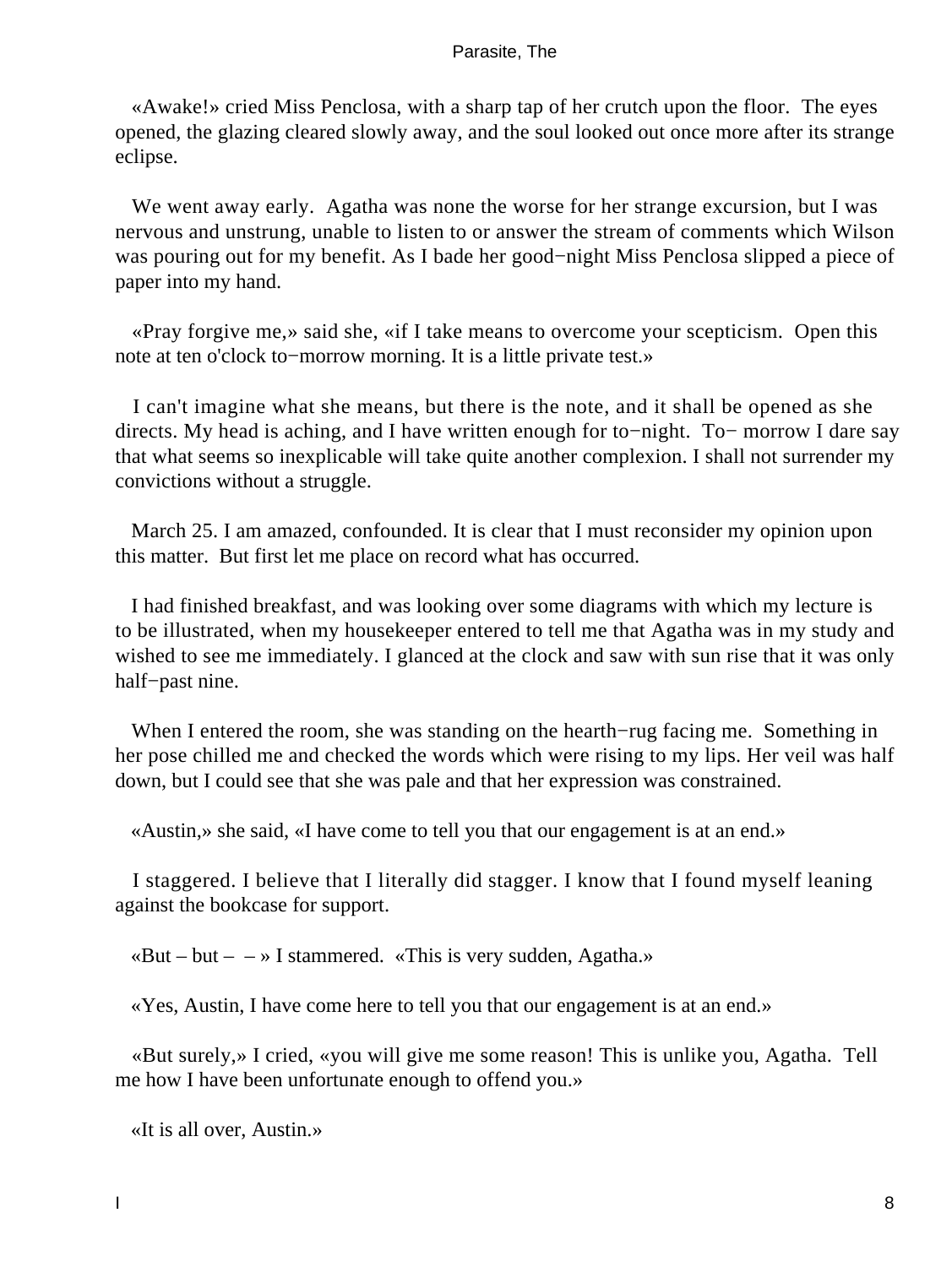«Awake!» cried Miss Penclosa, with a sharp tap of her crutch upon the floor. The eyes opened, the glazing cleared slowly away, and the soul looked out once more after its strange eclipse.

We went away early. Agatha was none the worse for her strange excursion, but I was nervous and unstrung, unable to listen to or answer the stream of comments which Wilson was pouring out for my benefit. As I bade her good−night Miss Penclosa slipped a piece of paper into my hand.

 «Pray forgive me,» said she, «if I take means to overcome your scepticism. Open this note at ten o'clock to−morrow morning. It is a little private test.»

 I can't imagine what she means, but there is the note, and it shall be opened as she directs. My head is aching, and I have written enough for to−night. To− morrow I dare say that what seems so inexplicable will take quite another complexion. I shall not surrender my convictions without a struggle.

 March 25. I am amazed, confounded. It is clear that I must reconsider my opinion upon this matter. But first let me place on record what has occurred.

 I had finished breakfast, and was looking over some diagrams with which my lecture is to be illustrated, when my housekeeper entered to tell me that Agatha was in my study and wished to see me immediately. I glanced at the clock and saw with sun rise that it was only half−past nine.

 When I entered the room, she was standing on the hearth−rug facing me. Something in her pose chilled me and checked the words which were rising to my lips. Her veil was half down, but I could see that she was pale and that her expression was constrained.

«Austin,» she said, «I have come to tell you that our engagement is at an end.»

 I staggered. I believe that I literally did stagger. I know that I found myself leaning against the bookcase for support.

 $\alpha$ But – but –  $\rightarrow$  I stammered.  $\alpha$ This is very sudden, Agatha.»

«Yes, Austin, I have come here to tell you that our engagement is at an end.»

 «But surely,» I cried, «you will give me some reason! This is unlike you, Agatha. Tell me how I have been unfortunate enough to offend you.»

«It is all over, Austin.»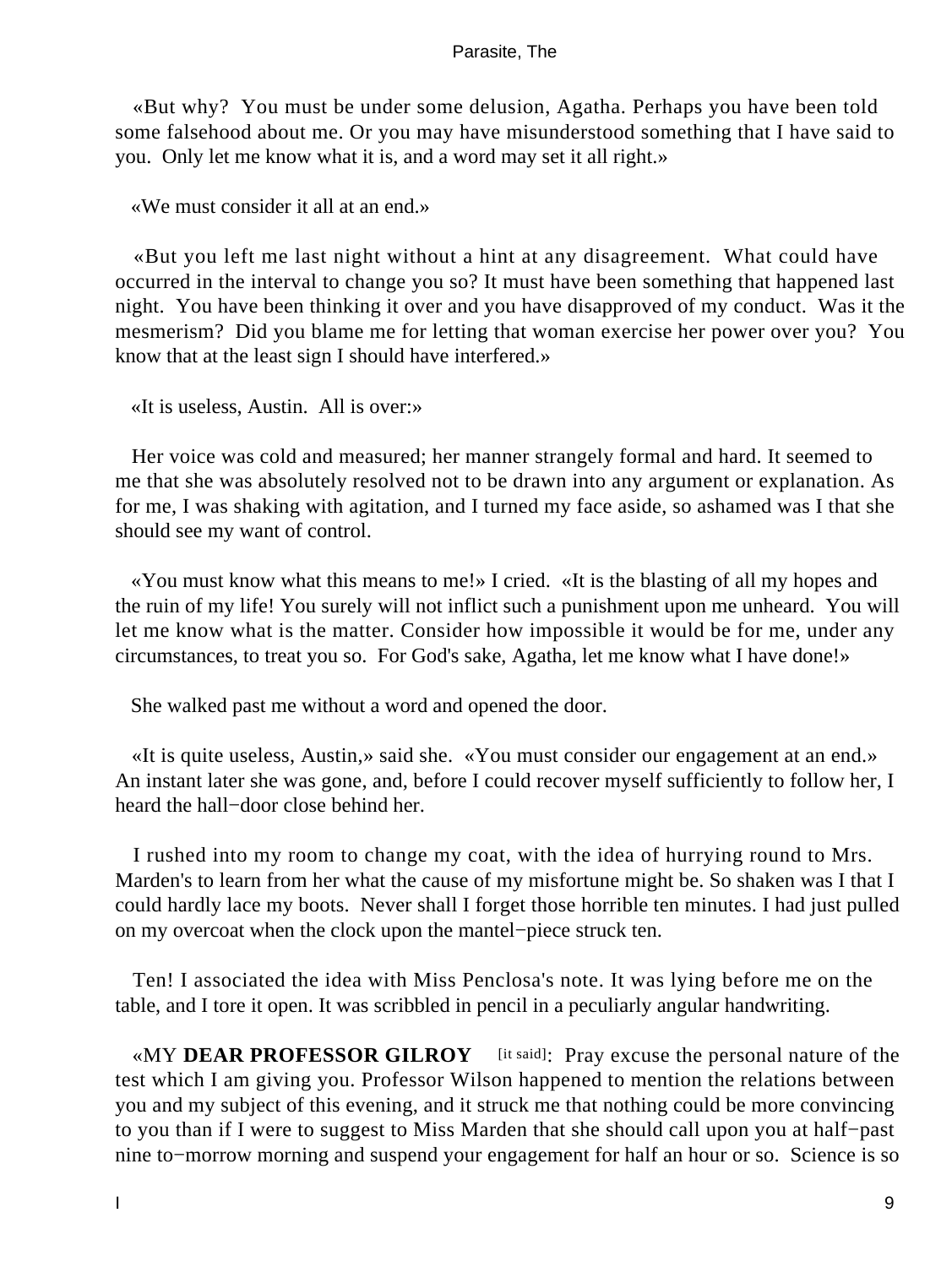«But why? You must be under some delusion, Agatha. Perhaps you have been told some falsehood about me. Or you may have misunderstood something that I have said to you. Only let me know what it is, and a word may set it all right.»

«We must consider it all at an end.»

 «But you left me last night without a hint at any disagreement. What could have occurred in the interval to change you so? It must have been something that happened last night. You have been thinking it over and you have disapproved of my conduct. Was it the mesmerism? Did you blame me for letting that woman exercise her power over you? You know that at the least sign I should have interfered.»

«It is useless, Austin. All is over:»

 Her voice was cold and measured; her manner strangely formal and hard. It seemed to me that she was absolutely resolved not to be drawn into any argument or explanation. As for me, I was shaking with agitation, and I turned my face aside, so ashamed was I that she should see my want of control.

 «You must know what this means to me!» I cried. «It is the blasting of all my hopes and the ruin of my life! You surely will not inflict such a punishment upon me unheard. You will let me know what is the matter. Consider how impossible it would be for me, under any circumstances, to treat you so. For God's sake, Agatha, let me know what I have done!»

She walked past me without a word and opened the door.

 «It is quite useless, Austin,» said she. «You must consider our engagement at an end.» An instant later she was gone, and, before I could recover myself sufficiently to follow her, I heard the hall−door close behind her.

 I rushed into my room to change my coat, with the idea of hurrying round to Mrs. Marden's to learn from her what the cause of my misfortune might be. So shaken was I that I could hardly lace my boots. Never shall I forget those horrible ten minutes. I had just pulled on my overcoat when the clock upon the mantel−piece struck ten.

 Ten! I associated the idea with Miss Penclosa's note. It was lying before me on the table, and I tore it open. It was scribbled in pencil in a peculiarly angular handwriting.

«MY **DEAR PROFESSOR GILROY** [it said]: Pray excuse the personal nature of the test which I am giving you. Professor Wilson happened to mention the relations between you and my subject of this evening, and it struck me that nothing could be more convincing to you than if I were to suggest to Miss Marden that she should call upon you at half−past nine to−morrow morning and suspend your engagement for half an hour or so. Science is so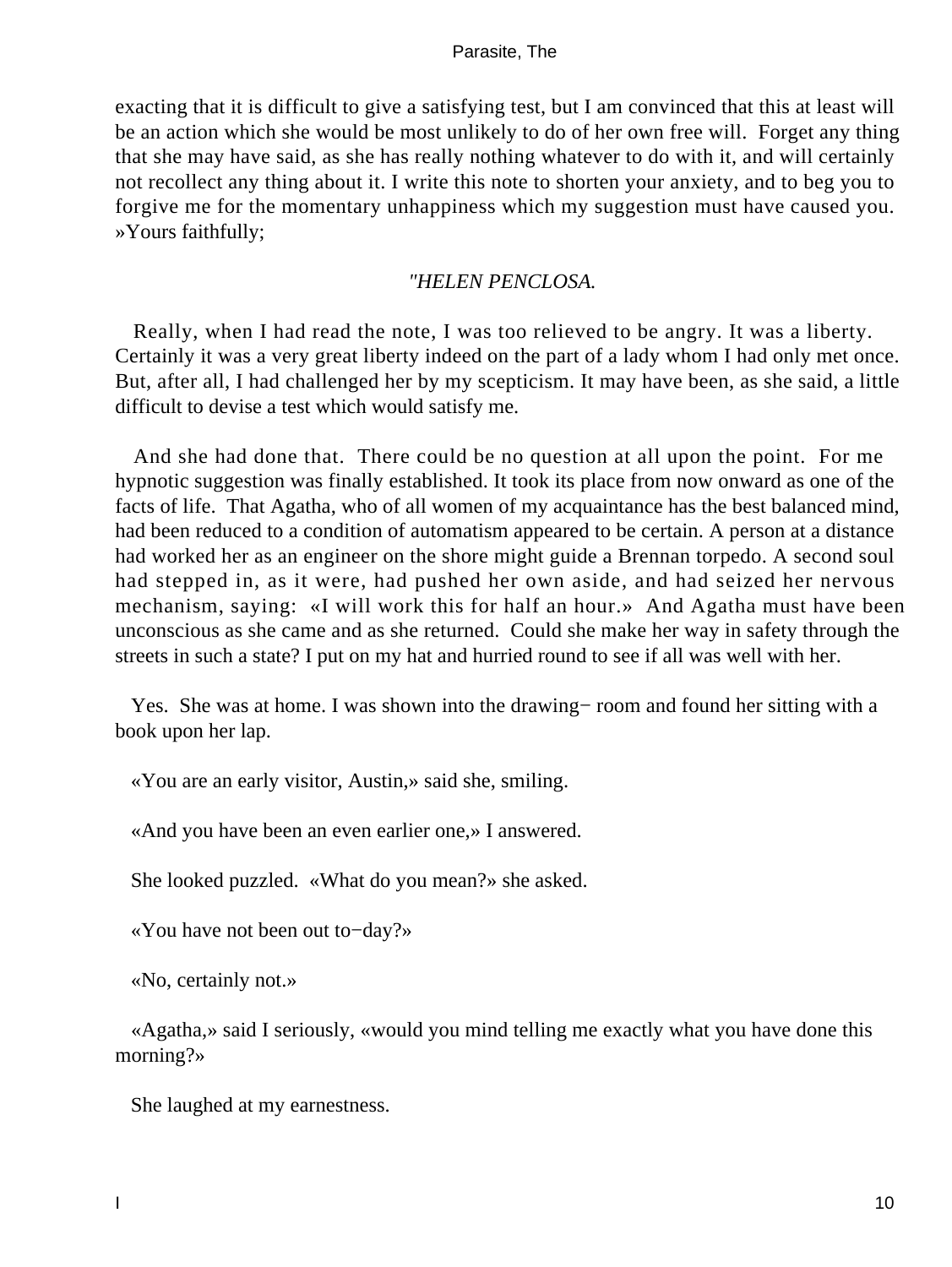exacting that it is difficult to give a satisfying test, but I am convinced that this at least will be an action which she would be most unlikely to do of her own free will. Forget any thing that she may have said, as she has really nothing whatever to do with it, and will certainly not recollect any thing about it. I write this note to shorten your anxiety, and to beg you to forgive me for the momentary unhappiness which my suggestion must have caused you. »Yours faithfully;

# *"HELEN PENCLOSA.*

 Really, when I had read the note, I was too relieved to be angry. It was a liberty. Certainly it was a very great liberty indeed on the part of a lady whom I had only met once. But, after all, I had challenged her by my scepticism. It may have been, as she said, a little difficult to devise a test which would satisfy me.

 And she had done that. There could be no question at all upon the point. For me hypnotic suggestion was finally established. It took its place from now onward as one of the facts of life. That Agatha, who of all women of my acquaintance has the best balanced mind, had been reduced to a condition of automatism appeared to be certain. A person at a distance had worked her as an engineer on the shore might guide a Brennan torpedo. A second soul had stepped in, as it were, had pushed her own aside, and had seized her nervous mechanism, saying: «I will work this for half an hour.» And Agatha must have been unconscious as she came and as she returned. Could she make her way in safety through the streets in such a state? I put on my hat and hurried round to see if all was well with her.

 Yes. She was at home. I was shown into the drawing− room and found her sitting with a book upon her lap.

«You are an early visitor, Austin,» said she, smiling.

«And you have been an even earlier one,» I answered.

She looked puzzled. «What do you mean?» she asked.

«You have not been out to−day?»

«No, certainly not.»

 «Agatha,» said I seriously, «would you mind telling me exactly what you have done this morning?»

She laughed at my earnestness.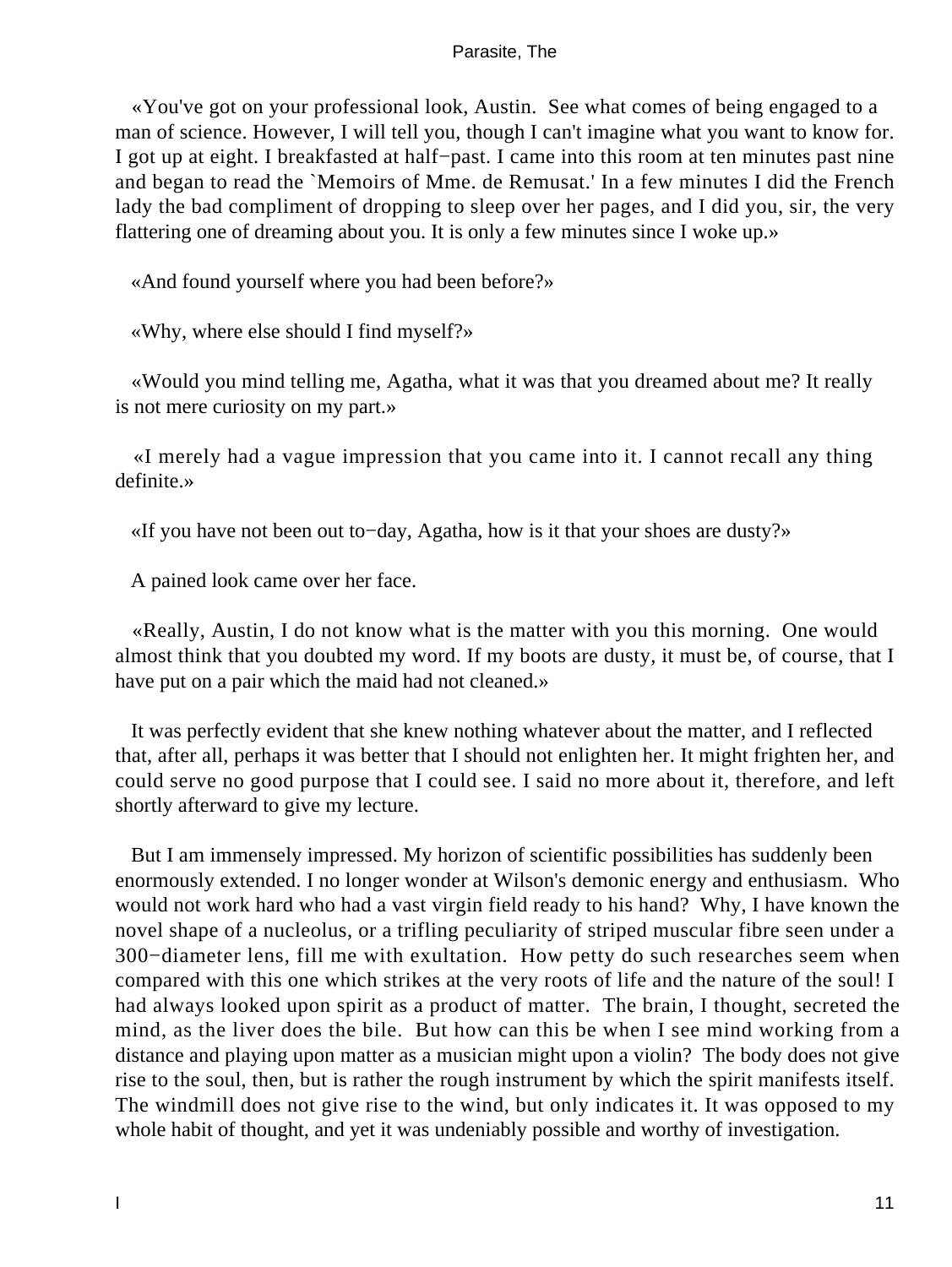«You've got on your professional look, Austin. See what comes of being engaged to a man of science. However, I will tell you, though I can't imagine what you want to know for. I got up at eight. I breakfasted at half−past. I came into this room at ten minutes past nine and began to read the `Memoirs of Mme. de Remusat.' In a few minutes I did the French lady the bad compliment of dropping to sleep over her pages, and I did you, sir, the very flattering one of dreaming about you. It is only a few minutes since I woke up.»

«And found yourself where you had been before?»

«Why, where else should I find myself?»

 «Would you mind telling me, Agatha, what it was that you dreamed about me? It really is not mere curiosity on my part.»

 «I merely had a vague impression that you came into it. I cannot recall any thing definite.»

«If you have not been out to−day, Agatha, how is it that your shoes are dusty?»

A pained look came over her face.

 «Really, Austin, I do not know what is the matter with you this morning. One would almost think that you doubted my word. If my boots are dusty, it must be, of course, that I have put on a pair which the maid had not cleaned.»

 It was perfectly evident that she knew nothing whatever about the matter, and I reflected that, after all, perhaps it was better that I should not enlighten her. It might frighten her, and could serve no good purpose that I could see. I said no more about it, therefore, and left shortly afterward to give my lecture.

 But I am immensely impressed. My horizon of scientific possibilities has suddenly been enormously extended. I no longer wonder at Wilson's demonic energy and enthusiasm. Who would not work hard who had a vast virgin field ready to his hand? Why, I have known the novel shape of a nucleolus, or a trifling peculiarity of striped muscular fibre seen under a 300−diameter lens, fill me with exultation. How petty do such researches seem when compared with this one which strikes at the very roots of life and the nature of the soul! I had always looked upon spirit as a product of matter. The brain, I thought, secreted the mind, as the liver does the bile. But how can this be when I see mind working from a distance and playing upon matter as a musician might upon a violin? The body does not give rise to the soul, then, but is rather the rough instrument by which the spirit manifests itself. The windmill does not give rise to the wind, but only indicates it. It was opposed to my whole habit of thought, and yet it was undeniably possible and worthy of investigation.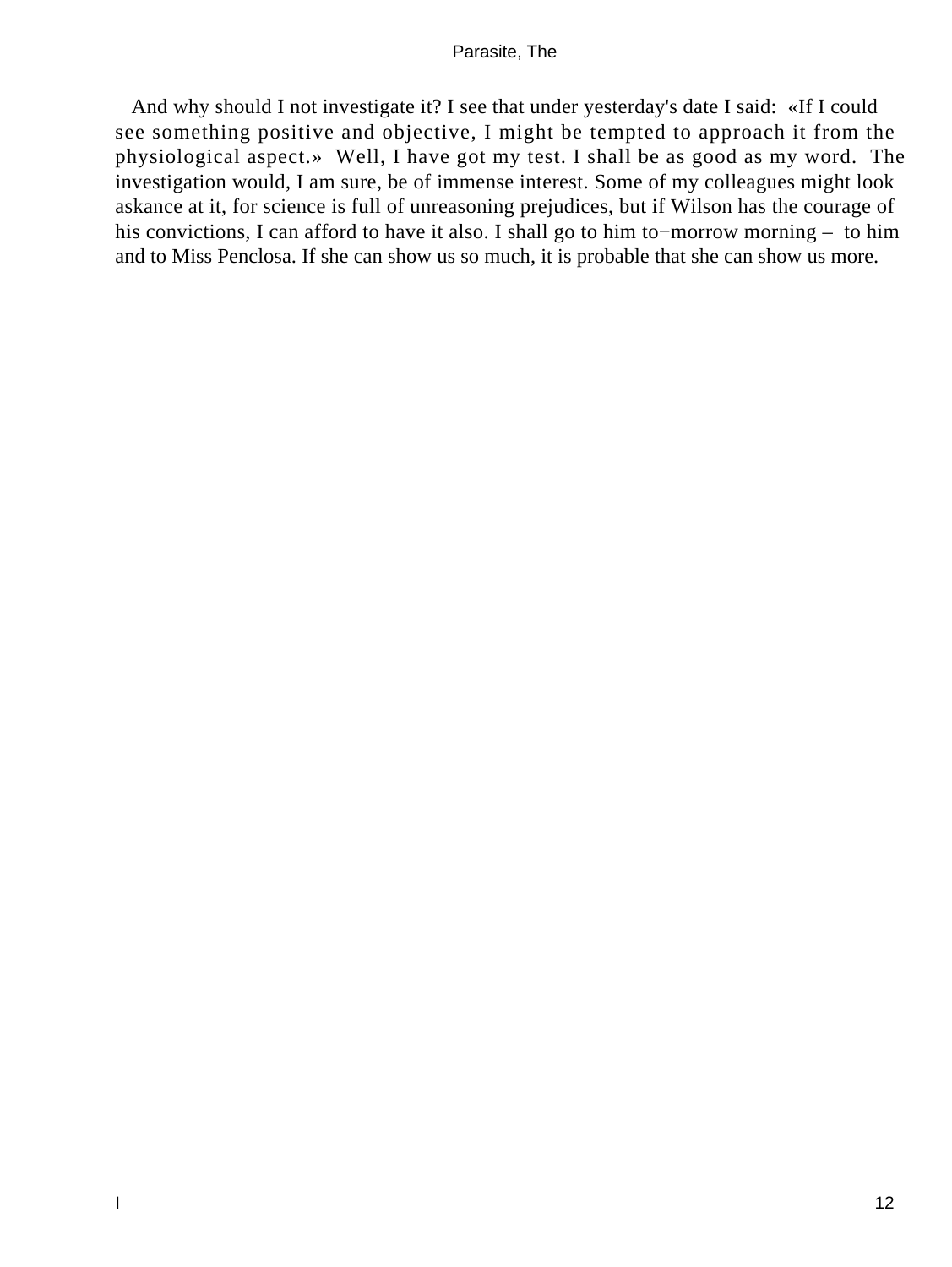And why should I not investigate it? I see that under yesterday's date I said: «If I could see something positive and objective, I might be tempted to approach it from the physiological aspect.» Well, I have got my test. I shall be as good as my word. The investigation would, I am sure, be of immense interest. Some of my colleagues might look askance at it, for science is full of unreasoning prejudices, but if Wilson has the courage of his convictions, I can afford to have it also. I shall go to him to−morrow morning – to him and to Miss Penclosa. If she can show us so much, it is probable that she can show us more.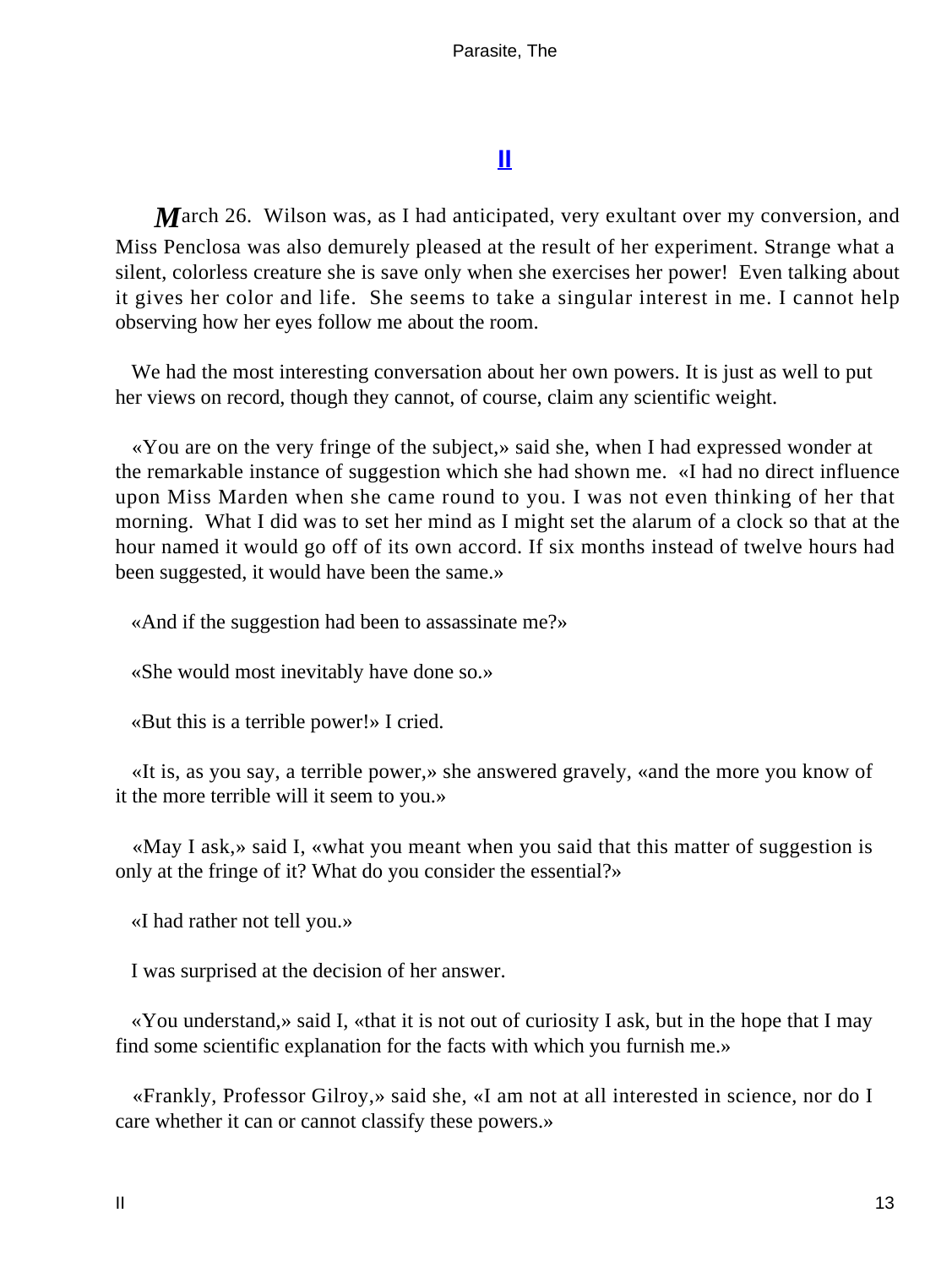# **[II](#page-39-0)**

<span id="page-13-0"></span>**M**arch 26. Wilson was, as I had anticipated, very exultant over my conversion, and Miss Penclosa was also demurely pleased at the result of her experiment. Strange what a silent, colorless creature she is save only when she exercises her power! Even talking about it gives her color and life. She seems to take a singular interest in me. I cannot help observing how her eyes follow me about the room.

 We had the most interesting conversation about her own powers. It is just as well to put her views on record, though they cannot, of course, claim any scientific weight.

 «You are on the very fringe of the subject,» said she, when I had expressed wonder at the remarkable instance of suggestion which she had shown me. «I had no direct influence upon Miss Marden when she came round to you. I was not even thinking of her that morning. What I did was to set her mind as I might set the alarum of a clock so that at the hour named it would go off of its own accord. If six months instead of twelve hours had been suggested, it would have been the same.»

«And if the suggestion had been to assassinate me?»

«She would most inevitably have done so.»

«But this is a terrible power!» I cried.

 «It is, as you say, a terrible power,» she answered gravely, «and the more you know of it the more terrible will it seem to you.»

 «May I ask,» said I, «what you meant when you said that this matter of suggestion is only at the fringe of it? What do you consider the essential?»

«I had rather not tell you.»

I was surprised at the decision of her answer.

 «You understand,» said I, «that it is not out of curiosity I ask, but in the hope that I may find some scientific explanation for the facts with which you furnish me.»

 «Frankly, Professor Gilroy,» said she, «I am not at all interested in science, nor do I care whether it can or cannot classify these powers.»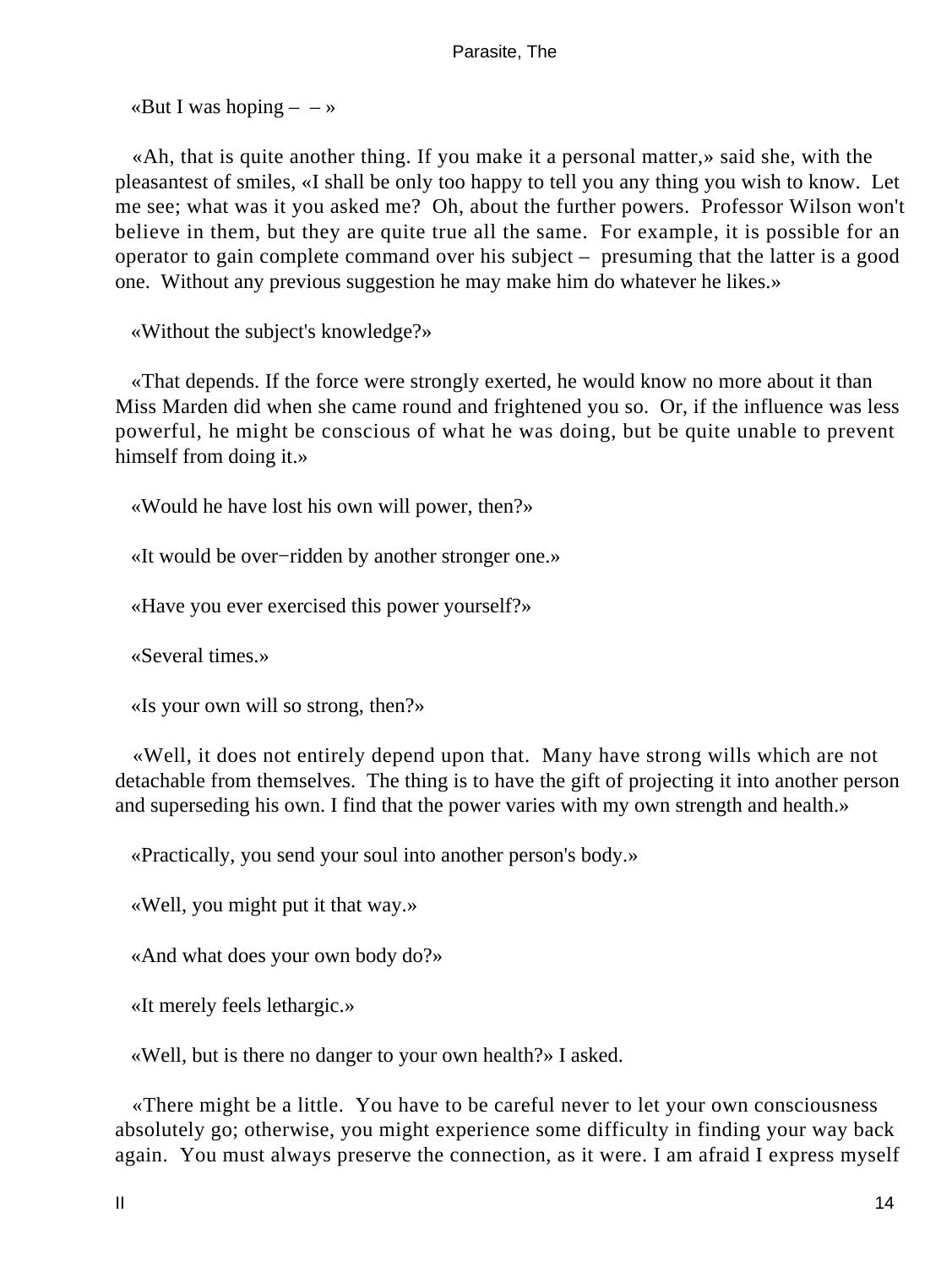«But I was hoping  $- \rightarrow \infty$ 

 «Ah, that is quite another thing. If you make it a personal matter,» said she, with the pleasantest of smiles, «I shall be only too happy to tell you any thing you wish to know. Let me see; what was it you asked me? Oh, about the further powers. Professor Wilson won't believe in them, but they are quite true all the same. For example, it is possible for an operator to gain complete command over his subject – presuming that the latter is a good one. Without any previous suggestion he may make him do whatever he likes.»

«Without the subject's knowledge?»

 «That depends. If the force were strongly exerted, he would know no more about it than Miss Marden did when she came round and frightened you so. Or, if the influence was less powerful, he might be conscious of what he was doing, but be quite unable to prevent himself from doing it.»

«Would he have lost his own will power, then?»

«It would be over−ridden by another stronger one.»

«Have you ever exercised this power yourself?»

«Several times.»

«Is your own will so strong, then?»

 «Well, it does not entirely depend upon that. Many have strong wills which are not detachable from themselves. The thing is to have the gift of projecting it into another person and superseding his own. I find that the power varies with my own strength and health.»

«Practically, you send your soul into another person's body.»

«Well, you might put it that way.»

«And what does your own body do?»

«It merely feels lethargic.»

«Well, but is there no danger to your own health?» I asked.

 «There might be a little. You have to be careful never to let your own consciousness absolutely go; otherwise, you might experience some difficulty in finding your way back again. You must always preserve the connection, as it were. I am afraid I express myself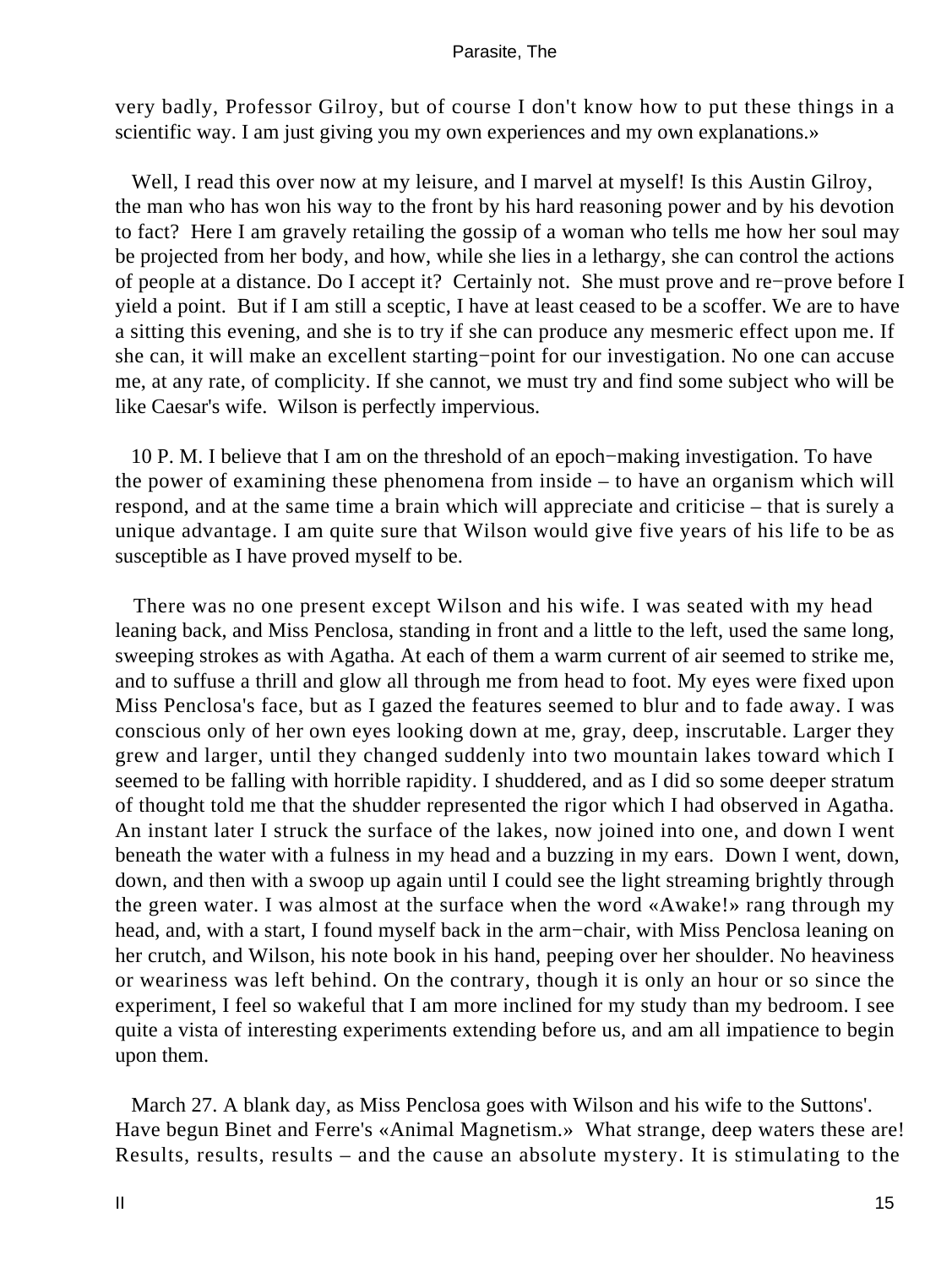very badly, Professor Gilroy, but of course I don't know how to put these things in a scientific way. I am just giving you my own experiences and my own explanations.»

Well, I read this over now at my leisure, and I marvel at myself! Is this Austin Gilroy, the man who has won his way to the front by his hard reasoning power and by his devotion to fact? Here I am gravely retailing the gossip of a woman who tells me how her soul may be projected from her body, and how, while she lies in a lethargy, she can control the actions of people at a distance. Do I accept it? Certainly not. She must prove and re−prove before I yield a point. But if I am still a sceptic, I have at least ceased to be a scoffer. We are to have a sitting this evening, and she is to try if she can produce any mesmeric effect upon me. If she can, it will make an excellent starting−point for our investigation. No one can accuse me, at any rate, of complicity. If she cannot, we must try and find some subject who will be like Caesar's wife. Wilson is perfectly impervious.

 10 P. M. I believe that I am on the threshold of an epoch−making investigation. To have the power of examining these phenomena from inside – to have an organism which will respond, and at the same time a brain which will appreciate and criticise – that is surely a unique advantage. I am quite sure that Wilson would give five years of his life to be as susceptible as I have proved myself to be.

 There was no one present except Wilson and his wife. I was seated with my head leaning back, and Miss Penclosa, standing in front and a little to the left, used the same long, sweeping strokes as with Agatha. At each of them a warm current of air seemed to strike me, and to suffuse a thrill and glow all through me from head to foot. My eyes were fixed upon Miss Penclosa's face, but as I gazed the features seemed to blur and to fade away. I was conscious only of her own eyes looking down at me, gray, deep, inscrutable. Larger they grew and larger, until they changed suddenly into two mountain lakes toward which I seemed to be falling with horrible rapidity. I shuddered, and as I did so some deeper stratum of thought told me that the shudder represented the rigor which I had observed in Agatha. An instant later I struck the surface of the lakes, now joined into one, and down I went beneath the water with a fulness in my head and a buzzing in my ears. Down I went, down, down, and then with a swoop up again until I could see the light streaming brightly through the green water. I was almost at the surface when the word «Awake!» rang through my head, and, with a start, I found myself back in the arm−chair, with Miss Penclosa leaning on her crutch, and Wilson, his note book in his hand, peeping over her shoulder. No heaviness or weariness was left behind. On the contrary, though it is only an hour or so since the experiment, I feel so wakeful that I am more inclined for my study than my bedroom. I see quite a vista of interesting experiments extending before us, and am all impatience to begin upon them.

 March 27. A blank day, as Miss Penclosa goes with Wilson and his wife to the Suttons'. Have begun Binet and Ferre's «Animal Magnetism.» What strange, deep waters these are! Results, results, results – and the cause an absolute mystery. It is stimulating to the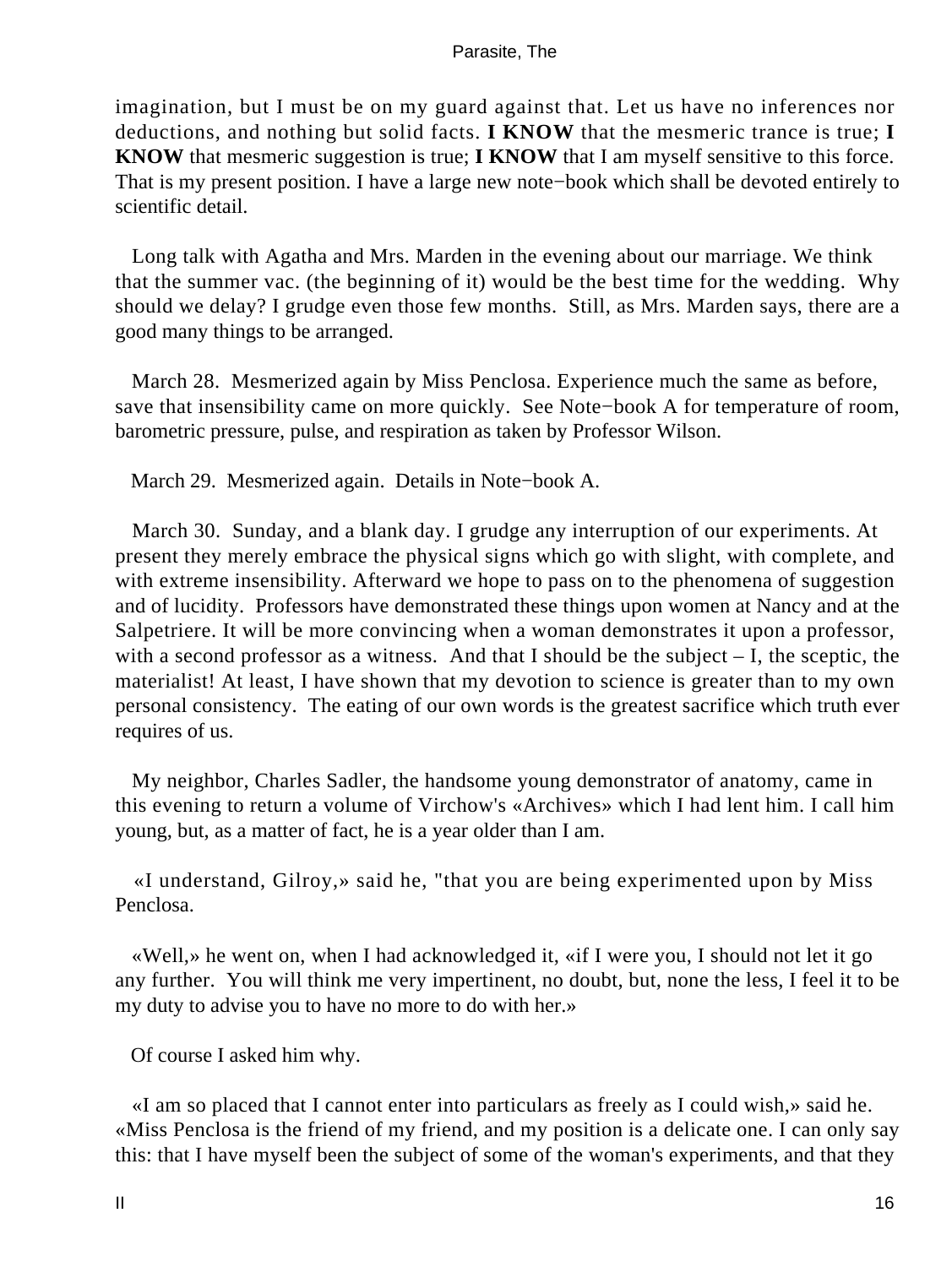imagination, but I must be on my guard against that. Let us have no inferences nor deductions, and nothing but solid facts. **I KNOW** that the mesmeric trance is true; **I KNOW** that mesmeric suggestion is true; **I KNOW** that I am myself sensitive to this force. That is my present position. I have a large new note−book which shall be devoted entirely to scientific detail.

 Long talk with Agatha and Mrs. Marden in the evening about our marriage. We think that the summer vac. (the beginning of it) would be the best time for the wedding. Why should we delay? I grudge even those few months. Still, as Mrs. Marden says, there are a good many things to be arranged.

 March 28. Mesmerized again by Miss Penclosa. Experience much the same as before, save that insensibility came on more quickly. See Note−book A for temperature of room, barometric pressure, pulse, and respiration as taken by Professor Wilson.

March 29. Mesmerized again. Details in Note−book A.

 March 30. Sunday, and a blank day. I grudge any interruption of our experiments. At present they merely embrace the physical signs which go with slight, with complete, and with extreme insensibility. Afterward we hope to pass on to the phenomena of suggestion and of lucidity. Professors have demonstrated these things upon women at Nancy and at the Salpetriere. It will be more convincing when a woman demonstrates it upon a professor, with a second professor as a witness. And that I should be the subject  $- I$ , the sceptic, the materialist! At least, I have shown that my devotion to science is greater than to my own personal consistency. The eating of our own words is the greatest sacrifice which truth ever requires of us.

 My neighbor, Charles Sadler, the handsome young demonstrator of anatomy, came in this evening to return a volume of Virchow's «Archives» which I had lent him. I call him young, but, as a matter of fact, he is a year older than I am.

 «I understand, Gilroy,» said he, "that you are being experimented upon by Miss Penclosa.

 «Well,» he went on, when I had acknowledged it, «if I were you, I should not let it go any further. You will think me very impertinent, no doubt, but, none the less, I feel it to be my duty to advise you to have no more to do with her.»

Of course I asked him why.

 «I am so placed that I cannot enter into particulars as freely as I could wish,» said he. «Miss Penclosa is the friend of my friend, and my position is a delicate one. I can only say this: that I have myself been the subject of some of the woman's experiments, and that they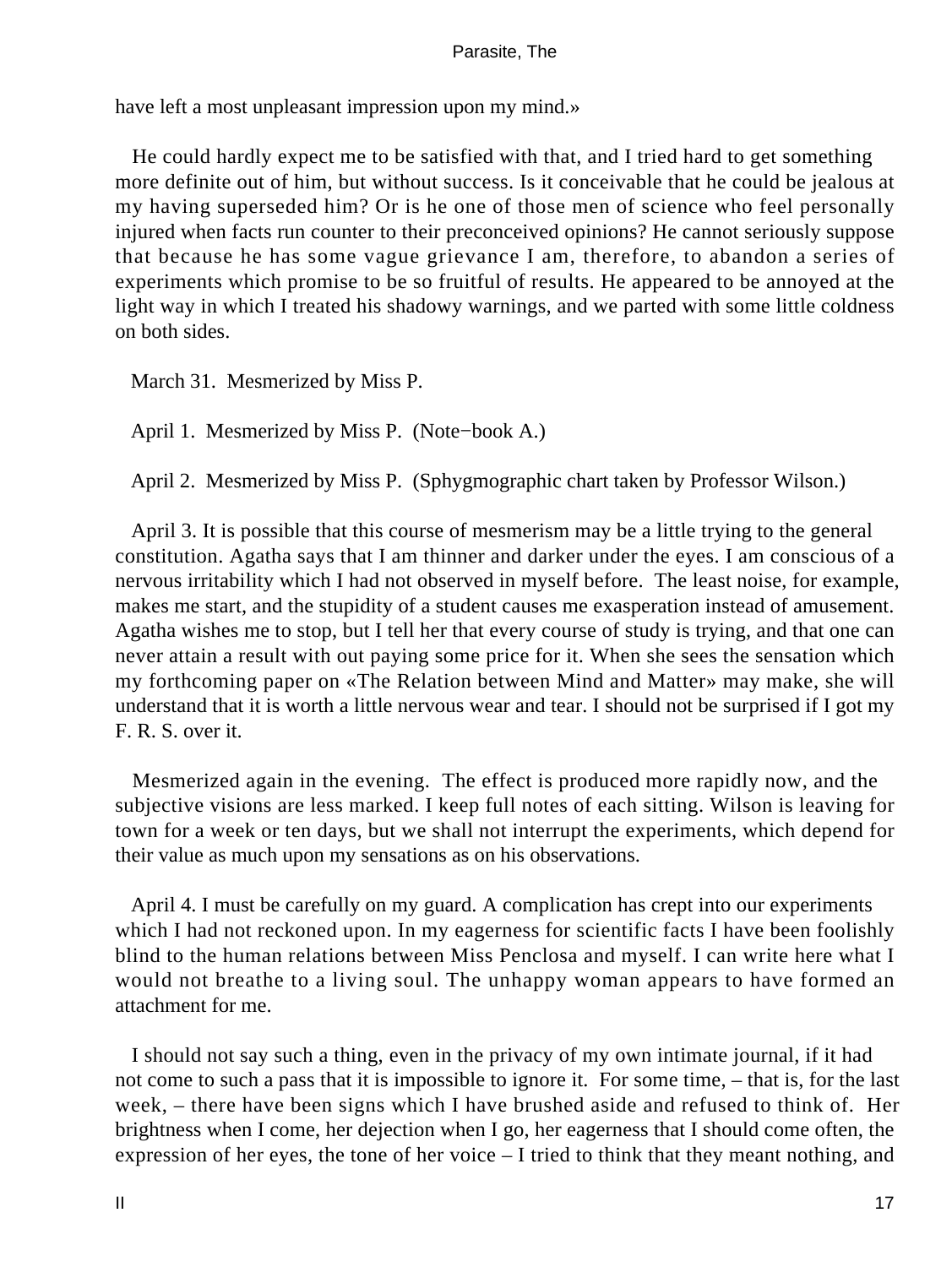have left a most unpleasant impression upon my mind.»

 He could hardly expect me to be satisfied with that, and I tried hard to get something more definite out of him, but without success. Is it conceivable that he could be jealous at my having superseded him? Or is he one of those men of science who feel personally injured when facts run counter to their preconceived opinions? He cannot seriously suppose that because he has some vague grievance I am, therefore, to abandon a series of experiments which promise to be so fruitful of results. He appeared to be annoyed at the light way in which I treated his shadowy warnings, and we parted with some little coldness on both sides.

March 31. Mesmerized by Miss P.

April 1. Mesmerized by Miss P. (Note−book A.)

April 2. Mesmerized by Miss P. (Sphygmographic chart taken by Professor Wilson.)

 April 3. It is possible that this course of mesmerism may be a little trying to the general constitution. Agatha says that I am thinner and darker under the eyes. I am conscious of a nervous irritability which I had not observed in myself before. The least noise, for example, makes me start, and the stupidity of a student causes me exasperation instead of amusement. Agatha wishes me to stop, but I tell her that every course of study is trying, and that one can never attain a result with out paying some price for it. When she sees the sensation which my forthcoming paper on «The Relation between Mind and Matter» may make, she will understand that it is worth a little nervous wear and tear. I should not be surprised if I got my F. R. S. over it.

 Mesmerized again in the evening. The effect is produced more rapidly now, and the subjective visions are less marked. I keep full notes of each sitting. Wilson is leaving for town for a week or ten days, but we shall not interrupt the experiments, which depend for their value as much upon my sensations as on his observations.

 April 4. I must be carefully on my guard. A complication has crept into our experiments which I had not reckoned upon. In my eagerness for scientific facts I have been foolishly blind to the human relations between Miss Penclosa and myself. I can write here what I would not breathe to a living soul. The unhappy woman appears to have formed an attachment for me.

 I should not say such a thing, even in the privacy of my own intimate journal, if it had not come to such a pass that it is impossible to ignore it. For some time, – that is, for the last week, – there have been signs which I have brushed aside and refused to think of. Her brightness when I come, her dejection when I go, her eagerness that I should come often, the expression of her eyes, the tone of her voice – I tried to think that they meant nothing, and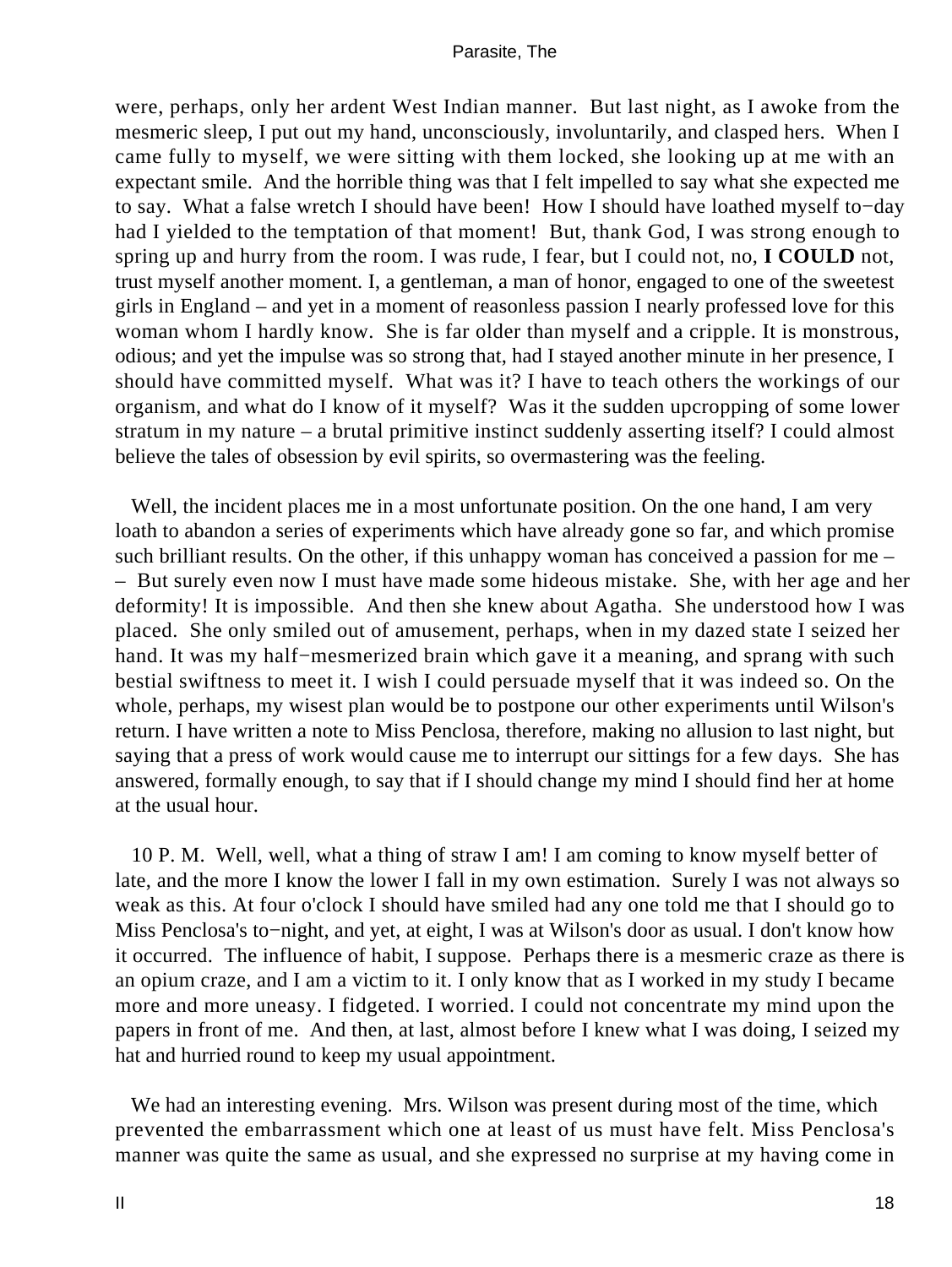were, perhaps, only her ardent West Indian manner. But last night, as I awoke from the mesmeric sleep, I put out my hand, unconsciously, involuntarily, and clasped hers. When I came fully to myself, we were sitting with them locked, she looking up at me with an expectant smile. And the horrible thing was that I felt impelled to say what she expected me to say. What a false wretch I should have been! How I should have loathed myself to−day had I yielded to the temptation of that moment! But, thank God, I was strong enough to spring up and hurry from the room. I was rude, I fear, but I could not, no, **I COULD** not, trust myself another moment. I, a gentleman, a man of honor, engaged to one of the sweetest girls in England – and yet in a moment of reasonless passion I nearly professed love for this woman whom I hardly know. She is far older than myself and a cripple. It is monstrous, odious; and yet the impulse was so strong that, had I stayed another minute in her presence, I should have committed myself. What was it? I have to teach others the workings of our organism, and what do I know of it myself? Was it the sudden upcropping of some lower stratum in my nature – a brutal primitive instinct suddenly asserting itself? I could almost believe the tales of obsession by evil spirits, so overmastering was the feeling.

 Well, the incident places me in a most unfortunate position. On the one hand, I am very loath to abandon a series of experiments which have already gone so far, and which promise such brilliant results. On the other, if this unhappy woman has conceived a passion for me – – But surely even now I must have made some hideous mistake. She, with her age and her deformity! It is impossible. And then she knew about Agatha. She understood how I was placed. She only smiled out of amusement, perhaps, when in my dazed state I seized her hand. It was my half−mesmerized brain which gave it a meaning, and sprang with such bestial swiftness to meet it. I wish I could persuade myself that it was indeed so. On the whole, perhaps, my wisest plan would be to postpone our other experiments until Wilson's return. I have written a note to Miss Penclosa, therefore, making no allusion to last night, but saying that a press of work would cause me to interrupt our sittings for a few days. She has answered, formally enough, to say that if I should change my mind I should find her at home at the usual hour.

 10 P. M. Well, well, what a thing of straw I am! I am coming to know myself better of late, and the more I know the lower I fall in my own estimation. Surely I was not always so weak as this. At four o'clock I should have smiled had any one told me that I should go to Miss Penclosa's to−night, and yet, at eight, I was at Wilson's door as usual. I don't know how it occurred. The influence of habit, I suppose. Perhaps there is a mesmeric craze as there is an opium craze, and I am a victim to it. I only know that as I worked in my study I became more and more uneasy. I fidgeted. I worried. I could not concentrate my mind upon the papers in front of me. And then, at last, almost before I knew what I was doing, I seized my hat and hurried round to keep my usual appointment.

 We had an interesting evening. Mrs. Wilson was present during most of the time, which prevented the embarrassment which one at least of us must have felt. Miss Penclosa's manner was quite the same as usual, and she expressed no surprise at my having come in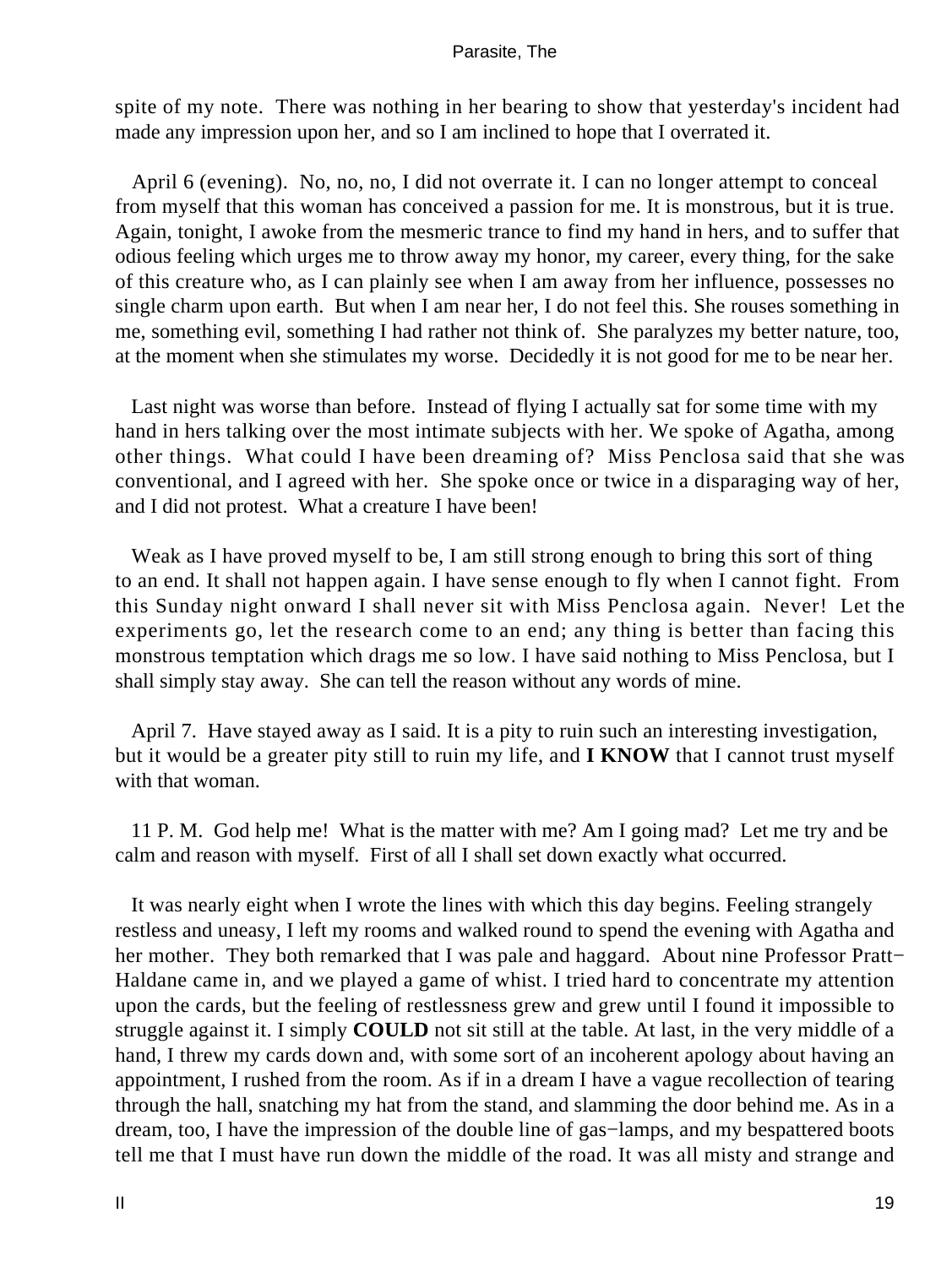spite of my note. There was nothing in her bearing to show that yesterday's incident had made any impression upon her, and so I am inclined to hope that I overrated it.

 April 6 (evening). No, no, no, I did not overrate it. I can no longer attempt to conceal from myself that this woman has conceived a passion for me. It is monstrous, but it is true. Again, tonight, I awoke from the mesmeric trance to find my hand in hers, and to suffer that odious feeling which urges me to throw away my honor, my career, every thing, for the sake of this creature who, as I can plainly see when I am away from her influence, possesses no single charm upon earth. But when I am near her, I do not feel this. She rouses something in me, something evil, something I had rather not think of. She paralyzes my better nature, too, at the moment when she stimulates my worse. Decidedly it is not good for me to be near her.

 Last night was worse than before. Instead of flying I actually sat for some time with my hand in hers talking over the most intimate subjects with her. We spoke of Agatha, among other things. What could I have been dreaming of? Miss Penclosa said that she was conventional, and I agreed with her. She spoke once or twice in a disparaging way of her, and I did not protest. What a creature I have been!

 Weak as I have proved myself to be, I am still strong enough to bring this sort of thing to an end. It shall not happen again. I have sense enough to fly when I cannot fight. From this Sunday night onward I shall never sit with Miss Penclosa again. Never! Let the experiments go, let the research come to an end; any thing is better than facing this monstrous temptation which drags me so low. I have said nothing to Miss Penclosa, but I shall simply stay away. She can tell the reason without any words of mine.

 April 7. Have stayed away as I said. It is a pity to ruin such an interesting investigation, but it would be a greater pity still to ruin my life, and **I KNOW** that I cannot trust myself with that woman.

 11 P. M. God help me! What is the matter with me? Am I going mad? Let me try and be calm and reason with myself. First of all I shall set down exactly what occurred.

 It was nearly eight when I wrote the lines with which this day begins. Feeling strangely restless and uneasy, I left my rooms and walked round to spend the evening with Agatha and her mother. They both remarked that I was pale and haggard. About nine Professor Pratt− Haldane came in, and we played a game of whist. I tried hard to concentrate my attention upon the cards, but the feeling of restlessness grew and grew until I found it impossible to struggle against it. I simply **COULD** not sit still at the table. At last, in the very middle of a hand, I threw my cards down and, with some sort of an incoherent apology about having an appointment, I rushed from the room. As if in a dream I have a vague recollection of tearing through the hall, snatching my hat from the stand, and slamming the door behind me. As in a dream, too, I have the impression of the double line of gas−lamps, and my bespattered boots tell me that I must have run down the middle of the road. It was all misty and strange and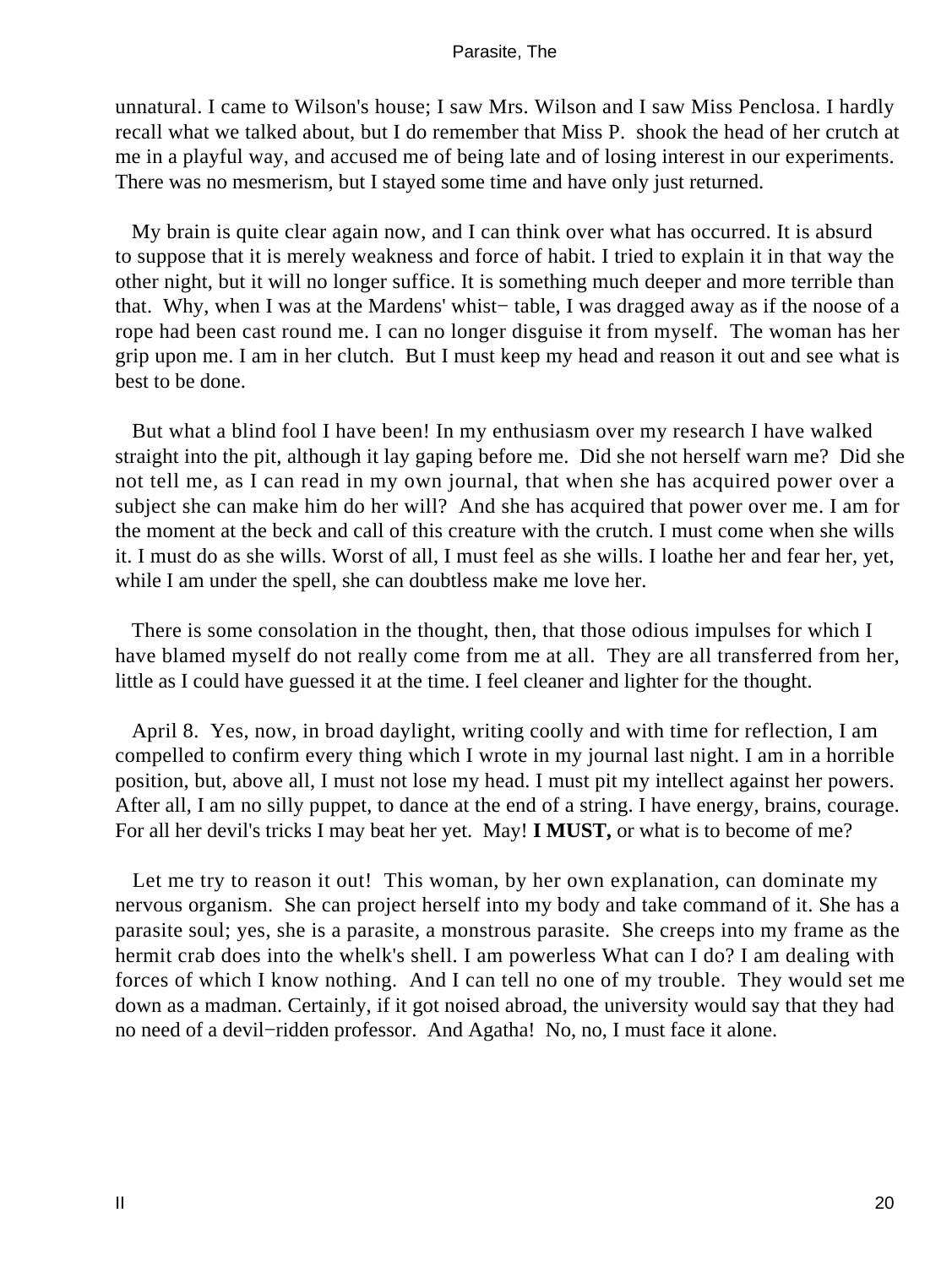unnatural. I came to Wilson's house; I saw Mrs. Wilson and I saw Miss Penclosa. I hardly recall what we talked about, but I do remember that Miss P. shook the head of her crutch at me in a playful way, and accused me of being late and of losing interest in our experiments. There was no mesmerism, but I stayed some time and have only just returned.

 My brain is quite clear again now, and I can think over what has occurred. It is absurd to suppose that it is merely weakness and force of habit. I tried to explain it in that way the other night, but it will no longer suffice. It is something much deeper and more terrible than that. Why, when I was at the Mardens' whist− table, I was dragged away as if the noose of a rope had been cast round me. I can no longer disguise it from myself. The woman has her grip upon me. I am in her clutch. But I must keep my head and reason it out and see what is best to be done.

 But what a blind fool I have been! In my enthusiasm over my research I have walked straight into the pit, although it lay gaping before me. Did she not herself warn me? Did she not tell me, as I can read in my own journal, that when she has acquired power over a subject she can make him do her will? And she has acquired that power over me. I am for the moment at the beck and call of this creature with the crutch. I must come when she wills it. I must do as she wills. Worst of all, I must feel as she wills. I loathe her and fear her, yet, while I am under the spell, she can doubtless make me love her.

 There is some consolation in the thought, then, that those odious impulses for which I have blamed myself do not really come from me at all. They are all transferred from her, little as I could have guessed it at the time. I feel cleaner and lighter for the thought.

 April 8. Yes, now, in broad daylight, writing coolly and with time for reflection, I am compelled to confirm every thing which I wrote in my journal last night. I am in a horrible position, but, above all, I must not lose my head. I must pit my intellect against her powers. After all, I am no silly puppet, to dance at the end of a string. I have energy, brains, courage. For all her devil's tricks I may beat her yet. May! **I MUST,** or what is to become of me?

Let me try to reason it out! This woman, by her own explanation, can dominate my nervous organism. She can project herself into my body and take command of it. She has a parasite soul; yes, she is a parasite, a monstrous parasite. She creeps into my frame as the hermit crab does into the whelk's shell. I am powerless What can I do? I am dealing with forces of which I know nothing. And I can tell no one of my trouble. They would set me down as a madman. Certainly, if it got noised abroad, the university would say that they had no need of a devil−ridden professor. And Agatha! No, no, I must face it alone.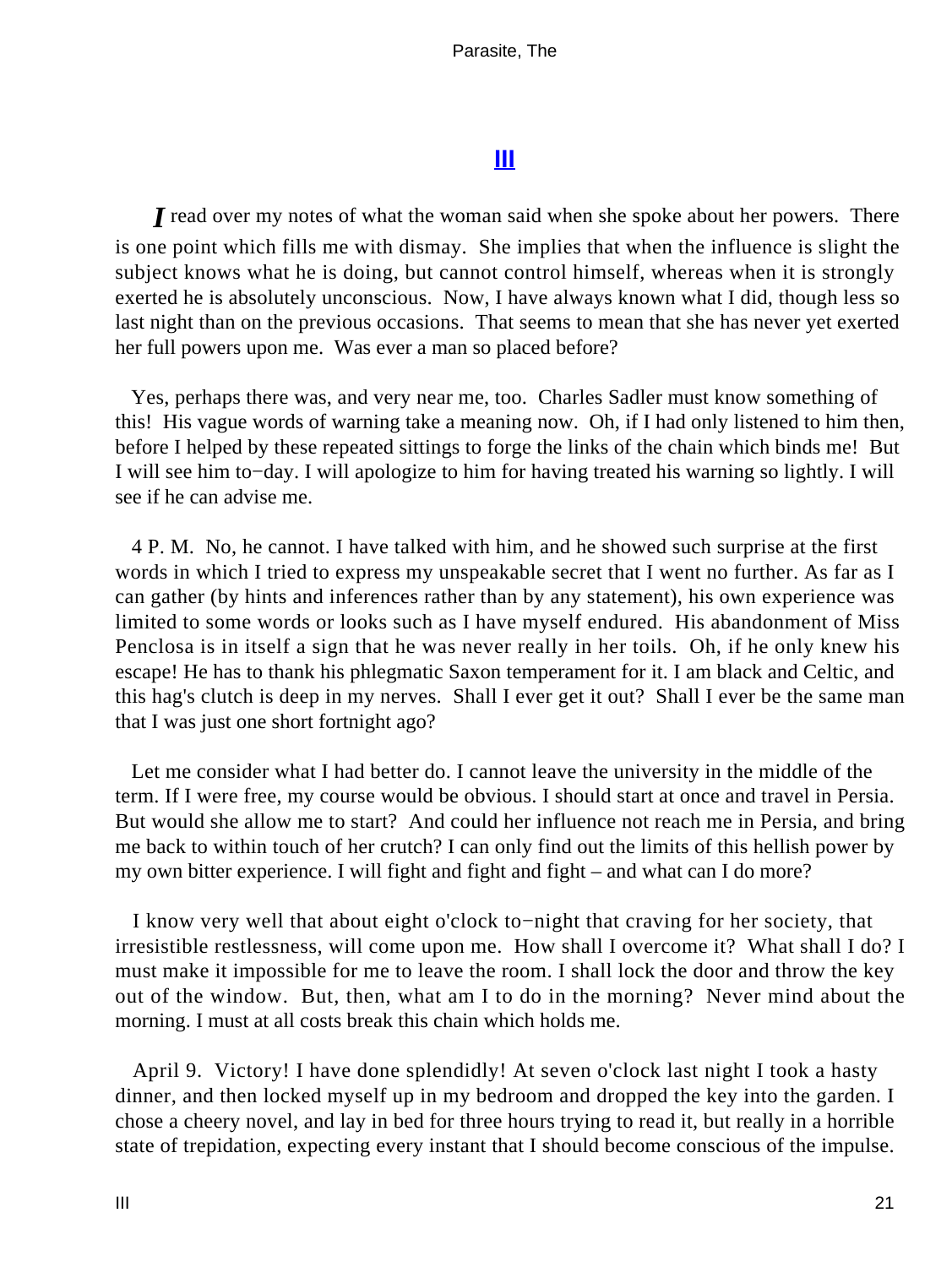# **[III](#page-39-0)**

<span id="page-21-0"></span>*I* read over my notes of what the woman said when she spoke about her powers. There is one point which fills me with dismay. She implies that when the influence is slight the subject knows what he is doing, but cannot control himself, whereas when it is strongly exerted he is absolutely unconscious. Now, I have always known what I did, though less so last night than on the previous occasions. That seems to mean that she has never yet exerted her full powers upon me. Was ever a man so placed before?

 Yes, perhaps there was, and very near me, too. Charles Sadler must know something of this! His vague words of warning take a meaning now. Oh, if I had only listened to him then, before I helped by these repeated sittings to forge the links of the chain which binds me! But I will see him to−day. I will apologize to him for having treated his warning so lightly. I will see if he can advise me.

 4 P. M. No, he cannot. I have talked with him, and he showed such surprise at the first words in which I tried to express my unspeakable secret that I went no further. As far as I can gather (by hints and inferences rather than by any statement), his own experience was limited to some words or looks such as I have myself endured. His abandonment of Miss Penclosa is in itself a sign that he was never really in her toils. Oh, if he only knew his escape! He has to thank his phlegmatic Saxon temperament for it. I am black and Celtic, and this hag's clutch is deep in my nerves. Shall I ever get it out? Shall I ever be the same man that I was just one short fortnight ago?

 Let me consider what I had better do. I cannot leave the university in the middle of the term. If I were free, my course would be obvious. I should start at once and travel in Persia. But would she allow me to start? And could her influence not reach me in Persia, and bring me back to within touch of her crutch? I can only find out the limits of this hellish power by my own bitter experience. I will fight and fight and fight – and what can I do more?

 I know very well that about eight o'clock to−night that craving for her society, that irresistible restlessness, will come upon me. How shall I overcome it? What shall I do? I must make it impossible for me to leave the room. I shall lock the door and throw the key out of the window. But, then, what am I to do in the morning? Never mind about the morning. I must at all costs break this chain which holds me.

 April 9. Victory! I have done splendidly! At seven o'clock last night I took a hasty dinner, and then locked myself up in my bedroom and dropped the key into the garden. I chose a cheery novel, and lay in bed for three hours trying to read it, but really in a horrible state of trepidation, expecting every instant that I should become conscious of the impulse.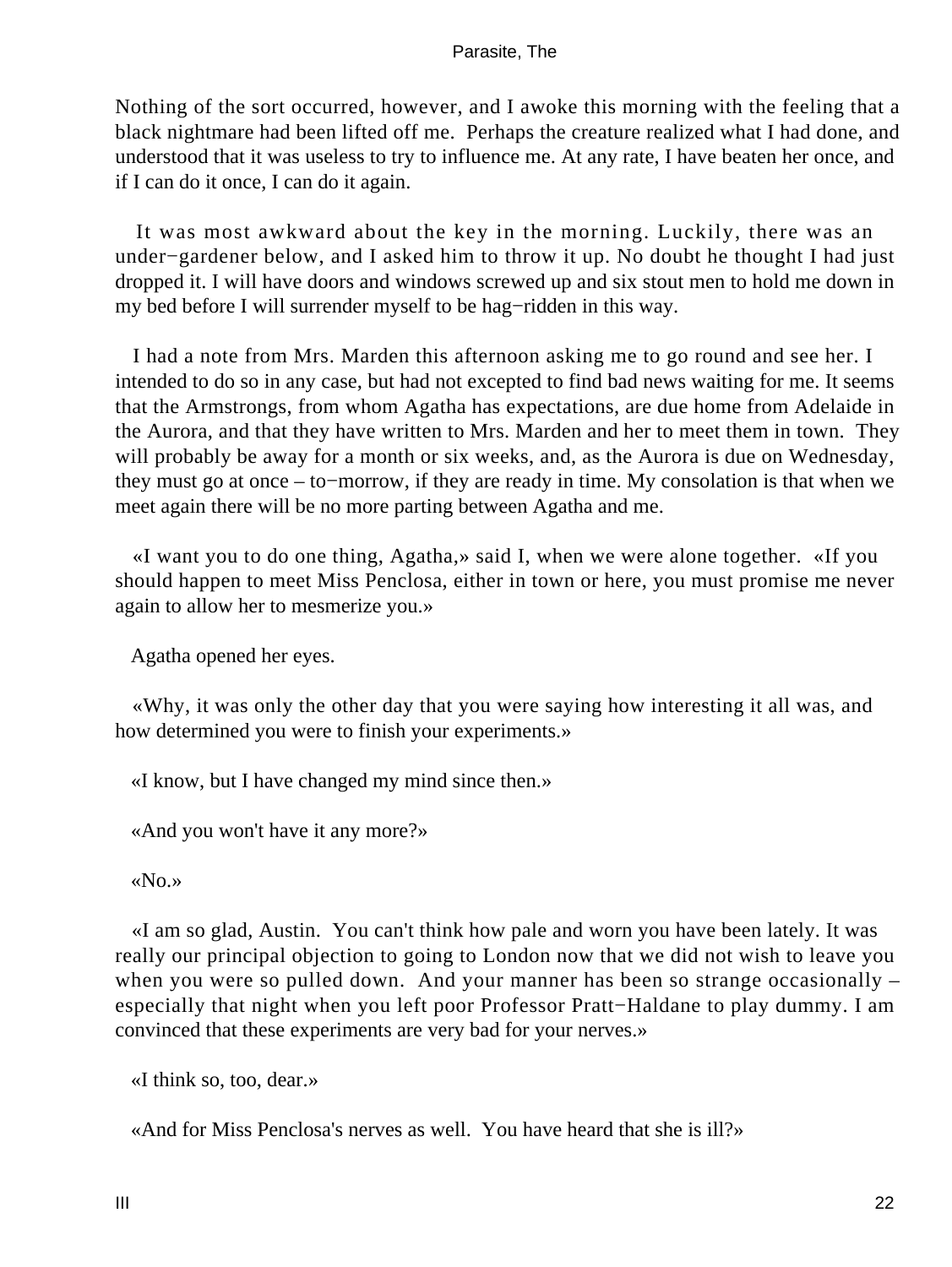Nothing of the sort occurred, however, and I awoke this morning with the feeling that a black nightmare had been lifted off me. Perhaps the creature realized what I had done, and understood that it was useless to try to influence me. At any rate, I have beaten her once, and if I can do it once, I can do it again.

 It was most awkward about the key in the morning. Luckily, there was an under−gardener below, and I asked him to throw it up. No doubt he thought I had just dropped it. I will have doors and windows screwed up and six stout men to hold me down in my bed before I will surrender myself to be hag−ridden in this way.

 I had a note from Mrs. Marden this afternoon asking me to go round and see her. I intended to do so in any case, but had not excepted to find bad news waiting for me. It seems that the Armstrongs, from whom Agatha has expectations, are due home from Adelaide in the Aurora, and that they have written to Mrs. Marden and her to meet them in town. They will probably be away for a month or six weeks, and, as the Aurora is due on Wednesday, they must go at once – to−morrow, if they are ready in time. My consolation is that when we meet again there will be no more parting between Agatha and me.

 «I want you to do one thing, Agatha,» said I, when we were alone together. «If you should happen to meet Miss Penclosa, either in town or here, you must promise me never again to allow her to mesmerize you.»

Agatha opened her eyes.

 «Why, it was only the other day that you were saying how interesting it all was, and how determined you were to finish your experiments.»

«I know, but I have changed my mind since then.»

«And you won't have it any more?»

«No.»

 «I am so glad, Austin. You can't think how pale and worn you have been lately. It was really our principal objection to going to London now that we did not wish to leave you when you were so pulled down. And your manner has been so strange occasionally – especially that night when you left poor Professor Pratt−Haldane to play dummy. I am convinced that these experiments are very bad for your nerves.»

«I think so, too, dear.»

«And for Miss Penclosa's nerves as well. You have heard that she is ill?»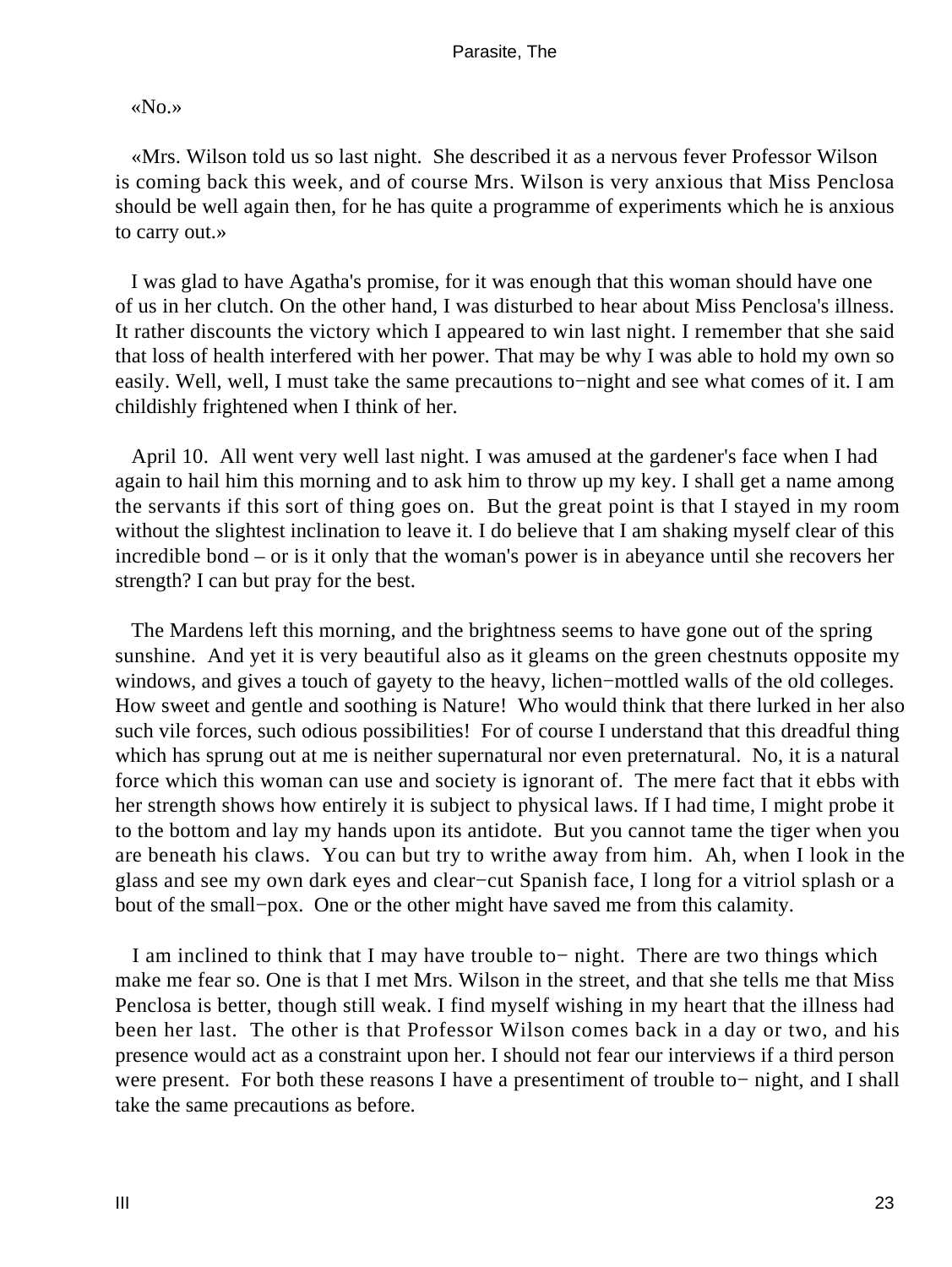# «No.»

 «Mrs. Wilson told us so last night. She described it as a nervous fever Professor Wilson is coming back this week, and of course Mrs. Wilson is very anxious that Miss Penclosa should be well again then, for he has quite a programme of experiments which he is anxious to carry out.»

 I was glad to have Agatha's promise, for it was enough that this woman should have one of us in her clutch. On the other hand, I was disturbed to hear about Miss Penclosa's illness. It rather discounts the victory which I appeared to win last night. I remember that she said that loss of health interfered with her power. That may be why I was able to hold my own so easily. Well, well, I must take the same precautions to−night and see what comes of it. I am childishly frightened when I think of her.

 April 10. All went very well last night. I was amused at the gardener's face when I had again to hail him this morning and to ask him to throw up my key. I shall get a name among the servants if this sort of thing goes on. But the great point is that I stayed in my room without the slightest inclination to leave it. I do believe that I am shaking myself clear of this incredible bond – or is it only that the woman's power is in abeyance until she recovers her strength? I can but pray for the best.

 The Mardens left this morning, and the brightness seems to have gone out of the spring sunshine. And yet it is very beautiful also as it gleams on the green chestnuts opposite my windows, and gives a touch of gayety to the heavy, lichen−mottled walls of the old colleges. How sweet and gentle and soothing is Nature! Who would think that there lurked in her also such vile forces, such odious possibilities! For of course I understand that this dreadful thing which has sprung out at me is neither supernatural nor even preternatural. No, it is a natural force which this woman can use and society is ignorant of. The mere fact that it ebbs with her strength shows how entirely it is subject to physical laws. If I had time, I might probe it to the bottom and lay my hands upon its antidote. But you cannot tame the tiger when you are beneath his claws. You can but try to writhe away from him. Ah, when I look in the glass and see my own dark eyes and clear−cut Spanish face, I long for a vitriol splash or a bout of the small−pox. One or the other might have saved me from this calamity.

 I am inclined to think that I may have trouble to− night. There are two things which make me fear so. One is that I met Mrs. Wilson in the street, and that she tells me that Miss Penclosa is better, though still weak. I find myself wishing in my heart that the illness had been her last. The other is that Professor Wilson comes back in a day or two, and his presence would act as a constraint upon her. I should not fear our interviews if a third person were present. For both these reasons I have a presentiment of trouble to− night, and I shall take the same precautions as before.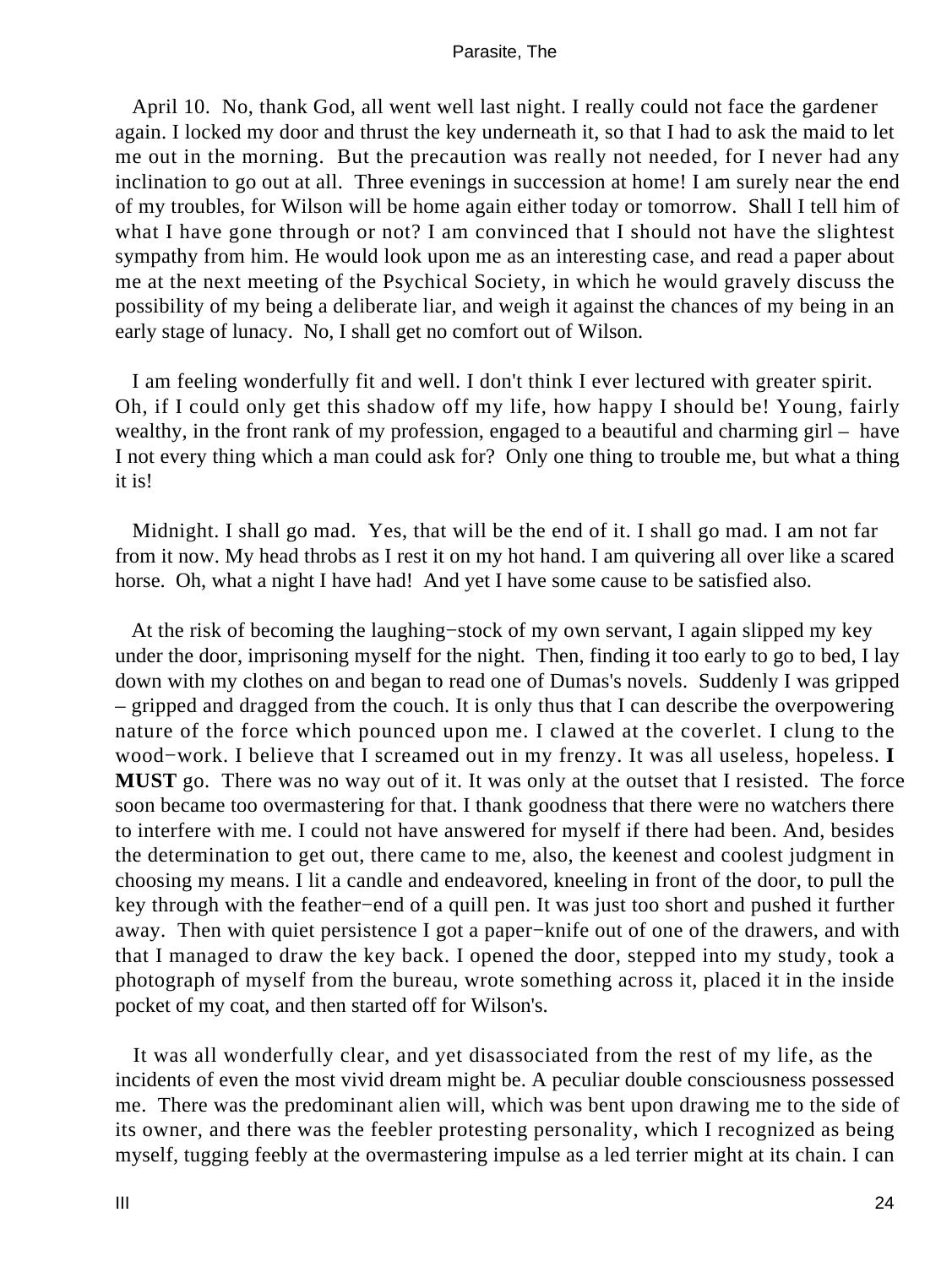April 10. No, thank God, all went well last night. I really could not face the gardener again. I locked my door and thrust the key underneath it, so that I had to ask the maid to let me out in the morning. But the precaution was really not needed, for I never had any inclination to go out at all. Three evenings in succession at home! I am surely near the end of my troubles, for Wilson will be home again either today or tomorrow. Shall I tell him of what I have gone through or not? I am convinced that I should not have the slightest sympathy from him. He would look upon me as an interesting case, and read a paper about me at the next meeting of the Psychical Society, in which he would gravely discuss the possibility of my being a deliberate liar, and weigh it against the chances of my being in an early stage of lunacy. No, I shall get no comfort out of Wilson.

 I am feeling wonderfully fit and well. I don't think I ever lectured with greater spirit. Oh, if I could only get this shadow off my life, how happy I should be! Young, fairly wealthy, in the front rank of my profession, engaged to a beautiful and charming girl – have I not every thing which a man could ask for? Only one thing to trouble me, but what a thing it is!

 Midnight. I shall go mad. Yes, that will be the end of it. I shall go mad. I am not far from it now. My head throbs as I rest it on my hot hand. I am quivering all over like a scared horse. Oh, what a night I have had! And yet I have some cause to be satisfied also.

 At the risk of becoming the laughing−stock of my own servant, I again slipped my key under the door, imprisoning myself for the night. Then, finding it too early to go to bed, I lay down with my clothes on and began to read one of Dumas's novels. Suddenly I was gripped – gripped and dragged from the couch. It is only thus that I can describe the overpowering nature of the force which pounced upon me. I clawed at the coverlet. I clung to the wood−work. I believe that I screamed out in my frenzy. It was all useless, hopeless. **I MUST** go. There was no way out of it. It was only at the outset that I resisted. The force soon became too overmastering for that. I thank goodness that there were no watchers there to interfere with me. I could not have answered for myself if there had been. And, besides the determination to get out, there came to me, also, the keenest and coolest judgment in choosing my means. I lit a candle and endeavored, kneeling in front of the door, to pull the key through with the feather−end of a quill pen. It was just too short and pushed it further away. Then with quiet persistence I got a paper−knife out of one of the drawers, and with that I managed to draw the key back. I opened the door, stepped into my study, took a photograph of myself from the bureau, wrote something across it, placed it in the inside pocket of my coat, and then started off for Wilson's.

 It was all wonderfully clear, and yet disassociated from the rest of my life, as the incidents of even the most vivid dream might be. A peculiar double consciousness possessed me. There was the predominant alien will, which was bent upon drawing me to the side of its owner, and there was the feebler protesting personality, which I recognized as being myself, tugging feebly at the overmastering impulse as a led terrier might at its chain. I can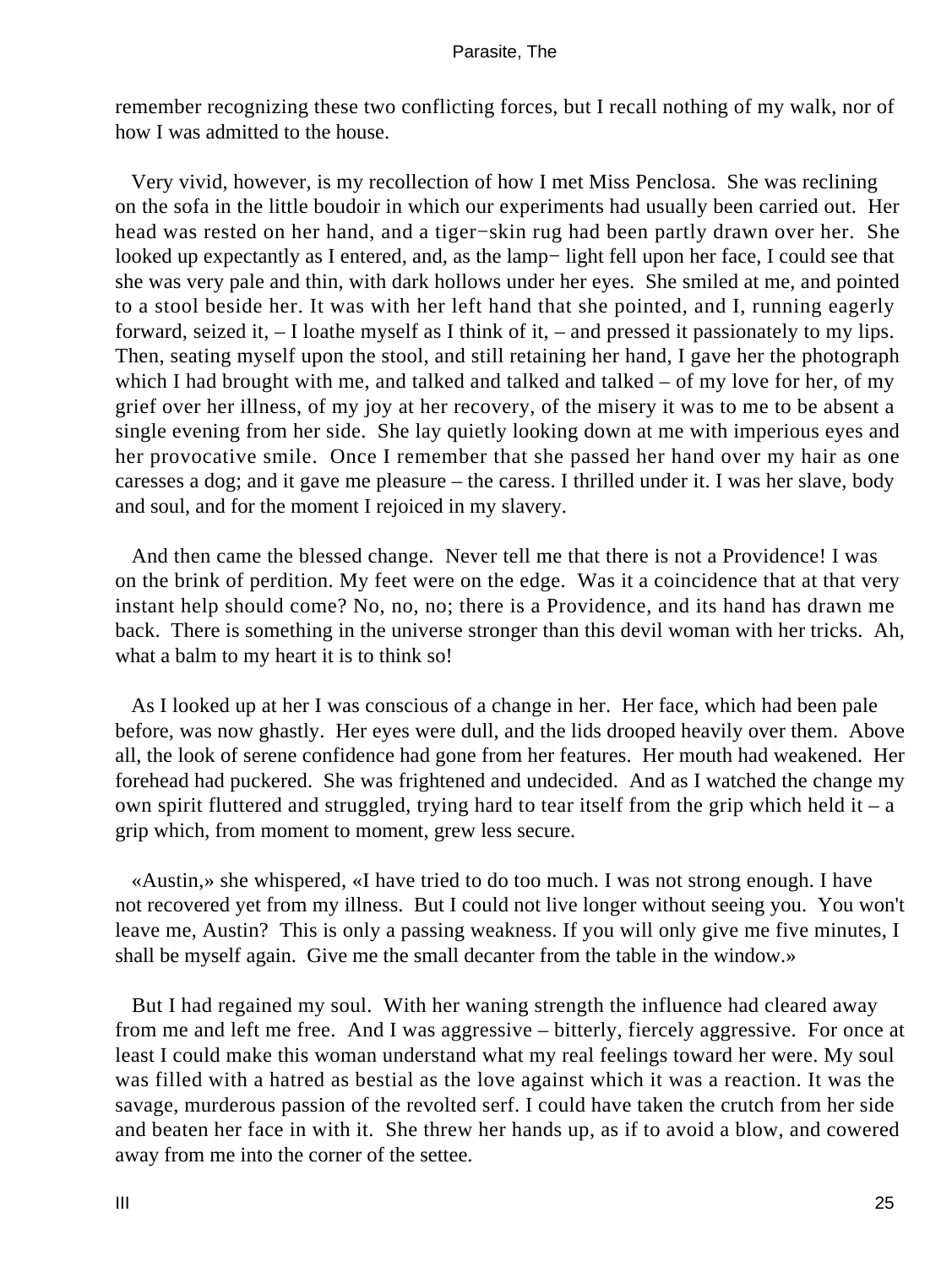remember recognizing these two conflicting forces, but I recall nothing of my walk, nor of how I was admitted to the house.

 Very vivid, however, is my recollection of how I met Miss Penclosa. She was reclining on the sofa in the little boudoir in which our experiments had usually been carried out. Her head was rested on her hand, and a tiger−skin rug had been partly drawn over her. She looked up expectantly as I entered, and, as the lamp− light fell upon her face, I could see that she was very pale and thin, with dark hollows under her eyes. She smiled at me, and pointed to a stool beside her. It was with her left hand that she pointed, and I, running eagerly forward, seized it, – I loathe myself as I think of it, – and pressed it passionately to my lips. Then, seating myself upon the stool, and still retaining her hand, I gave her the photograph which I had brought with me, and talked and talked and talked – of my love for her, of my grief over her illness, of my joy at her recovery, of the misery it was to me to be absent a single evening from her side. She lay quietly looking down at me with imperious eyes and her provocative smile. Once I remember that she passed her hand over my hair as one caresses a dog; and it gave me pleasure – the caress. I thrilled under it. I was her slave, body and soul, and for the moment I rejoiced in my slavery.

 And then came the blessed change. Never tell me that there is not a Providence! I was on the brink of perdition. My feet were on the edge. Was it a coincidence that at that very instant help should come? No, no, no; there is a Providence, and its hand has drawn me back. There is something in the universe stronger than this devil woman with her tricks. Ah, what a balm to my heart it is to think so!

 As I looked up at her I was conscious of a change in her. Her face, which had been pale before, was now ghastly. Her eyes were dull, and the lids drooped heavily over them. Above all, the look of serene confidence had gone from her features. Her mouth had weakened. Her forehead had puckered. She was frightened and undecided. And as I watched the change my own spirit fluttered and struggled, trying hard to tear itself from the grip which held it – a grip which, from moment to moment, grew less secure.

 «Austin,» she whispered, «I have tried to do too much. I was not strong enough. I have not recovered yet from my illness. But I could not live longer without seeing you. You won't leave me, Austin? This is only a passing weakness. If you will only give me five minutes, I shall be myself again. Give me the small decanter from the table in the window.»

 But I had regained my soul. With her waning strength the influence had cleared away from me and left me free. And I was aggressive – bitterly, fiercely aggressive. For once at least I could make this woman understand what my real feelings toward her were. My soul was filled with a hatred as bestial as the love against which it was a reaction. It was the savage, murderous passion of the revolted serf. I could have taken the crutch from her side and beaten her face in with it. She threw her hands up, as if to avoid a blow, and cowered away from me into the corner of the settee.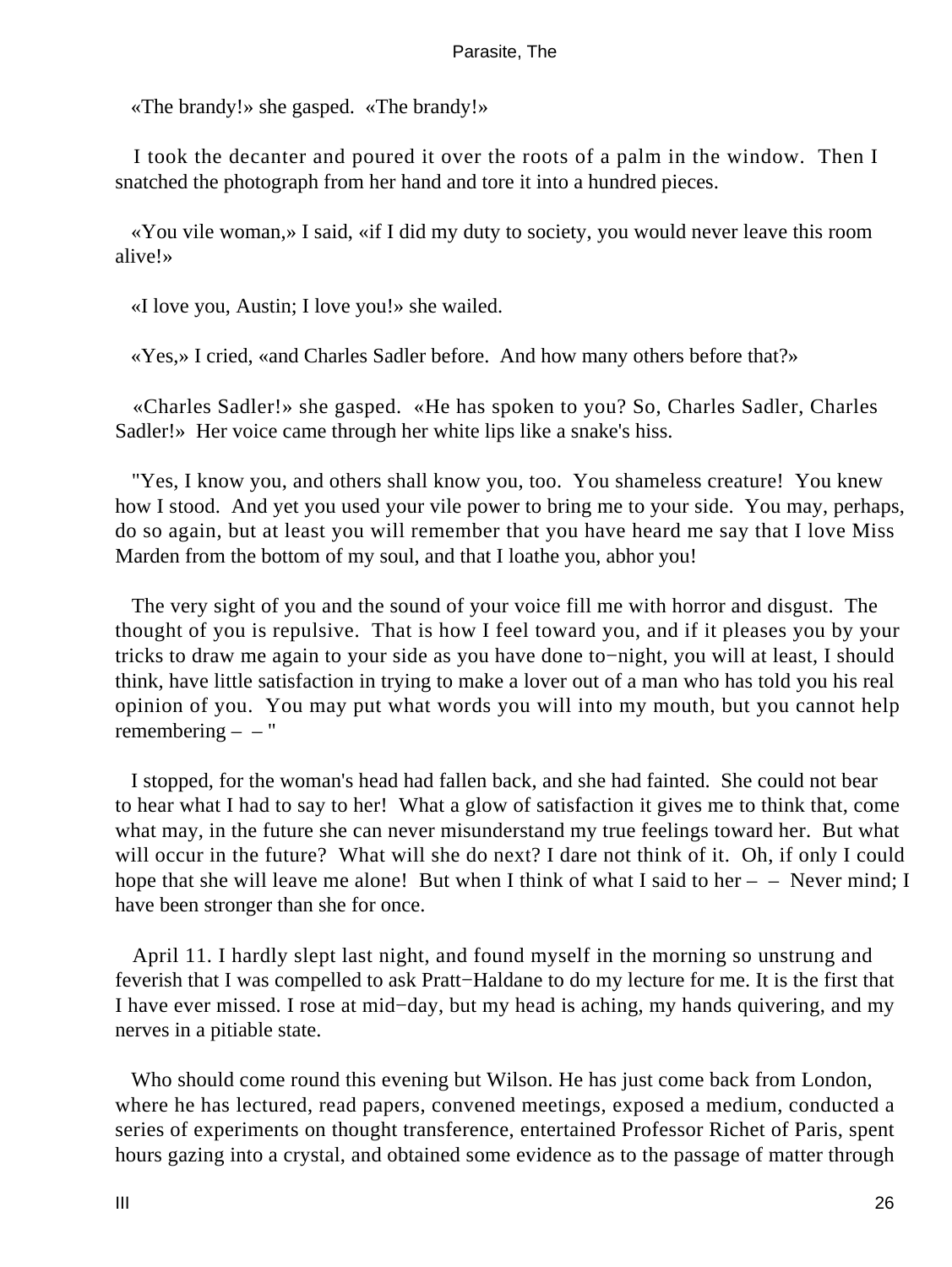«The brandy!» she gasped. «The brandy!»

 I took the decanter and poured it over the roots of a palm in the window. Then I snatched the photograph from her hand and tore it into a hundred pieces.

 «You vile woman,» I said, «if I did my duty to society, you would never leave this room alive!»

«I love you, Austin; I love you!» she wailed.

«Yes,» I cried, «and Charles Sadler before. And how many others before that?»

 «Charles Sadler!» she gasped. «He has spoken to you? So, Charles Sadler, Charles Sadler!» Her voice came through her white lips like a snake's hiss.

 "Yes, I know you, and others shall know you, too. You shameless creature! You knew how I stood. And yet you used your vile power to bring me to your side. You may, perhaps, do so again, but at least you will remember that you have heard me say that I love Miss Marden from the bottom of my soul, and that I loathe you, abhor you!

 The very sight of you and the sound of your voice fill me with horror and disgust. The thought of you is repulsive. That is how I feel toward you, and if it pleases you by your tricks to draw me again to your side as you have done to−night, you will at least, I should think, have little satisfaction in trying to make a lover out of a man who has told you his real opinion of you. You may put what words you will into my mouth, but you cannot help remembering  $-$  – "

 I stopped, for the woman's head had fallen back, and she had fainted. She could not bear to hear what I had to say to her! What a glow of satisfaction it gives me to think that, come what may, in the future she can never misunderstand my true feelings toward her. But what will occur in the future? What will she do next? I dare not think of it. Oh, if only I could hope that she will leave me alone! But when I think of what I said to her  $-$  – Never mind; I have been stronger than she for once.

 April 11. I hardly slept last night, and found myself in the morning so unstrung and feverish that I was compelled to ask Pratt−Haldane to do my lecture for me. It is the first that I have ever missed. I rose at mid−day, but my head is aching, my hands quivering, and my nerves in a pitiable state.

 Who should come round this evening but Wilson. He has just come back from London, where he has lectured, read papers, convened meetings, exposed a medium, conducted a series of experiments on thought transference, entertained Professor Richet of Paris, spent hours gazing into a crystal, and obtained some evidence as to the passage of matter through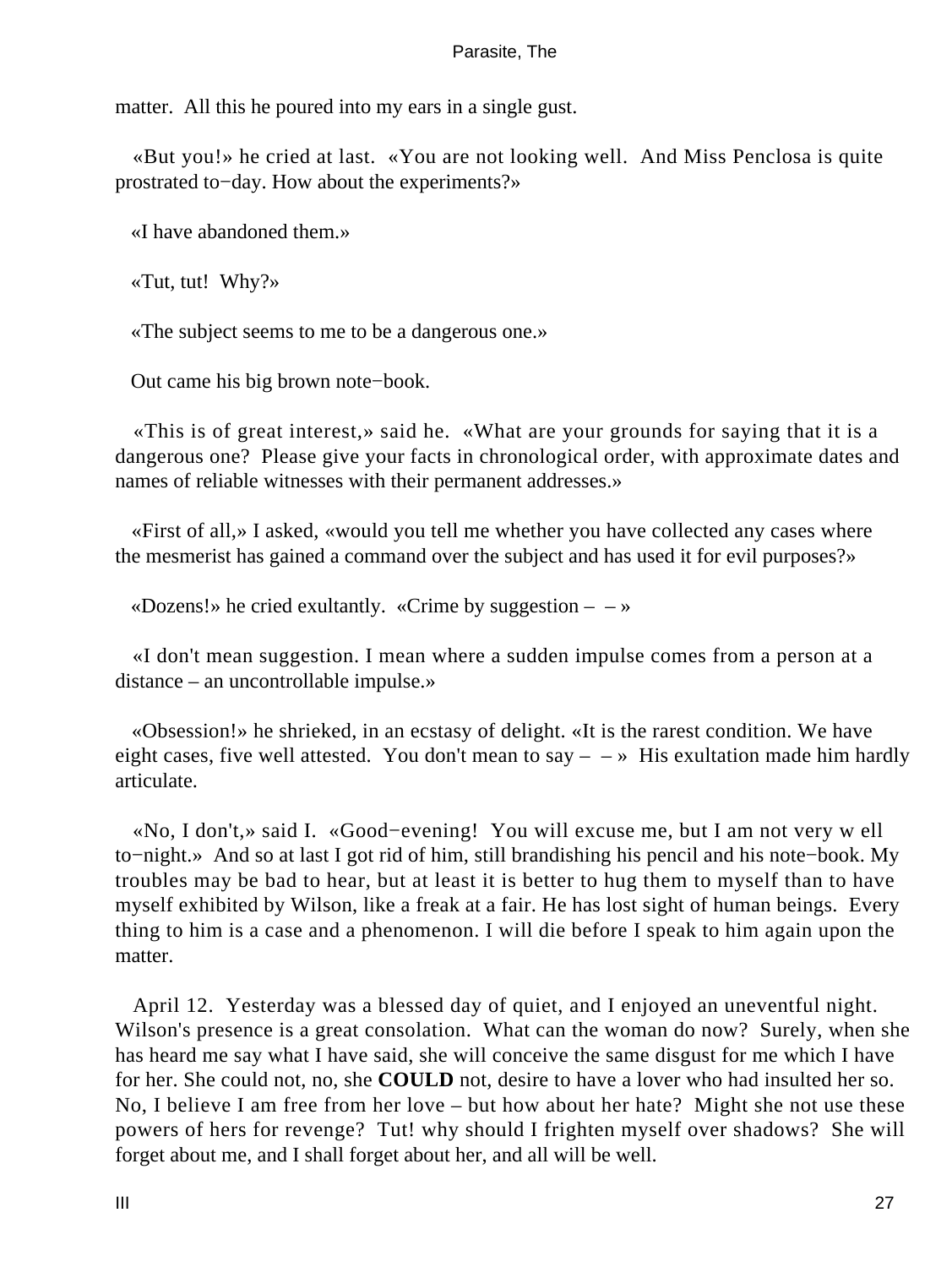matter. All this he poured into my ears in a single gust.

 «But you!» he cried at last. «You are not looking well. And Miss Penclosa is quite prostrated to−day. How about the experiments?»

«I have abandoned them.»

«Tut, tut! Why?»

«The subject seems to me to be a dangerous one.»

Out came his big brown note−book.

 «This is of great interest,» said he. «What are your grounds for saying that it is a dangerous one? Please give your facts in chronological order, with approximate dates and names of reliable witnesses with their permanent addresses.»

 «First of all,» I asked, «would you tell me whether you have collected any cases where the mesmerist has gained a command over the subject and has used it for evil purposes?»

«Dozens!» he cried exultantly. «Crime by suggestion  $- \rightarrow \infty$ 

 «I don't mean suggestion. I mean where a sudden impulse comes from a person at a distance – an uncontrollable impulse.»

 «Obsession!» he shrieked, in an ecstasy of delight. «It is the rarest condition. We have eight cases, five well attested. You don't mean to say  $- \rightarrow$  His exultation made him hardly articulate.

 «No, I don't,» said I. «Good−evening! You will excuse me, but I am not very w ell to−night.» And so at last I got rid of him, still brandishing his pencil and his note−book. My troubles may be bad to hear, but at least it is better to hug them to myself than to have myself exhibited by Wilson, like a freak at a fair. He has lost sight of human beings. Every thing to him is a case and a phenomenon. I will die before I speak to him again upon the matter.

 April 12. Yesterday was a blessed day of quiet, and I enjoyed an uneventful night. Wilson's presence is a great consolation. What can the woman do now? Surely, when she has heard me say what I have said, she will conceive the same disgust for me which I have for her. She could not, no, she **COULD** not, desire to have a lover who had insulted her so. No, I believe I am free from her love – but how about her hate? Might she not use these powers of hers for revenge? Tut! why should I frighten myself over shadows? She will forget about me, and I shall forget about her, and all will be well.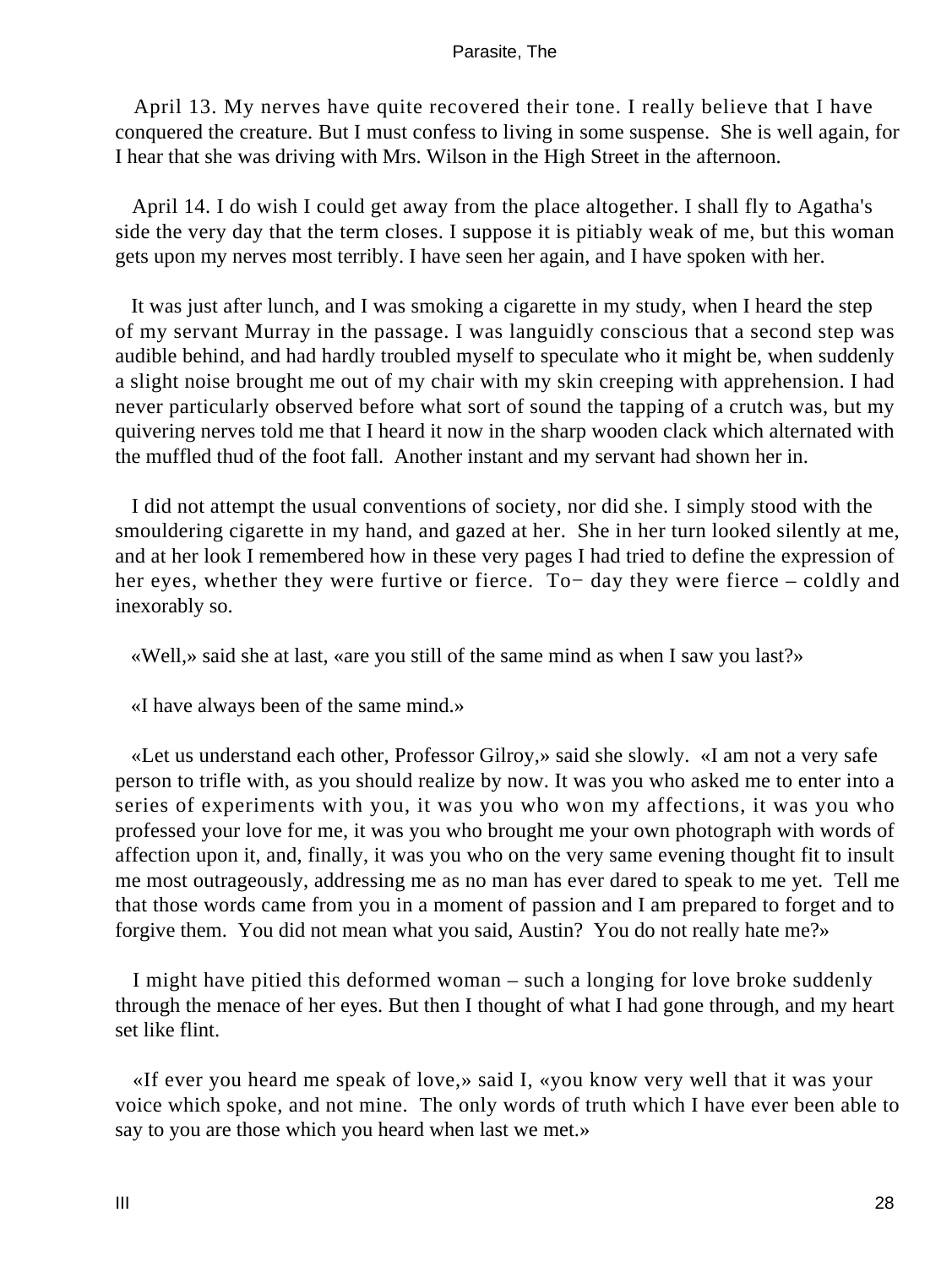April 13. My nerves have quite recovered their tone. I really believe that I have conquered the creature. But I must confess to living in some suspense. She is well again, for I hear that she was driving with Mrs. Wilson in the High Street in the afternoon.

 April 14. I do wish I could get away from the place altogether. I shall fly to Agatha's side the very day that the term closes. I suppose it is pitiably weak of me, but this woman gets upon my nerves most terribly. I have seen her again, and I have spoken with her.

 It was just after lunch, and I was smoking a cigarette in my study, when I heard the step of my servant Murray in the passage. I was languidly conscious that a second step was audible behind, and had hardly troubled myself to speculate who it might be, when suddenly a slight noise brought me out of my chair with my skin creeping with apprehension. I had never particularly observed before what sort of sound the tapping of a crutch was, but my quivering nerves told me that I heard it now in the sharp wooden clack which alternated with the muffled thud of the foot fall. Another instant and my servant had shown her in.

 I did not attempt the usual conventions of society, nor did she. I simply stood with the smouldering cigarette in my hand, and gazed at her. She in her turn looked silently at me, and at her look I remembered how in these very pages I had tried to define the expression of her eyes, whether they were furtive or fierce. To− day they were fierce – coldly and inexorably so.

«Well,» said she at last, «are you still of the same mind as when I saw you last?»

«I have always been of the same mind.»

 «Let us understand each other, Professor Gilroy,» said she slowly. «I am not a very safe person to trifle with, as you should realize by now. It was you who asked me to enter into a series of experiments with you, it was you who won my affections, it was you who professed your love for me, it was you who brought me your own photograph with words of affection upon it, and, finally, it was you who on the very same evening thought fit to insult me most outrageously, addressing me as no man has ever dared to speak to me yet. Tell me that those words came from you in a moment of passion and I am prepared to forget and to forgive them. You did not mean what you said, Austin? You do not really hate me?»

 I might have pitied this deformed woman – such a longing for love broke suddenly through the menace of her eyes. But then I thought of what I had gone through, and my heart set like flint.

 «If ever you heard me speak of love,» said I, «you know very well that it was your voice which spoke, and not mine. The only words of truth which I have ever been able to say to you are those which you heard when last we met.»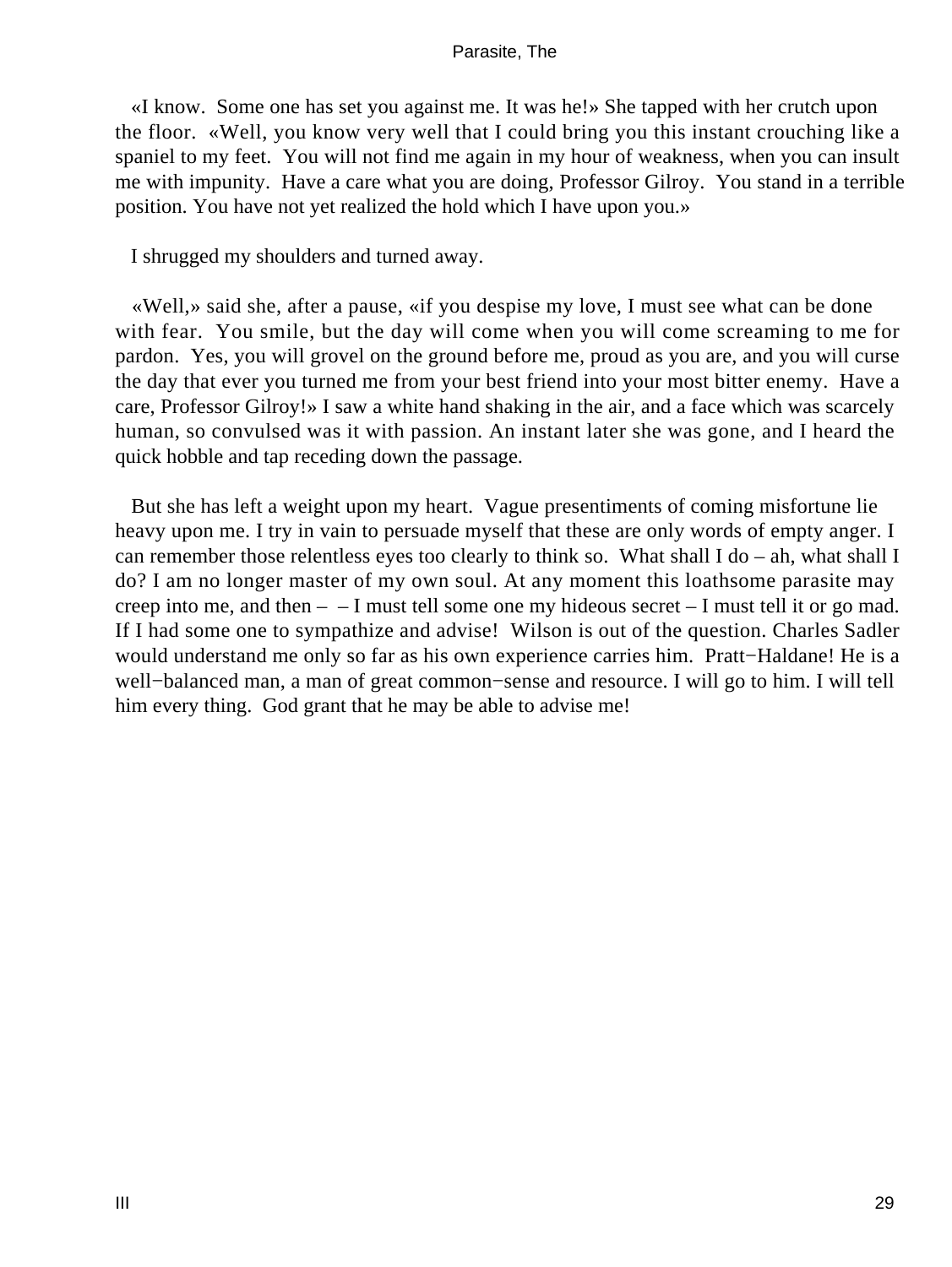«I know. Some one has set you against me. It was he!» She tapped with her crutch upon the floor. «Well, you know very well that I could bring you this instant crouching like a spaniel to my feet. You will not find me again in my hour of weakness, when you can insult me with impunity. Have a care what you are doing, Professor Gilroy. You stand in a terrible position. You have not yet realized the hold which I have upon you.»

I shrugged my shoulders and turned away.

 «Well,» said she, after a pause, «if you despise my love, I must see what can be done with fear. You smile, but the day will come when you will come screaming to me for pardon. Yes, you will grovel on the ground before me, proud as you are, and you will curse the day that ever you turned me from your best friend into your most bitter enemy. Have a care, Professor Gilroy!» I saw a white hand shaking in the air, and a face which was scarcely human, so convulsed was it with passion. An instant later she was gone, and I heard the quick hobble and tap receding down the passage.

 But she has left a weight upon my heart. Vague presentiments of coming misfortune lie heavy upon me. I try in vain to persuade myself that these are only words of empty anger. I can remember those relentless eyes too clearly to think so. What shall I do – ah, what shall I do? I am no longer master of my own soul. At any moment this loathsome parasite may creep into me, and then – – I must tell some one my hideous secret – I must tell it or go mad. If I had some one to sympathize and advise! Wilson is out of the question. Charles Sadler would understand me only so far as his own experience carries him. Pratt−Haldane! He is a well−balanced man, a man of great common−sense and resource. I will go to him. I will tell him every thing. God grant that he may be able to advise me!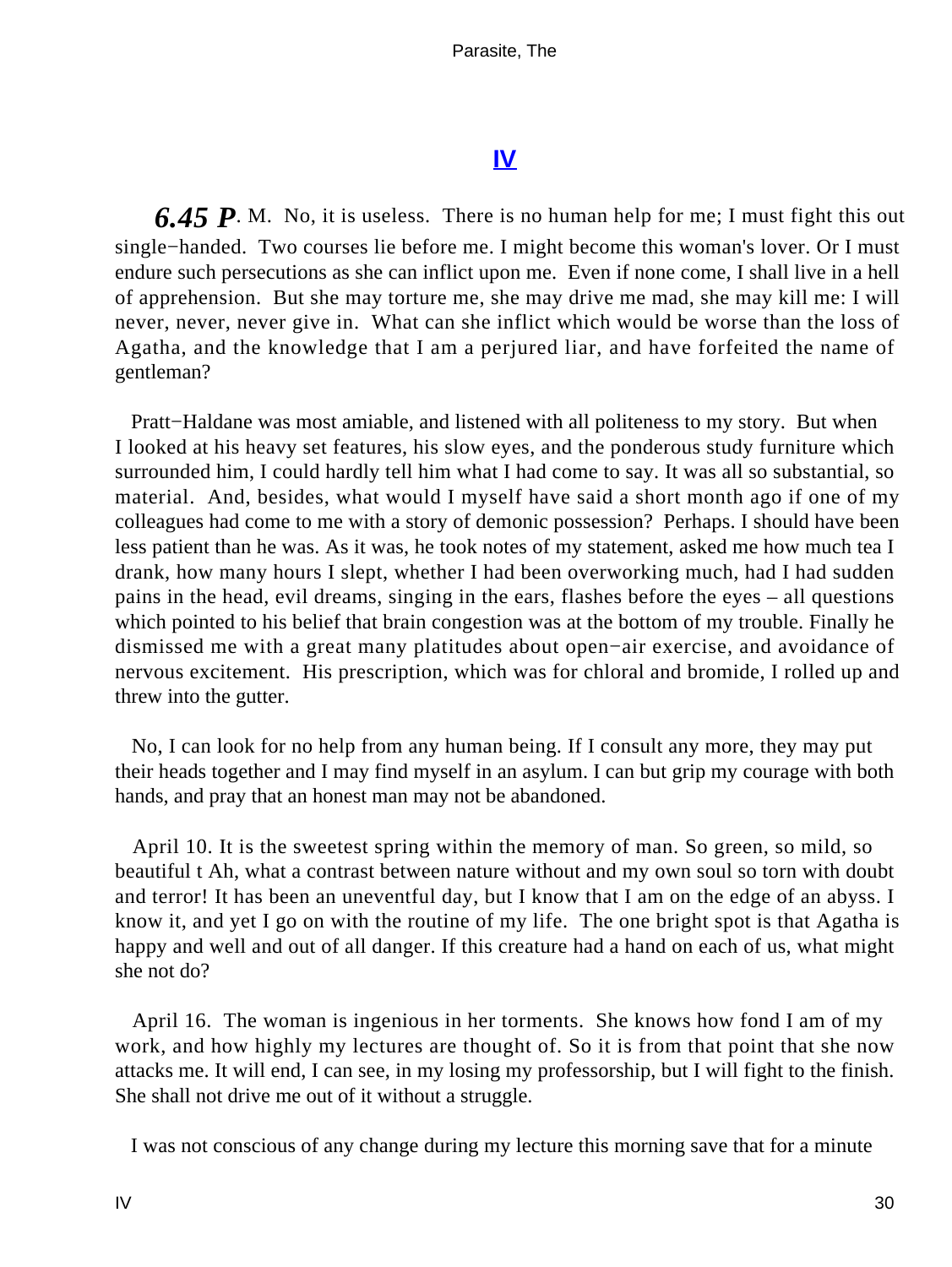# **[IV](#page-39-0)**

<span id="page-30-0"></span>**6.45 P.** M. No, it is useless. There is no human help for me; I must fight this out single−handed. Two courses lie before me. I might become this woman's lover. Or I must endure such persecutions as she can inflict upon me. Even if none come, I shall live in a hell of apprehension. But she may torture me, she may drive me mad, she may kill me: I will never, never, never give in. What can she inflict which would be worse than the loss of Agatha, and the knowledge that I am a perjured liar, and have forfeited the name of gentleman?

 Pratt−Haldane was most amiable, and listened with all politeness to my story. But when I looked at his heavy set features, his slow eyes, and the ponderous study furniture which surrounded him, I could hardly tell him what I had come to say. It was all so substantial, so material. And, besides, what would I myself have said a short month ago if one of my colleagues had come to me with a story of demonic possession? Perhaps. I should have been less patient than he was. As it was, he took notes of my statement, asked me how much tea I drank, how many hours I slept, whether I had been overworking much, had I had sudden pains in the head, evil dreams, singing in the ears, flashes before the eyes – all questions which pointed to his belief that brain congestion was at the bottom of my trouble. Finally he dismissed me with a great many platitudes about open−air exercise, and avoidance of nervous excitement. His prescription, which was for chloral and bromide, I rolled up and threw into the gutter.

 No, I can look for no help from any human being. If I consult any more, they may put their heads together and I may find myself in an asylum. I can but grip my courage with both hands, and pray that an honest man may not be abandoned.

 April 10. It is the sweetest spring within the memory of man. So green, so mild, so beautiful t Ah, what a contrast between nature without and my own soul so torn with doubt and terror! It has been an uneventful day, but I know that I am on the edge of an abyss. I know it, and yet I go on with the routine of my life. The one bright spot is that Agatha is happy and well and out of all danger. If this creature had a hand on each of us, what might she not do?

 April 16. The woman is ingenious in her torments. She knows how fond I am of my work, and how highly my lectures are thought of. So it is from that point that she now attacks me. It will end, I can see, in my losing my professorship, but I will fight to the finish. She shall not drive me out of it without a struggle.

I was not conscious of any change during my lecture this morning save that for a minute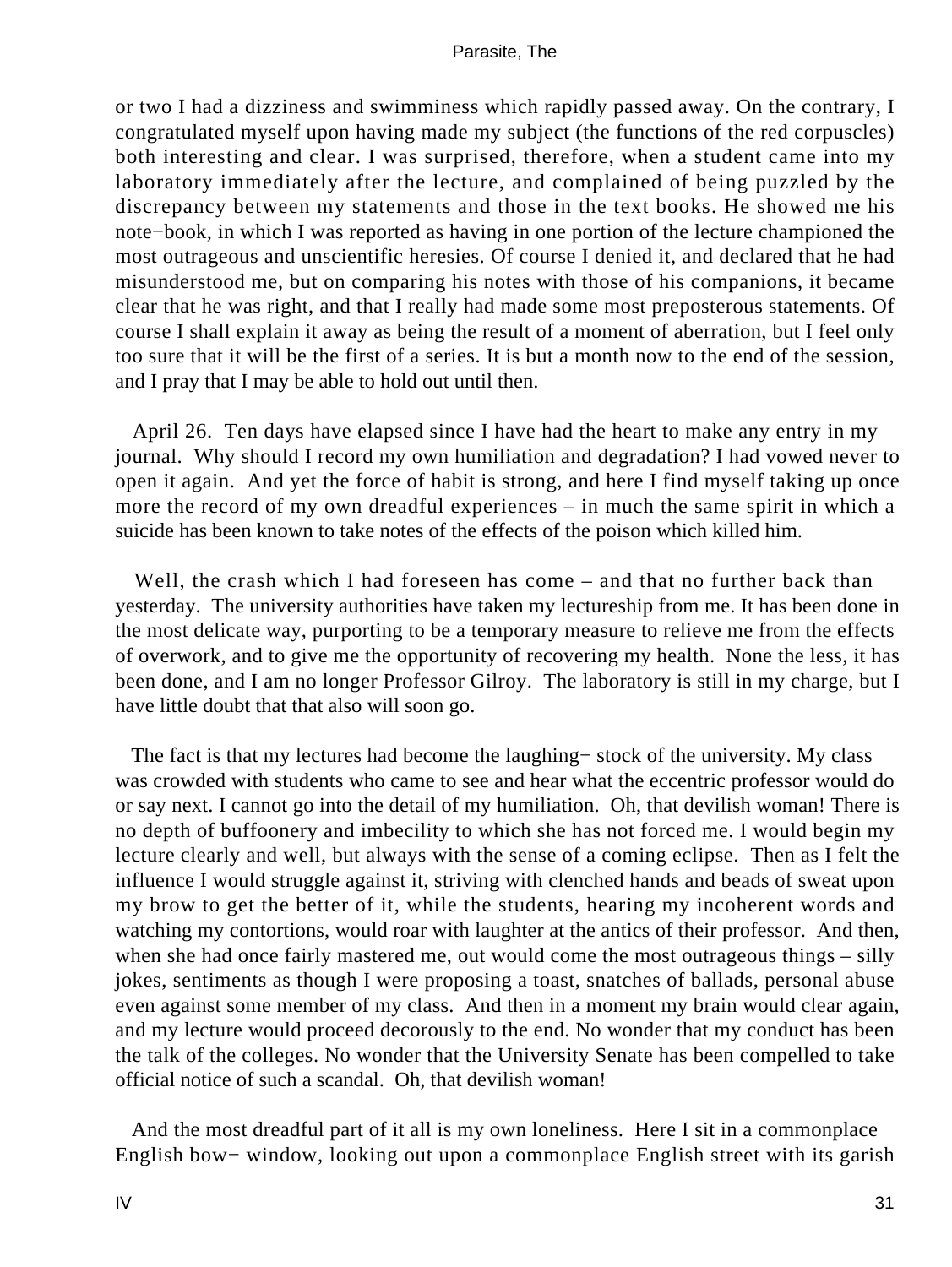or two I had a dizziness and swimminess which rapidly passed away. On the contrary, I congratulated myself upon having made my subject (the functions of the red corpuscles) both interesting and clear. I was surprised, therefore, when a student came into my laboratory immediately after the lecture, and complained of being puzzled by the discrepancy between my statements and those in the text books. He showed me his note−book, in which I was reported as having in one portion of the lecture championed the most outrageous and unscientific heresies. Of course I denied it, and declared that he had misunderstood me, but on comparing his notes with those of his companions, it became clear that he was right, and that I really had made some most preposterous statements. Of course I shall explain it away as being the result of a moment of aberration, but I feel only too sure that it will be the first of a series. It is but a month now to the end of the session, and I pray that I may be able to hold out until then.

 April 26. Ten days have elapsed since I have had the heart to make any entry in my journal. Why should I record my own humiliation and degradation? I had vowed never to open it again. And yet the force of habit is strong, and here I find myself taking up once more the record of my own dreadful experiences – in much the same spirit in which a suicide has been known to take notes of the effects of the poison which killed him.

Well, the crash which I had foreseen has come – and that no further back than yesterday. The university authorities have taken my lectureship from me. It has been done in the most delicate way, purporting to be a temporary measure to relieve me from the effects of overwork, and to give me the opportunity of recovering my health. None the less, it has been done, and I am no longer Professor Gilroy. The laboratory is still in my charge, but I have little doubt that that also will soon go.

 The fact is that my lectures had become the laughing− stock of the university. My class was crowded with students who came to see and hear what the eccentric professor would do or say next. I cannot go into the detail of my humiliation. Oh, that devilish woman! There is no depth of buffoonery and imbecility to which she has not forced me. I would begin my lecture clearly and well, but always with the sense of a coming eclipse. Then as I felt the influence I would struggle against it, striving with clenched hands and beads of sweat upon my brow to get the better of it, while the students, hearing my incoherent words and watching my contortions, would roar with laughter at the antics of their professor. And then, when she had once fairly mastered me, out would come the most outrageous things – silly jokes, sentiments as though I were proposing a toast, snatches of ballads, personal abuse even against some member of my class. And then in a moment my brain would clear again, and my lecture would proceed decorously to the end. No wonder that my conduct has been the talk of the colleges. No wonder that the University Senate has been compelled to take official notice of such a scandal. Oh, that devilish woman!

 And the most dreadful part of it all is my own loneliness. Here I sit in a commonplace English bow− window, looking out upon a commonplace English street with its garish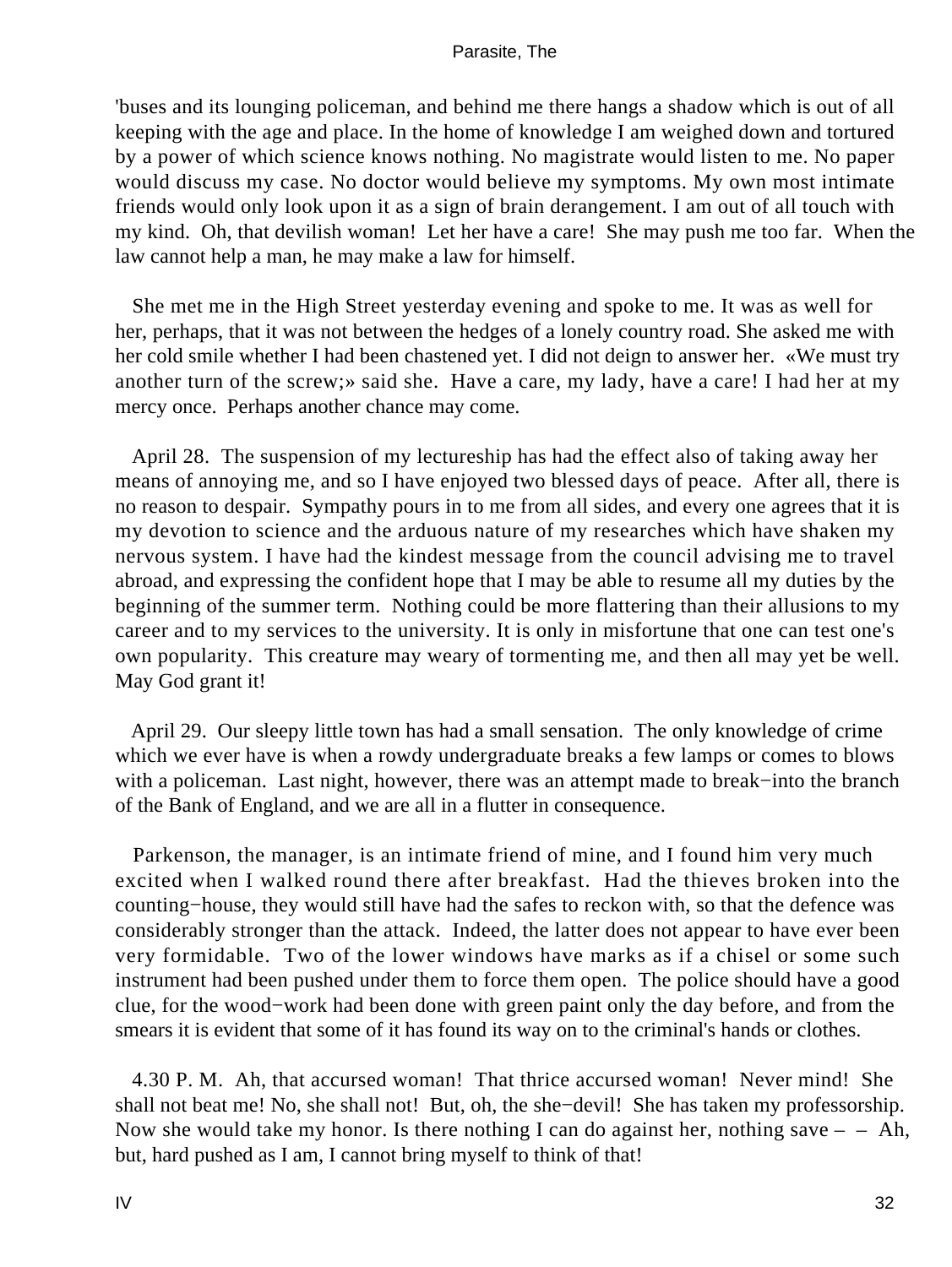'buses and its lounging policeman, and behind me there hangs a shadow which is out of all keeping with the age and place. In the home of knowledge I am weighed down and tortured by a power of which science knows nothing. No magistrate would listen to me. No paper would discuss my case. No doctor would believe my symptoms. My own most intimate friends would only look upon it as a sign of brain derangement. I am out of all touch with my kind. Oh, that devilish woman! Let her have a care! She may push me too far. When the law cannot help a man, he may make a law for himself.

 She met me in the High Street yesterday evening and spoke to me. It was as well for her, perhaps, that it was not between the hedges of a lonely country road. She asked me with her cold smile whether I had been chastened yet. I did not deign to answer her. «We must try another turn of the screw;» said she. Have a care, my lady, have a care! I had her at my mercy once. Perhaps another chance may come.

 April 28. The suspension of my lectureship has had the effect also of taking away her means of annoying me, and so I have enjoyed two blessed days of peace. After all, there is no reason to despair. Sympathy pours in to me from all sides, and every one agrees that it is my devotion to science and the arduous nature of my researches which have shaken my nervous system. I have had the kindest message from the council advising me to travel abroad, and expressing the confident hope that I may be able to resume all my duties by the beginning of the summer term. Nothing could be more flattering than their allusions to my career and to my services to the university. It is only in misfortune that one can test one's own popularity. This creature may weary of tormenting me, and then all may yet be well. May God grant it!

 April 29. Our sleepy little town has had a small sensation. The only knowledge of crime which we ever have is when a rowdy undergraduate breaks a few lamps or comes to blows with a policeman. Last night, however, there was an attempt made to break−into the branch of the Bank of England, and we are all in a flutter in consequence.

 Parkenson, the manager, is an intimate friend of mine, and I found him very much excited when I walked round there after breakfast. Had the thieves broken into the counting−house, they would still have had the safes to reckon with, so that the defence was considerably stronger than the attack. Indeed, the latter does not appear to have ever been very formidable. Two of the lower windows have marks as if a chisel or some such instrument had been pushed under them to force them open. The police should have a good clue, for the wood−work had been done with green paint only the day before, and from the smears it is evident that some of it has found its way on to the criminal's hands or clothes.

 4.30 P. M. Ah, that accursed woman! That thrice accursed woman! Never mind! She shall not beat me! No, she shall not! But, oh, the she−devil! She has taken my professorship. Now she would take my honor. Is there nothing I can do against her, nothing save  $-$  – Ah, but, hard pushed as I am, I cannot bring myself to think of that!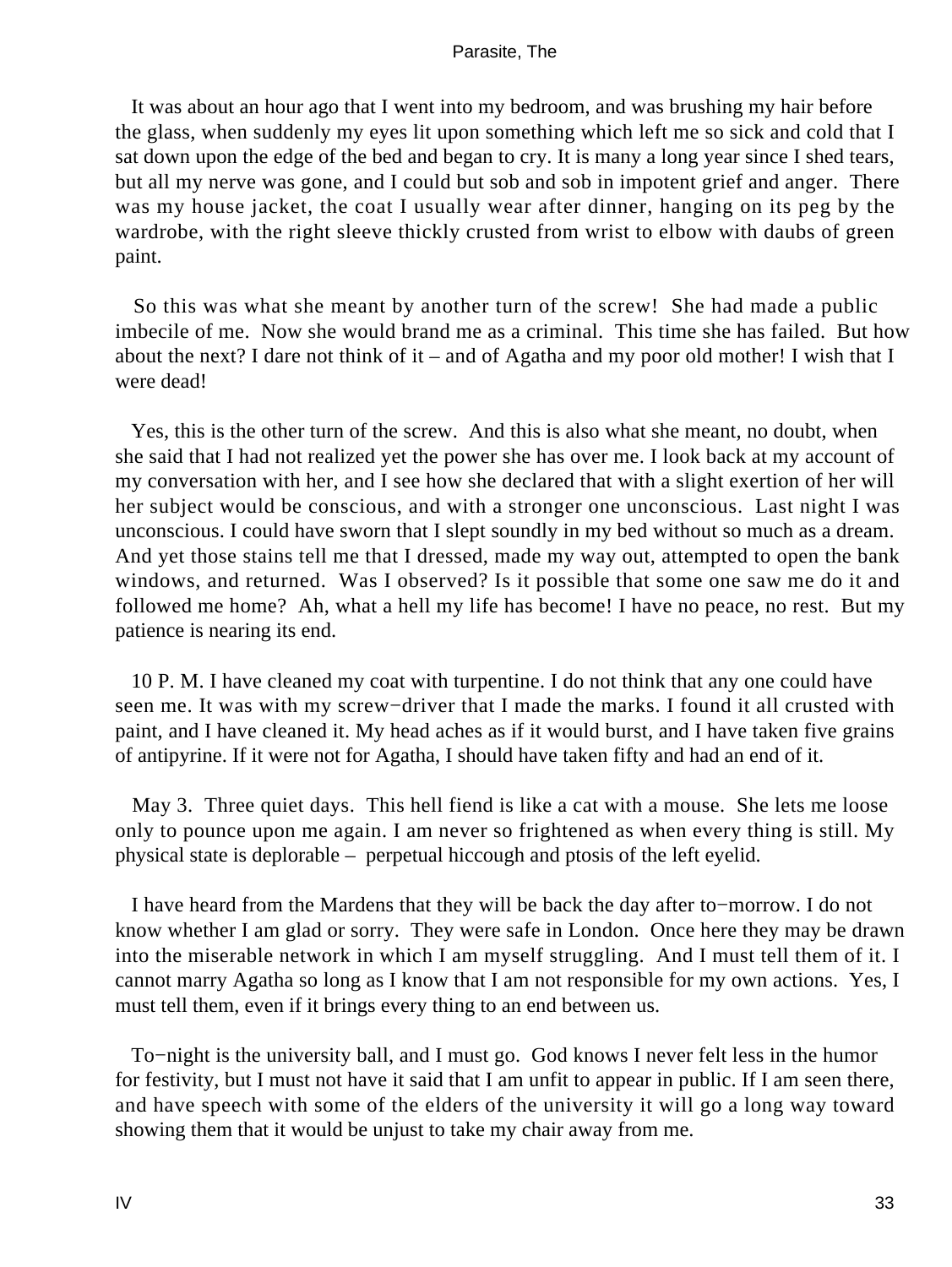It was about an hour ago that I went into my bedroom, and was brushing my hair before the glass, when suddenly my eyes lit upon something which left me so sick and cold that I sat down upon the edge of the bed and began to cry. It is many a long year since I shed tears, but all my nerve was gone, and I could but sob and sob in impotent grief and anger. There was my house jacket, the coat I usually wear after dinner, hanging on its peg by the wardrobe, with the right sleeve thickly crusted from wrist to elbow with daubs of green paint.

 So this was what she meant by another turn of the screw! She had made a public imbecile of me. Now she would brand me as a criminal. This time she has failed. But how about the next? I dare not think of it – and of Agatha and my poor old mother! I wish that I were dead!

 Yes, this is the other turn of the screw. And this is also what she meant, no doubt, when she said that I had not realized yet the power she has over me. I look back at my account of my conversation with her, and I see how she declared that with a slight exertion of her will her subject would be conscious, and with a stronger one unconscious. Last night I was unconscious. I could have sworn that I slept soundly in my bed without so much as a dream. And yet those stains tell me that I dressed, made my way out, attempted to open the bank windows, and returned. Was I observed? Is it possible that some one saw me do it and followed me home? Ah, what a hell my life has become! I have no peace, no rest. But my patience is nearing its end.

 10 P. M. I have cleaned my coat with turpentine. I do not think that any one could have seen me. It was with my screw−driver that I made the marks. I found it all crusted with paint, and I have cleaned it. My head aches as if it would burst, and I have taken five grains of antipyrine. If it were not for Agatha, I should have taken fifty and had an end of it.

 May 3. Three quiet days. This hell fiend is like a cat with a mouse. She lets me loose only to pounce upon me again. I am never so frightened as when every thing is still. My physical state is deplorable – perpetual hiccough and ptosis of the left eyelid.

 I have heard from the Mardens that they will be back the day after to−morrow. I do not know whether I am glad or sorry. They were safe in London. Once here they may be drawn into the miserable network in which I am myself struggling. And I must tell them of it. I cannot marry Agatha so long as I know that I am not responsible for my own actions. Yes, I must tell them, even if it brings every thing to an end between us.

 To−night is the university ball, and I must go. God knows I never felt less in the humor for festivity, but I must not have it said that I am unfit to appear in public. If I am seen there, and have speech with some of the elders of the university it will go a long way toward showing them that it would be unjust to take my chair away from me.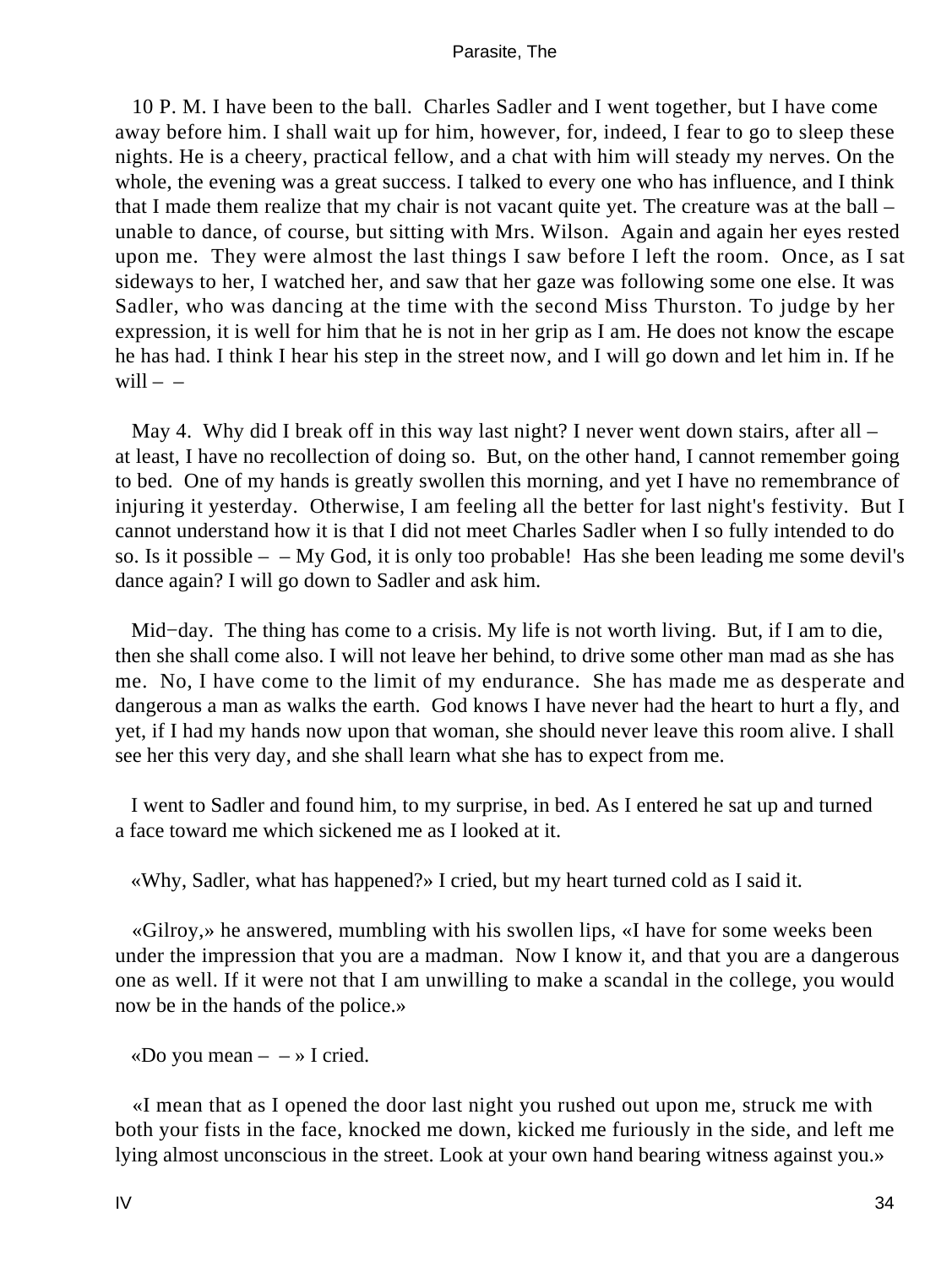10 P. M. I have been to the ball. Charles Sadler and I went together, but I have come away before him. I shall wait up for him, however, for, indeed, I fear to go to sleep these nights. He is a cheery, practical fellow, and a chat with him will steady my nerves. On the whole, the evening was a great success. I talked to every one who has influence, and I think that I made them realize that my chair is not vacant quite yet. The creature was at the ball – unable to dance, of course, but sitting with Mrs. Wilson. Again and again her eyes rested upon me. They were almost the last things I saw before I left the room. Once, as I sat sideways to her, I watched her, and saw that her gaze was following some one else. It was Sadler, who was dancing at the time with the second Miss Thurston. To judge by her expression, it is well for him that he is not in her grip as I am. He does not know the escape he has had. I think I hear his step in the street now, and I will go down and let him in. If he will  $-$ 

May 4. Why did I break off in this way last night? I never went down stairs, after all – at least, I have no recollection of doing so. But, on the other hand, I cannot remember going to bed. One of my hands is greatly swollen this morning, and yet I have no remembrance of injuring it yesterday. Otherwise, I am feeling all the better for last night's festivity. But I cannot understand how it is that I did not meet Charles Sadler when I so fully intended to do so. Is it possible  $-$  – My God, it is only too probable! Has she been leading me some devil's dance again? I will go down to Sadler and ask him.

 Mid−day. The thing has come to a crisis. My life is not worth living. But, if I am to die, then she shall come also. I will not leave her behind, to drive some other man mad as she has me. No, I have come to the limit of my endurance. She has made me as desperate and dangerous a man as walks the earth. God knows I have never had the heart to hurt a fly, and yet, if I had my hands now upon that woman, she should never leave this room alive. I shall see her this very day, and she shall learn what she has to expect from me.

 I went to Sadler and found him, to my surprise, in bed. As I entered he sat up and turned a face toward me which sickened me as I looked at it.

«Why, Sadler, what has happened?» I cried, but my heart turned cold as I said it.

 «Gilroy,» he answered, mumbling with his swollen lips, «I have for some weeks been under the impression that you are a madman. Now I know it, and that you are a dangerous one as well. If it were not that I am unwilling to make a scandal in the college, you would now be in the hands of the police.»

«Do you mean  $- \rightarrow I$  cried.

 «I mean that as I opened the door last night you rushed out upon me, struck me with both your fists in the face, knocked me down, kicked me furiously in the side, and left me lying almost unconscious in the street. Look at your own hand bearing witness against you.»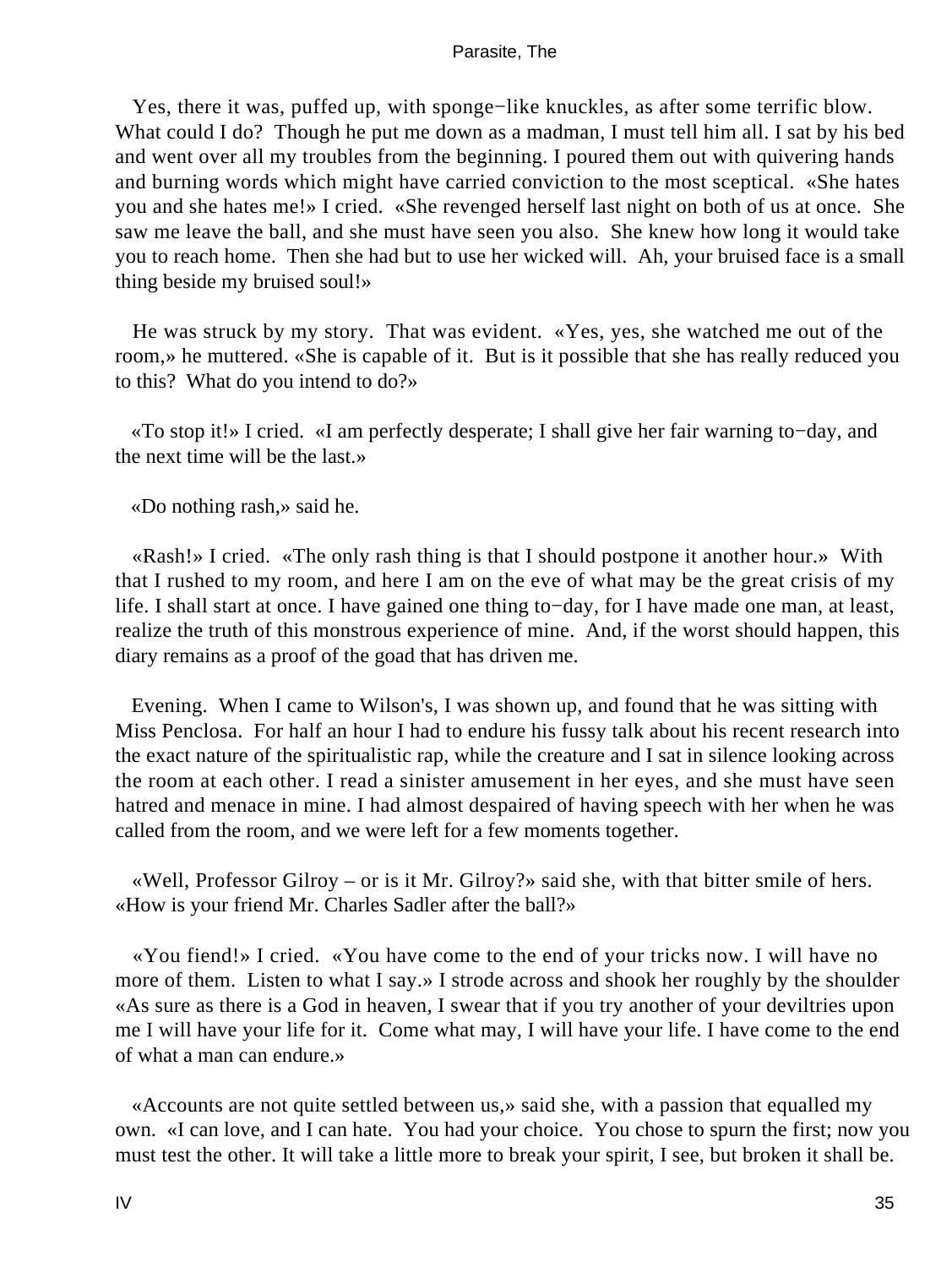Yes, there it was, puffed up, with sponge−like knuckles, as after some terrific blow. What could I do? Though he put me down as a madman, I must tell him all. I sat by his bed and went over all my troubles from the beginning. I poured them out with quivering hands and burning words which might have carried conviction to the most sceptical. «She hates you and she hates me!» I cried. «She revenged herself last night on both of us at once. She saw me leave the ball, and she must have seen you also. She knew how long it would take you to reach home. Then she had but to use her wicked will. Ah, your bruised face is a small thing beside my bruised soul!»

 He was struck by my story. That was evident. «Yes, yes, she watched me out of the room,» he muttered. «She is capable of it. But is it possible that she has really reduced you to this? What do you intend to do?»

 «To stop it!» I cried. «I am perfectly desperate; I shall give her fair warning to−day, and the next time will be the last.»

«Do nothing rash,» said he.

 «Rash!» I cried. «The only rash thing is that I should postpone it another hour.» With that I rushed to my room, and here I am on the eve of what may be the great crisis of my life. I shall start at once. I have gained one thing to−day, for I have made one man, at least, realize the truth of this monstrous experience of mine. And, if the worst should happen, this diary remains as a proof of the goad that has driven me.

 Evening. When I came to Wilson's, I was shown up, and found that he was sitting with Miss Penclosa. For half an hour I had to endure his fussy talk about his recent research into the exact nature of the spiritualistic rap, while the creature and I sat in silence looking across the room at each other. I read a sinister amusement in her eyes, and she must have seen hatred and menace in mine. I had almost despaired of having speech with her when he was called from the room, and we were left for a few moments together.

 «Well, Professor Gilroy – or is it Mr. Gilroy?» said she, with that bitter smile of hers. «How is your friend Mr. Charles Sadler after the ball?»

 «You fiend!» I cried. «You have come to the end of your tricks now. I will have no more of them. Listen to what I say.» I strode across and shook her roughly by the shoulder «As sure as there is a God in heaven, I swear that if you try another of your deviltries upon me I will have your life for it. Come what may, I will have your life. I have come to the end of what a man can endure.»

 «Accounts are not quite settled between us,» said she, with a passion that equalled my own. «I can love, and I can hate. You had your choice. You chose to spurn the first; now you must test the other. It will take a little more to break your spirit, I see, but broken it shall be.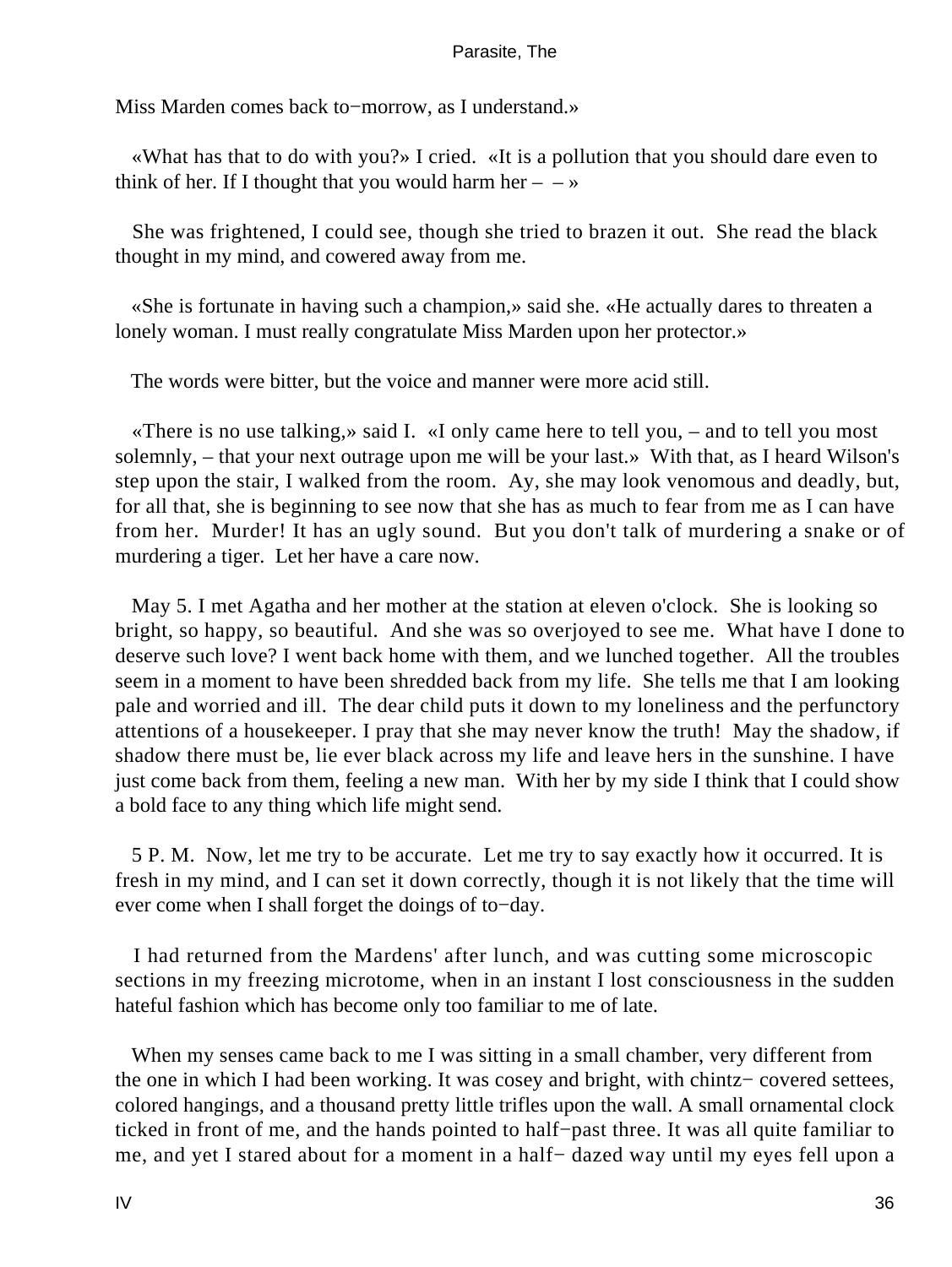Miss Marden comes back to−morrow, as I understand.»

 «What has that to do with you?» I cried. «It is a pollution that you should dare even to think of her. If I thought that you would harm her  $- \rightarrow \infty$ 

 She was frightened, I could see, though she tried to brazen it out. She read the black thought in my mind, and cowered away from me.

 «She is fortunate in having such a champion,» said she. «He actually dares to threaten a lonely woman. I must really congratulate Miss Marden upon her protector.»

The words were bitter, but the voice and manner were more acid still.

 «There is no use talking,» said I. «I only came here to tell you, – and to tell you most solemnly, – that your next outrage upon me will be your last.» With that, as I heard Wilson's step upon the stair, I walked from the room. Ay, she may look venomous and deadly, but, for all that, she is beginning to see now that she has as much to fear from me as I can have from her. Murder! It has an ugly sound. But you don't talk of murdering a snake or of murdering a tiger. Let her have a care now.

 May 5. I met Agatha and her mother at the station at eleven o'clock. She is looking so bright, so happy, so beautiful. And she was so overjoyed to see me. What have I done to deserve such love? I went back home with them, and we lunched together. All the troubles seem in a moment to have been shredded back from my life. She tells me that I am looking pale and worried and ill. The dear child puts it down to my loneliness and the perfunctory attentions of a housekeeper. I pray that she may never know the truth! May the shadow, if shadow there must be, lie ever black across my life and leave hers in the sunshine. I have just come back from them, feeling a new man. With her by my side I think that I could show a bold face to any thing which life might send.

 5 P. M. Now, let me try to be accurate. Let me try to say exactly how it occurred. It is fresh in my mind, and I can set it down correctly, though it is not likely that the time will ever come when I shall forget the doings of to−day.

 I had returned from the Mardens' after lunch, and was cutting some microscopic sections in my freezing microtome, when in an instant I lost consciousness in the sudden hateful fashion which has become only too familiar to me of late.

 When my senses came back to me I was sitting in a small chamber, very different from the one in which I had been working. It was cosey and bright, with chintz− covered settees, colored hangings, and a thousand pretty little trifles upon the wall. A small ornamental clock ticked in front of me, and the hands pointed to half−past three. It was all quite familiar to me, and yet I stared about for a moment in a half− dazed way until my eyes fell upon a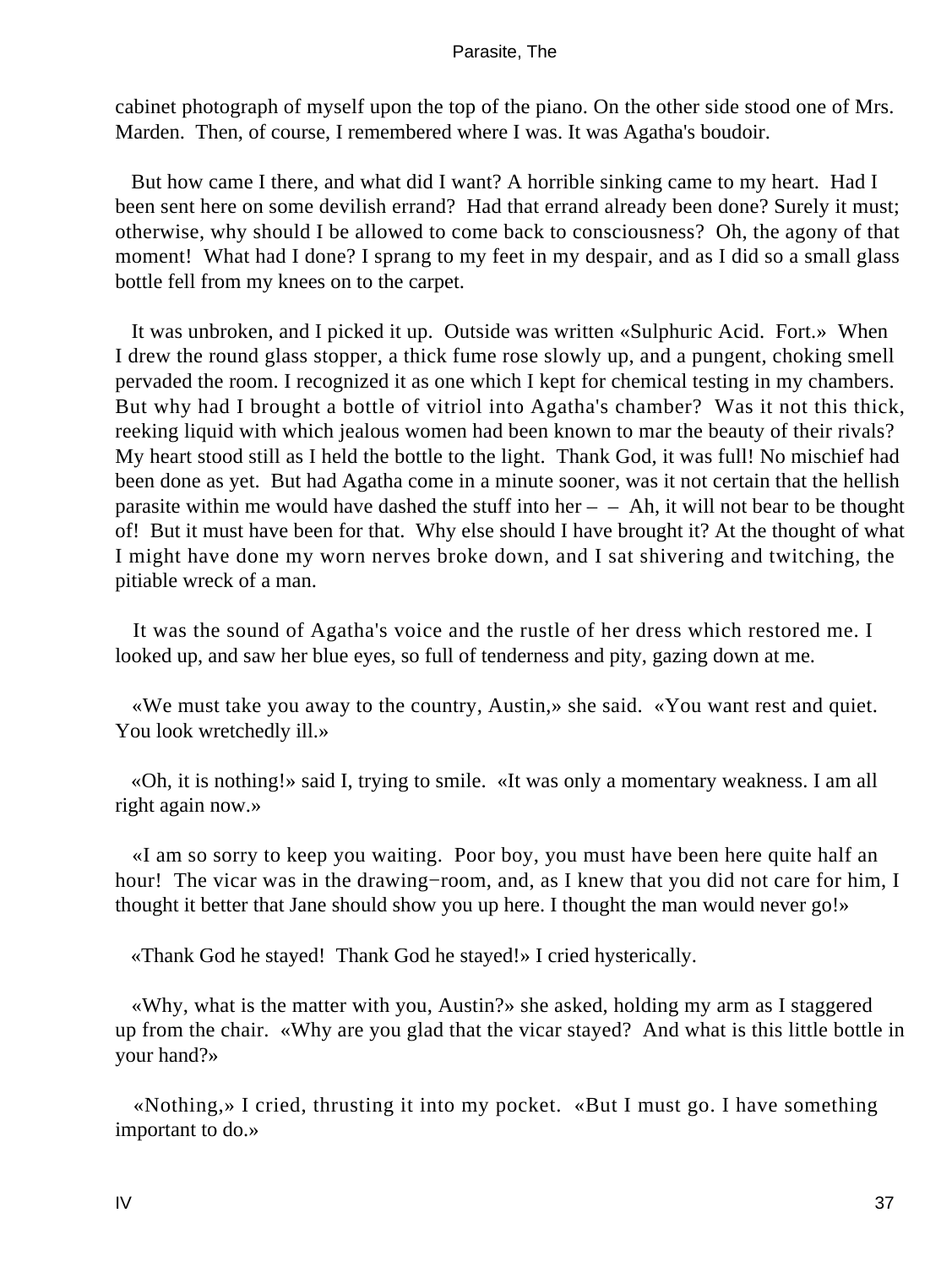cabinet photograph of myself upon the top of the piano. On the other side stood one of Mrs. Marden. Then, of course, I remembered where I was. It was Agatha's boudoir.

 But how came I there, and what did I want? A horrible sinking came to my heart. Had I been sent here on some devilish errand? Had that errand already been done? Surely it must; otherwise, why should I be allowed to come back to consciousness? Oh, the agony of that moment! What had I done? I sprang to my feet in my despair, and as I did so a small glass bottle fell from my knees on to the carpet.

 It was unbroken, and I picked it up. Outside was written «Sulphuric Acid. Fort.» When I drew the round glass stopper, a thick fume rose slowly up, and a pungent, choking smell pervaded the room. I recognized it as one which I kept for chemical testing in my chambers. But why had I brought a bottle of vitriol into Agatha's chamber? Was it not this thick, reeking liquid with which jealous women had been known to mar the beauty of their rivals? My heart stood still as I held the bottle to the light. Thank God, it was full! No mischief had been done as yet. But had Agatha come in a minute sooner, was it not certain that the hellish parasite within me would have dashed the stuff into her  $-$  – Ah, it will not bear to be thought of! But it must have been for that. Why else should I have brought it? At the thought of what I might have done my worn nerves broke down, and I sat shivering and twitching, the pitiable wreck of a man.

 It was the sound of Agatha's voice and the rustle of her dress which restored me. I looked up, and saw her blue eyes, so full of tenderness and pity, gazing down at me.

 «We must take you away to the country, Austin,» she said. «You want rest and quiet. You look wretchedly ill.»

 «Oh, it is nothing!» said I, trying to smile. «It was only a momentary weakness. I am all right again now.»

 «I am so sorry to keep you waiting. Poor boy, you must have been here quite half an hour! The vicar was in the drawing−room, and, as I knew that you did not care for him, I thought it better that Jane should show you up here. I thought the man would never go!»

«Thank God he stayed! Thank God he stayed!» I cried hysterically.

 «Why, what is the matter with you, Austin?» she asked, holding my arm as I staggered up from the chair. «Why are you glad that the vicar stayed? And what is this little bottle in your hand?»

 «Nothing,» I cried, thrusting it into my pocket. «But I must go. I have something important to do.»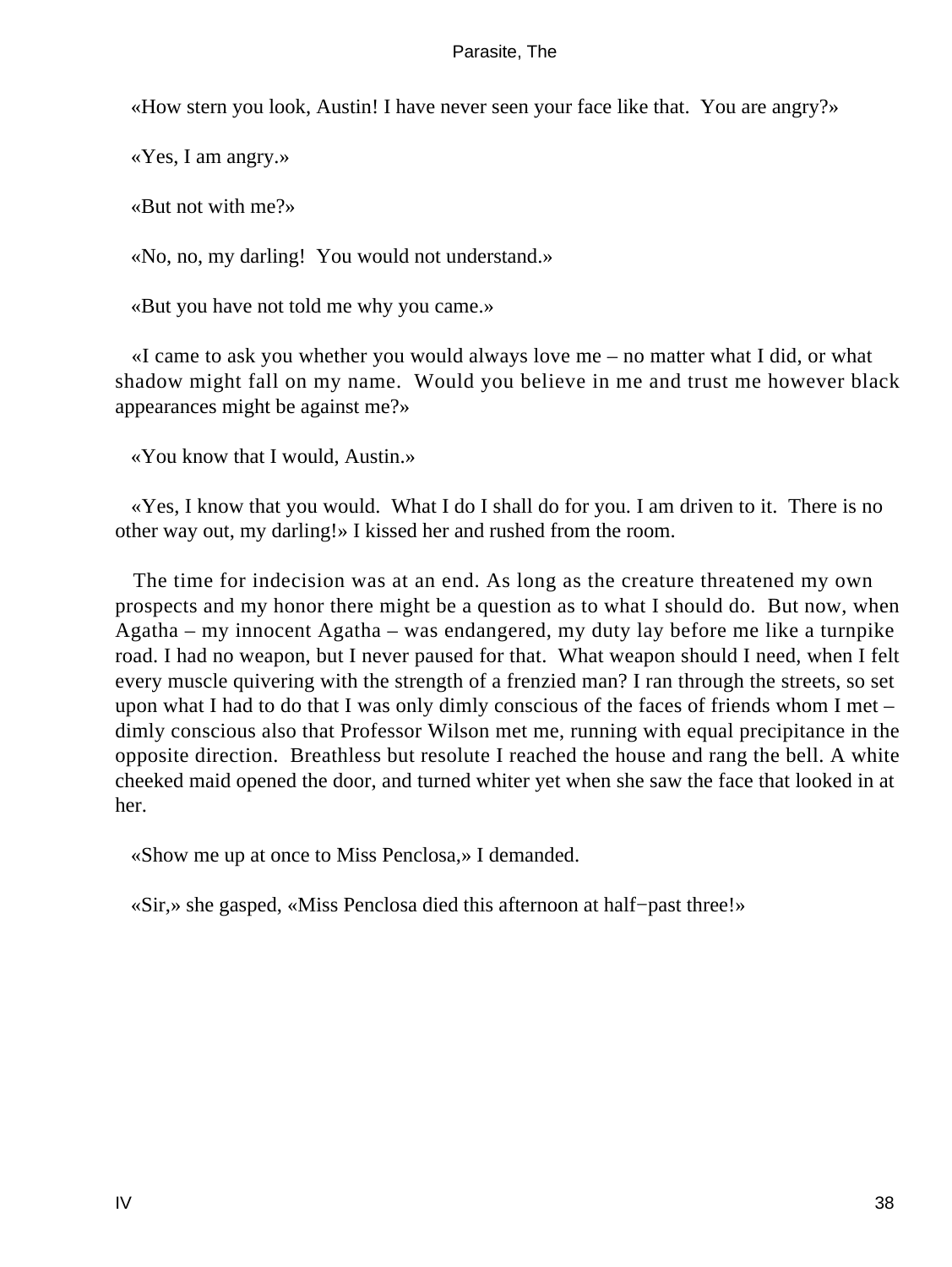«How stern you look, Austin! I have never seen your face like that. You are angry?»

«Yes, I am angry.»

«But not with me?»

«No, no, my darling! You would not understand.»

«But you have not told me why you came.»

 «I came to ask you whether you would always love me – no matter what I did, or what shadow might fall on my name. Would you believe in me and trust me however black appearances might be against me?»

«You know that I would, Austin.»

 «Yes, I know that you would. What I do I shall do for you. I am driven to it. There is no other way out, my darling!» I kissed her and rushed from the room.

 The time for indecision was at an end. As long as the creature threatened my own prospects and my honor there might be a question as to what I should do. But now, when Agatha – my innocent Agatha – was endangered, my duty lay before me like a turnpike road. I had no weapon, but I never paused for that. What weapon should I need, when I felt every muscle quivering with the strength of a frenzied man? I ran through the streets, so set upon what I had to do that I was only dimly conscious of the faces of friends whom I met – dimly conscious also that Professor Wilson met me, running with equal precipitance in the opposite direction. Breathless but resolute I reached the house and rang the bell. A white cheeked maid opened the door, and turned whiter yet when she saw the face that looked in at her.

«Show me up at once to Miss Penclosa,» I demanded.

«Sir,» she gasped, «Miss Penclosa died this afternoon at half−past three!»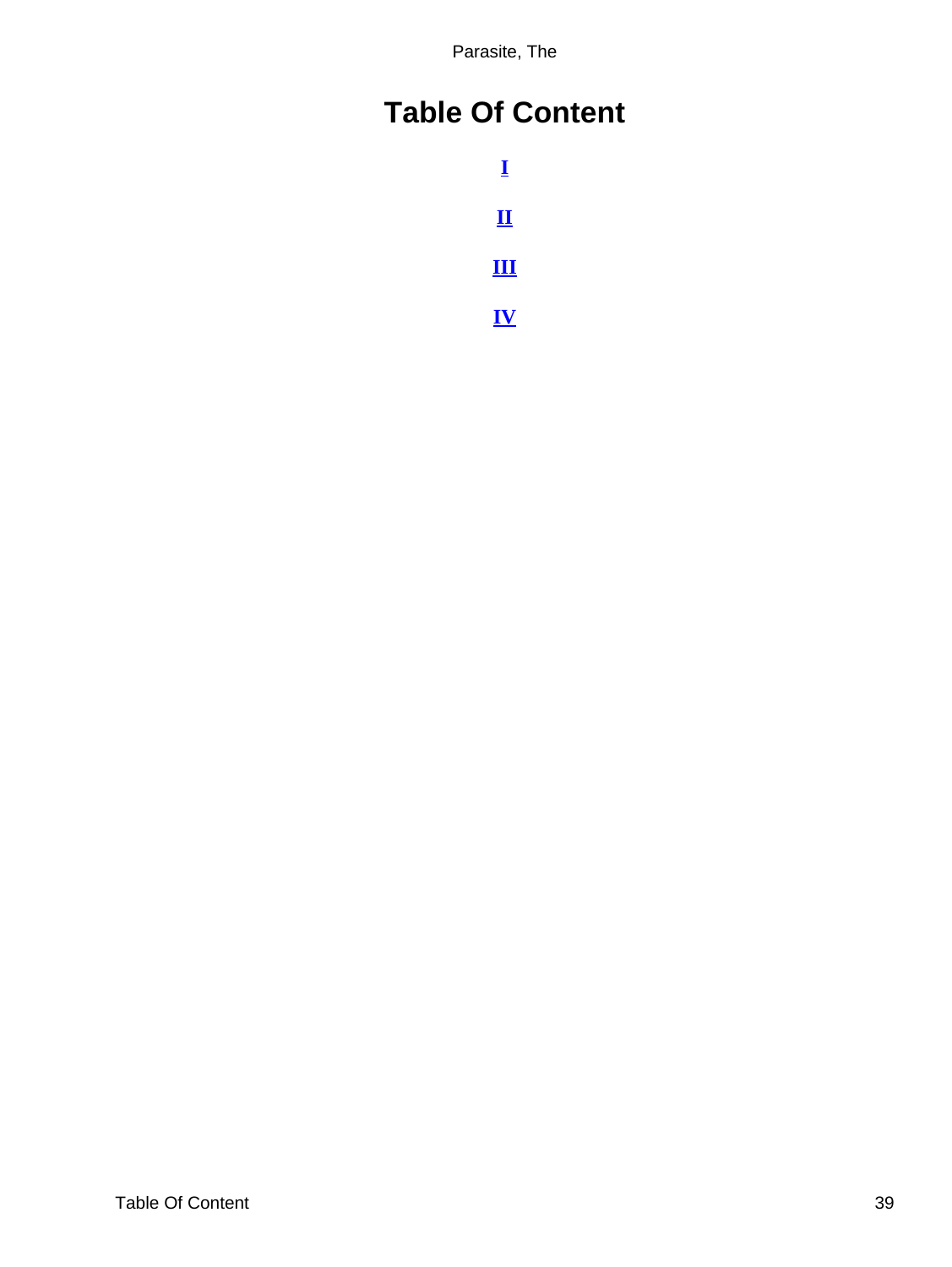# <span id="page-39-0"></span>**Table Of Content**

**[I](#page-3-0) [II](#page-13-0) [III](#page-21-0) [IV](#page-30-0)**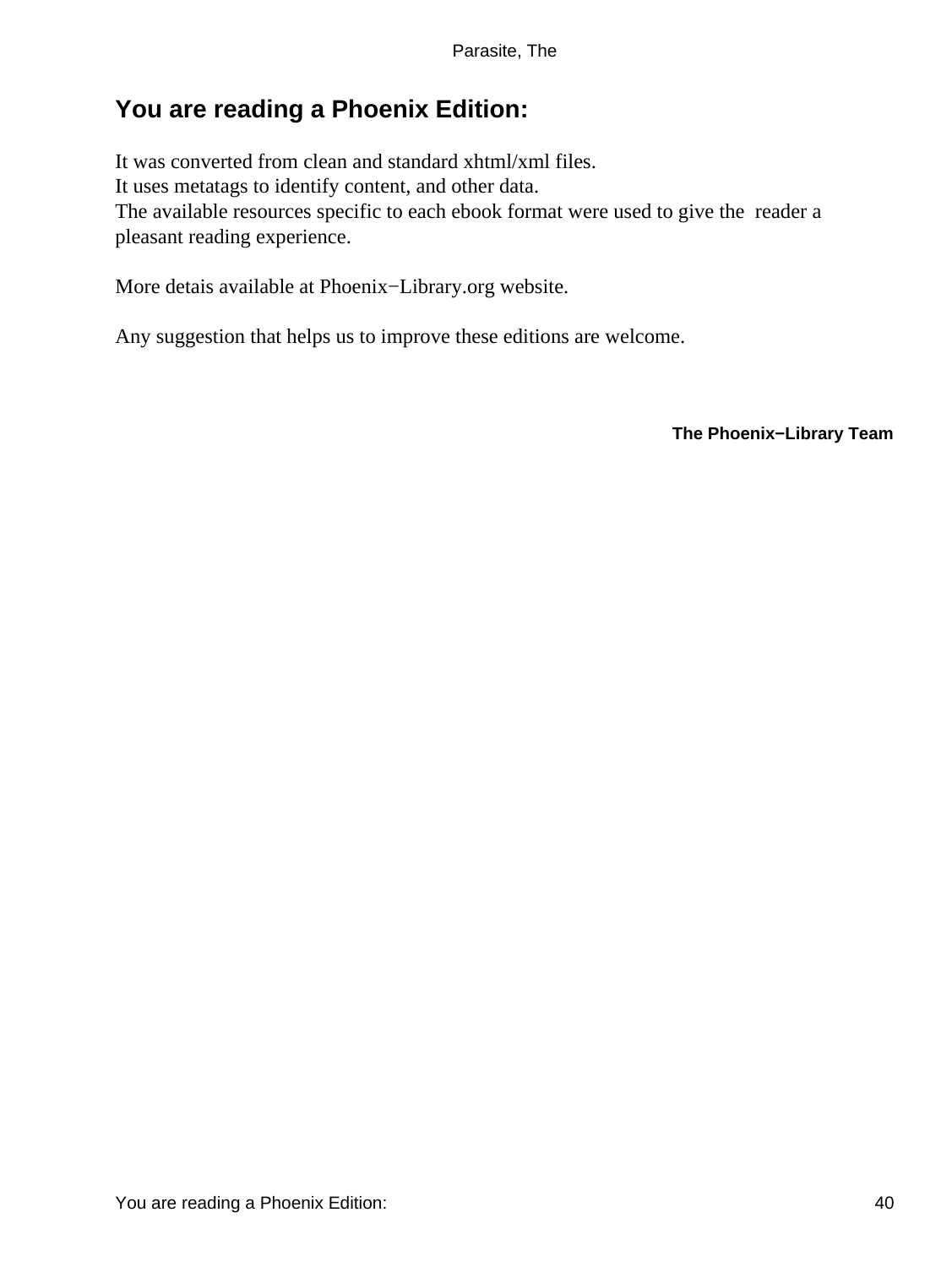# <span id="page-40-0"></span>**You are reading a Phoenix Edition:**

It was converted from clean and standard xhtml/xml files. It uses metatags to identify content, and other data. The available resources specific to each ebook format were used to give the reader a pleasant reading experience.

More detais available at Phoenix−Library.org website.

Any suggestion that helps us to improve these editions are welcome.

**The Phoenix−Library Team**